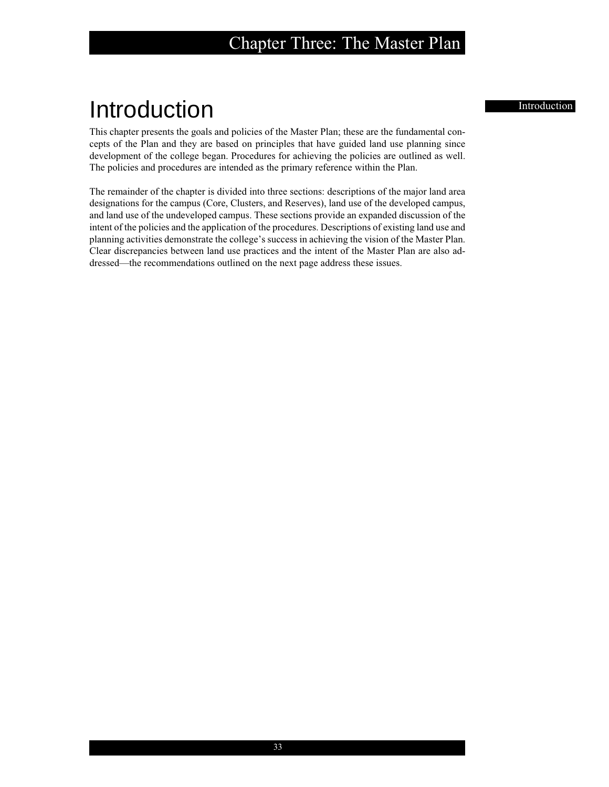# Introduction Introduction

This chapter presents the goals and policies of the Master Plan; these are the fundamental concepts of the Plan and they are based on principles that have guided land use planning since development of the college began. Procedures for achieving the policies are outlined as well. The policies and procedures are intended as the primary reference within the Plan.

The remainder of the chapter is divided into three sections: descriptions of the major land area designations for the campus (Core, Clusters, and Reserves), land use of the developed campus, and land use of the undeveloped campus. These sections provide an expanded discussion of the intent of the policies and the application of the procedures. Descriptions of existing land use and planning activities demonstrate the college's success in achieving the vision of the Master Plan. Clear discrepancies between land use practices and the intent of the Master Plan are also addressed—the recommendations outlined on the next page address these issues.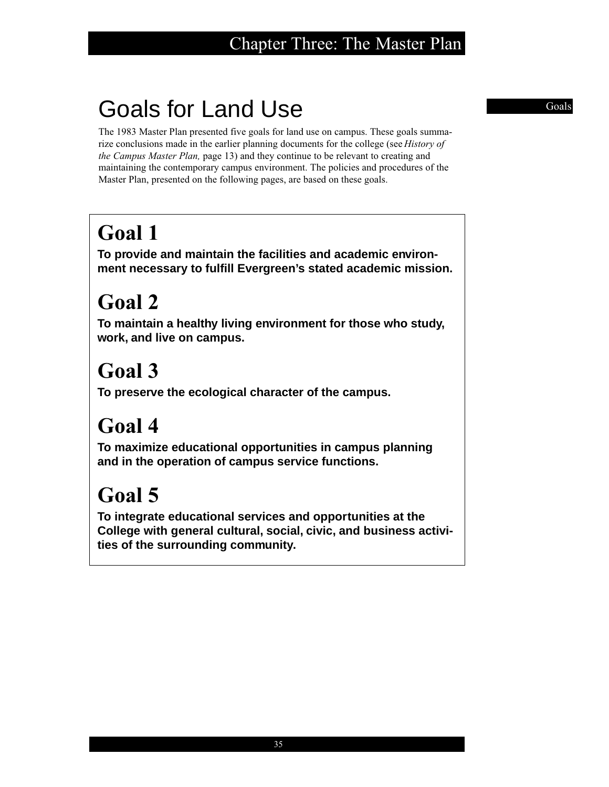# Goals for Land Use Goals

The 1983 Master Plan presented five goals for land use on campus. These goals summarize conclusions made in the earlier planning documents for the college (see *History of the Campus Master Plan,* page 13) and they continue to be relevant to creating and maintaining the contemporary campus environment. The policies and procedures of the Master Plan, presented on the following pages, are based on these goals.

# **Goal 1**

**To provide and maintain the facilities and academic environment necessary to fulfill Evergreen's stated academic mission.**

# **Goal 2**

**To maintain a healthy living environment for those who study, work, and live on campus.**

# **Goal 3**

**To preserve the ecological character of the campus.**

# **Goal 4**

**To maximize educational opportunities in campus planning and in the operation of campus service functions.**

# **Goal 5**

**To integrate educational services and opportunities at the College with general cultural, social, civic, and business activities of the surrounding community.**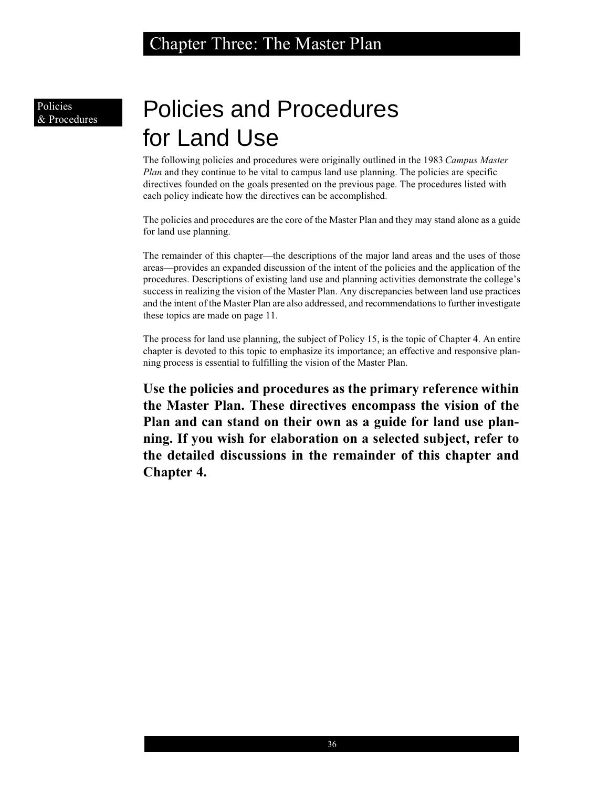Policies & Procedures

# Policies and Procedures for Land Use

The following policies and procedures were originally outlined in the 1983 *Campus Master Plan* and they continue to be vital to campus land use planning. The policies are specific directives founded on the goals presented on the previous page. The procedures listed with each policy indicate how the directives can be accomplished.

The policies and procedures are the core of the Master Plan and they may stand alone as a guide for land use planning.

The remainder of this chapter—the descriptions of the major land areas and the uses of those areas—provides an expanded discussion of the intent of the policies and the application of the procedures. Descriptions of existing land use and planning activities demonstrate the college's success in realizing the vision of the Master Plan. Any discrepancies between land use practices and the intent of the Master Plan are also addressed, and recommendations to further investigate these topics are made on page 11.

The process for land use planning, the subject of Policy 15, is the topic of Chapter 4. An entire chapter is devoted to this topic to emphasize its importance; an effective and responsive planning process is essential to fulfilling the vision of the Master Plan.

**Use the policies and procedures as the primary reference within the Master Plan. These directives encompass the vision of the Plan and can stand on their own as a guide for land use planning. If you wish for elaboration on a selected subject, refer to the detailed discussions in the remainder of this chapter and Chapter 4.**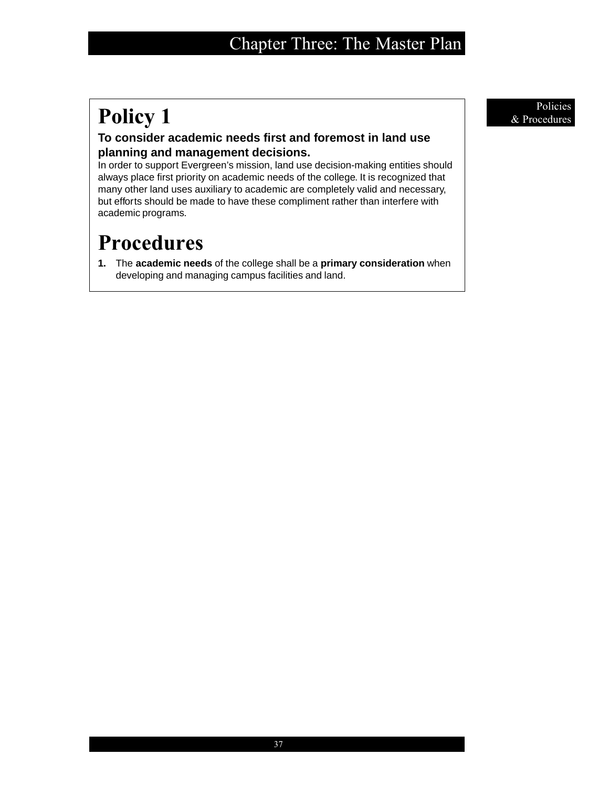# **Policy 1** Policies **a** Procedures

## **To consider academic needs first and foremost in land use planning and management decisions.**

In order to support Evergreen's mission, land use decision-making entities should always place first priority on academic needs of the college. It is recognized that many other land uses auxiliary to academic are completely valid and necessary, but efforts should be made to have these compliment rather than interfere with academic programs.

# **Procedures**

**1.** The **academic needs** of the college shall be a **primary consideration** when developing and managing campus facilities and land.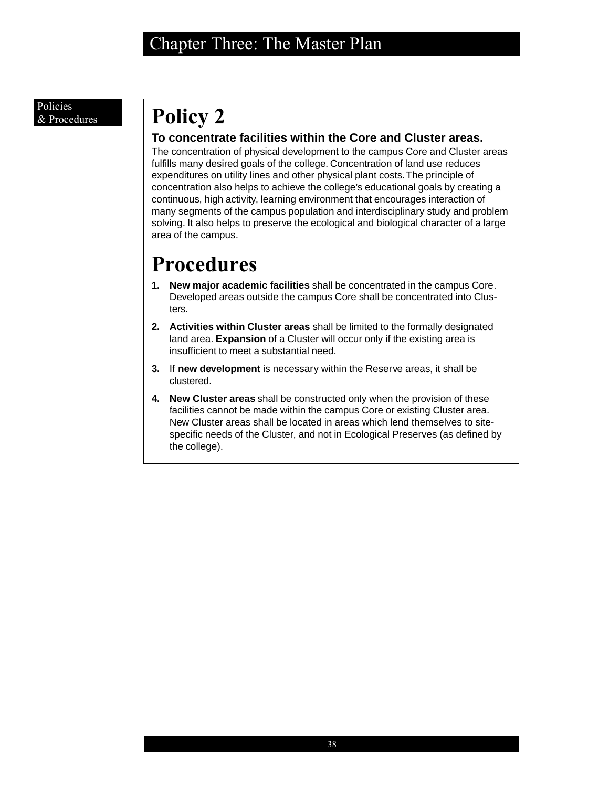# **Policy 2**

## **To concentrate facilities within the Core and Cluster areas.**

The concentration of physical development to the campus Core and Cluster areas fulfills many desired goals of the college. Concentration of land use reduces expenditures on utility lines and other physical plant costs. The principle of concentration also helps to achieve the college's educational goals by creating a continuous, high activity, learning environment that encourages interaction of many segments of the campus population and interdisciplinary study and problem solving. It also helps to preserve the ecological and biological character of a large area of the campus.

- **1. New major academic facilities** shall be concentrated in the campus Core. Developed areas outside the campus Core shall be concentrated into Clusters.
- **2. Activities within Cluster areas** shall be limited to the formally designated land area. **Expansion** of a Cluster will occur only if the existing area is insufficient to meet a substantial need.
- **3.** If **new development** is necessary within the Reserve areas, it shall be clustered.
- **4. New Cluster areas** shall be constructed only when the provision of these facilities cannot be made within the campus Core or existing Cluster area. New Cluster areas shall be located in areas which lend themselves to sitespecific needs of the Cluster, and not in Ecological Preserves (as defined by the college).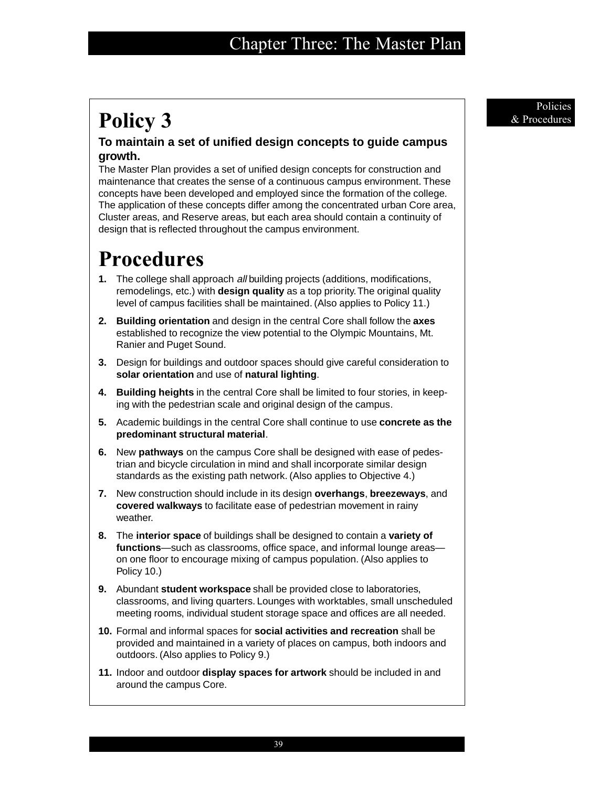# Policy 3 & Procedures

## **To maintain a set of unified design concepts to guide campus growth.**

The Master Plan provides a set of unified design concepts for construction and maintenance that creates the sense of a continuous campus environment. These concepts have been developed and employed since the formation of the college. The application of these concepts differ among the concentrated urban Core area, Cluster areas, and Reserve areas, but each area should contain a continuity of design that is reflected throughout the campus environment.

# **Procedures**

- **1.** The college shall approach all building projects (additions, modifications, remodelings, etc.) with **design quality** as a top priority. The original quality level of campus facilities shall be maintained. (Also applies to Policy 11.)
- **2. Building orientation** and design in the central Core shall follow the **axes** established to recognize the view potential to the Olympic Mountains, Mt. Ranier and Puget Sound.
- **3.** Design for buildings and outdoor spaces should give careful consideration to **solar orientation** and use of **natural lighting**.
- **4. Building heights** in the central Core shall be limited to four stories, in keeping with the pedestrian scale and original design of the campus.
- **5.** Academic buildings in the central Core shall continue to use **concrete as the predominant structural material**.
- **6.** New **pathways** on the campus Core shall be designed with ease of pedestrian and bicycle circulation in mind and shall incorporate similar design standards as the existing path network. (Also applies to Objective 4.)
- **7.** New construction should include in its design **overhangs**, **breezeways**, and **covered walkways** to facilitate ease of pedestrian movement in rainy weather.
- **8.** The **interior space** of buildings shall be designed to contain a **variety of functions**—such as classrooms, office space, and informal lounge areas on one floor to encourage mixing of campus population. (Also applies to Policy 10.)
- **9.** Abundant **student workspace** shall be provided close to laboratories, classrooms, and living quarters. Lounges with worktables, small unscheduled meeting rooms, individual student storage space and offices are all needed.
- **10.** Formal and informal spaces for **social activities and recreation** shall be provided and maintained in a variety of places on campus, both indoors and outdoors. (Also applies to Policy 9.)
- **11.** Indoor and outdoor **display spaces for artwork** should be included in and around the campus Core.

Policies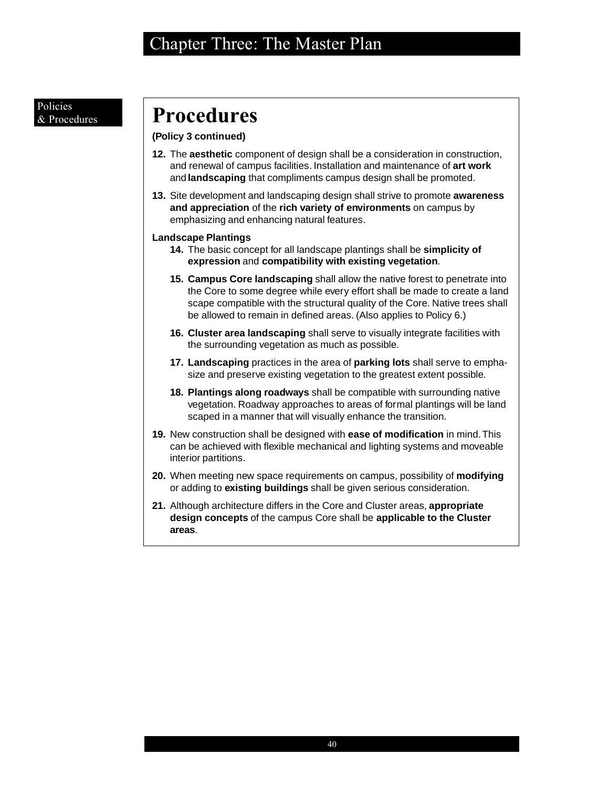### Policies & Procedures

# **Procedures**

## **(Policy 3 continued)**

- **12.** The **aesthetic** component of design shall be a consideration in construction, and renewal of campus facilities. Installation and maintenance of **art work** and **landscaping** that compliments campus design shall be promoted.
- **13.** Site development and landscaping design shall strive to promote **awareness and appreciation** of the **rich variety of environments** on campus by emphasizing and enhancing natural features.

## **Landscape Plantings**

- **14.** The basic concept for all landscape plantings shall be **simplicity of expression** and **compatibility with existing vegetation**.
- **15. Campus Core landscaping** shall allow the native forest to penetrate into the Core to some degree while every effort shall be made to create a land scape compatible with the structural quality of the Core. Native trees shall be allowed to remain in defined areas. (Also applies to Policy 6.)
- **16. Cluster area landscaping** shall serve to visually integrate facilities with the surrounding vegetation as much as possible.
- **17. Landscaping** practices in the area of **parking lots** shall serve to emphasize and preserve existing vegetation to the greatest extent possible.
- **18. Plantings along roadways** shall be compatible with surrounding native vegetation. Roadway approaches to areas of formal plantings will be land scaped in a manner that will visually enhance the transition.
- **19.** New construction shall be designed with **ease of modification** in mind. This can be achieved with flexible mechanical and lighting systems and moveable interior partitions.
- **20.** When meeting new space requirements on campus, possibility of **modifying** or adding to **existing buildings** shall be given serious consideration.
- **21.** Although architecture differs in the Core and Cluster areas, **appropriate design concepts** of the campus Core shall be **applicable to the Cluster areas**.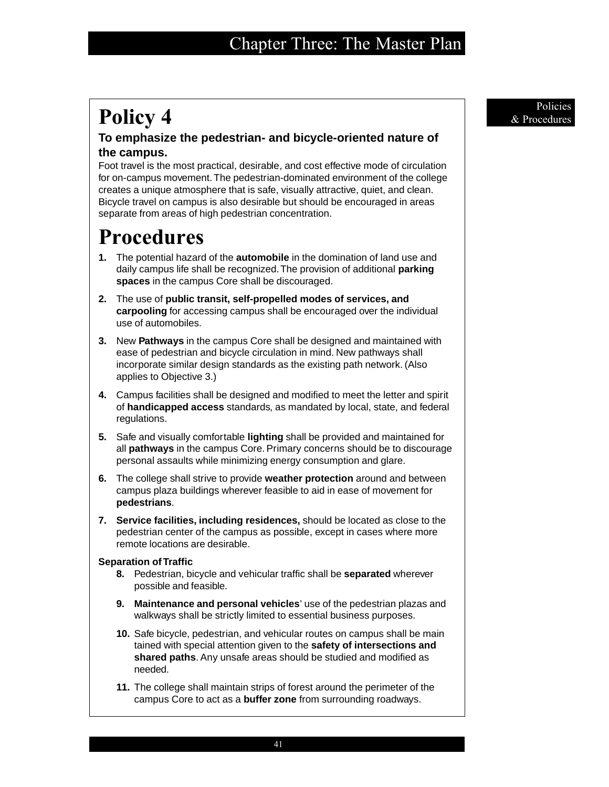# **Policy 4** Provedures **Policies**

## **To emphasize the pedestrian- and bicycle-oriented nature of the campus.**

Foot travel is the most practical, desirable, and cost effective mode of circulation for on-campus movement. The pedestrian-dominated environment of the college creates a unique atmosphere that is safe, visually attractive, quiet, and clean. Bicycle travel on campus is also desirable but should be encouraged in areas separate from areas of high pedestrian concentration.

# **Procedures**

- **1.** The potential hazard of the **automobile** in the domination of land use and daily campus life shall be recognized. The provision of additional **parking spaces** in the campus Core shall be discouraged.
- **2.** The use of **public transit, self-propelled modes of services, and carpooling** for accessing campus shall be encouraged over the individual use of automobiles.
- **3.** New **Pathways** in the campus Core shall be designed and maintained with ease of pedestrian and bicycle circulation in mind. New pathways shall incorporate similar design standards as the existing path network. (Also applies to Objective 3.)
- **4.** Campus facilities shall be designed and modified to meet the letter and spirit of **handicapped access** standards, as mandated by local, state, and federal regulations.
- **5.** Safe and visually comfortable **lighting** shall be provided and maintained for all **pathways** in the campus Core. Primary concerns should be to discourage personal assaults while minimizing energy consumption and glare.
- **6.** The college shall strive to provide **weather protection** around and between campus plaza buildings wherever feasible to aid in ease of movement for **pedestrians**.
- **7. Service facilities, including residences,** should be located as close to the pedestrian center of the campus as possible, except in cases where more remote locations are desirable.

## **Separation of Traffic**

- **8.** Pedestrian, bicycle and vehicular traffic shall be **separated** wherever possible and feasible.
- **9. Maintenance and personal vehicles**' use of the pedestrian plazas and walkways shall be strictly limited to essential business purposes.
- **10.** Safe bicycle, pedestrian, and vehicular routes on campus shall be main tained with special attention given to the **safety of intersections and shared paths**. Any unsafe areas should be studied and modified as needed.
- **11.** The college shall maintain strips of forest around the perimeter of the campus Core to act as a **buffer zone** from surrounding roadways.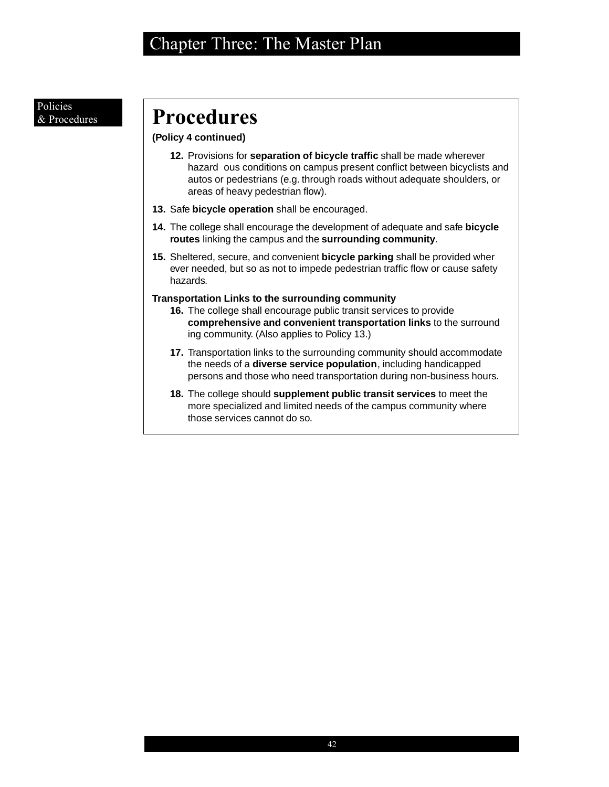### Policies & Procedures

# **Procedures**

## **(Policy 4 continued)**

- **12.** Provisions for **separation of bicycle traffic** shall be made wherever hazard ous conditions on campus present conflict between bicyclists and autos or pedestrians (e.g. through roads without adequate shoulders, or areas of heavy pedestrian flow).
- **13.** Safe **bicycle operation** shall be encouraged.
- **14.** The college shall encourage the development of adequate and safe **bicycle routes** linking the campus and the **surrounding community**.
- **15.** Sheltered, secure, and convenient **bicycle parking** shall be provided wher ever needed, but so as not to impede pedestrian traffic flow or cause safety hazards.

## **Transportation Links to the surrounding community**

- **16.** The college shall encourage public transit services to provide **comprehensive and convenient transportation links** to the surround ing community. (Also applies to Policy 13.)
- **17.** Transportation links to the surrounding community should accommodate the needs of a **diverse service population**, including handicapped persons and those who need transportation during non-business hours.
- **18.** The college should **supplement public transit services** to meet the more specialized and limited needs of the campus community where those services cannot do so.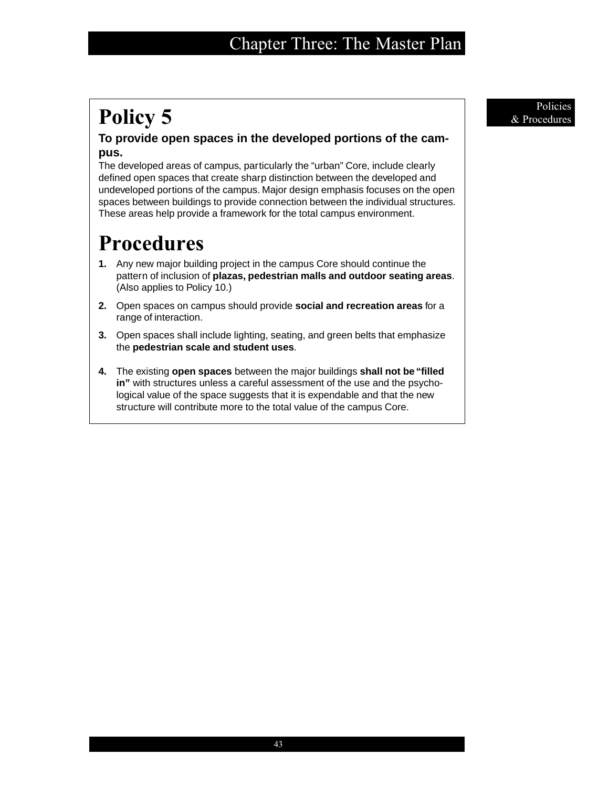# **Policy 5** Policies **a** Procedures

## **To provide open spaces in the developed portions of the campus.**

The developed areas of campus, particularly the "urban" Core, include clearly defined open spaces that create sharp distinction between the developed and undeveloped portions of the campus. Major design emphasis focuses on the open spaces between buildings to provide connection between the individual structures. These areas help provide a framework for the total campus environment.

- **1.** Any new major building project in the campus Core should continue the pattern of inclusion of **plazas, pedestrian malls and outdoor seating areas**. (Also applies to Policy 10.)
- **2.** Open spaces on campus should provide **social and recreation areas** for a range of interaction.
- **3.** Open spaces shall include lighting, seating, and green belts that emphasize the **pedestrian scale and student uses**.
- **4.** The existing **open spaces** between the major buildings **shall not be "filled in"** with structures unless a careful assessment of the use and the psychological value of the space suggests that it is expendable and that the new structure will contribute more to the total value of the campus Core.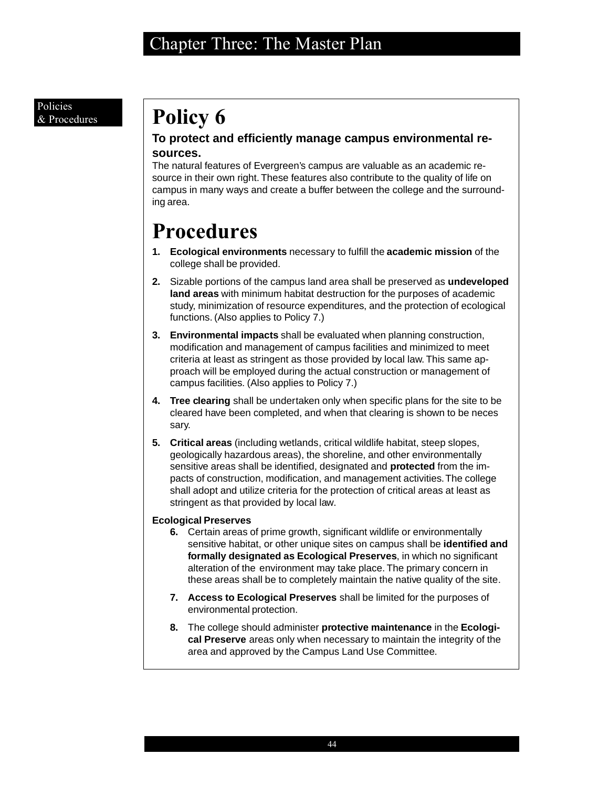### Policies & Procedures

# **Policy 6**

## **To protect and efficiently manage campus environmental resources.**

The natural features of Evergreen's campus are valuable as an academic resource in their own right. These features also contribute to the quality of life on campus in many ways and create a buffer between the college and the surrounding area.

# **Procedures**

- **1. Ecological environments** necessary to fulfill the **academic mission** of the college shall be provided.
- **2.** Sizable portions of the campus land area shall be preserved as **undeveloped land areas** with minimum habitat destruction for the purposes of academic study, minimization of resource expenditures, and the protection of ecological functions. (Also applies to Policy 7.)
- **3. Environmental impacts** shall be evaluated when planning construction, modification and management of campus facilities and minimized to meet criteria at least as stringent as those provided by local law. This same approach will be employed during the actual construction or management of campus facilities. (Also applies to Policy 7.)
- **4. Tree clearing** shall be undertaken only when specific plans for the site to be cleared have been completed, and when that clearing is shown to be neces sary.
- **5. Critical areas** (including wetlands, critical wildlife habitat, steep slopes, geologically hazardous areas), the shoreline, and other environmentally sensitive areas shall be identified, designated and **protected** from the impacts of construction, modification, and management activities. The college shall adopt and utilize criteria for the protection of critical areas at least as stringent as that provided by local law.

## **Ecological Preserves**

- **6.** Certain areas of prime growth, significant wildlife or environmentally sensitive habitat, or other unique sites on campus shall be **identified and formally designated as Ecological Preserves**, in which no significant alteration of the environment may take place. The primary concern in these areas shall be to completely maintain the native quality of the site.
- **7. Access to Ecological Preserves** shall be limited for the purposes of environmental protection.
- **8.** The college should administer **protective maintenance** in the **Ecological Preserve** areas only when necessary to maintain the integrity of the area and approved by the Campus Land Use Committee.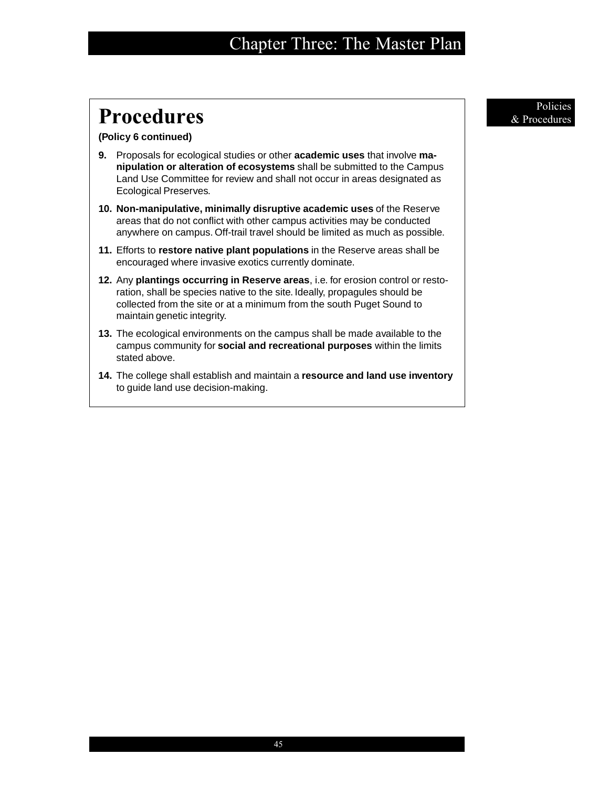# **Procedures**  $\alpha$  Procedures

### **(Policy 6 continued)**

- **9.** Proposals for ecological studies or other **academic uses** that involve **manipulation or alteration of ecosystems** shall be submitted to the Campus Land Use Committee for review and shall not occur in areas designated as Ecological Preserves.
- **10. Non-manipulative, minimally disruptive academic uses** of the Reserve areas that do not conflict with other campus activities may be conducted anywhere on campus. Off-trail travel should be limited as much as possible.
- **11.** Efforts to **restore native plant populations** in the Reserve areas shall be encouraged where invasive exotics currently dominate.
- **12.** Any **plantings occurring in Reserve areas**, i.e. for erosion control or restoration, shall be species native to the site. Ideally, propagules should be collected from the site or at a minimum from the south Puget Sound to maintain genetic integrity.
- **13.** The ecological environments on the campus shall be made available to the campus community for **social and recreational purposes** within the limits stated above.
- **14.** The college shall establish and maintain a **resource and land use inventory** to guide land use decision-making.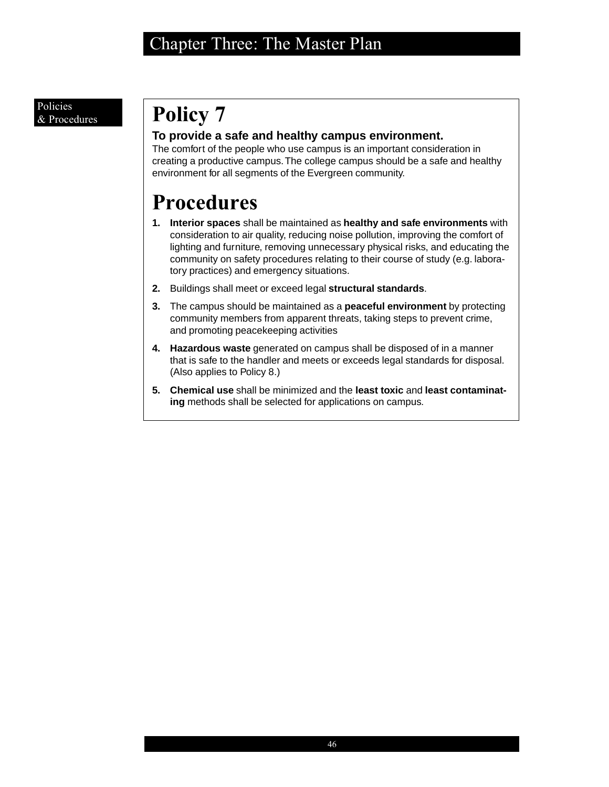# **Policy 7**

## **To provide a safe and healthy campus environment.**

The comfort of the people who use campus is an important consideration in creating a productive campus. The college campus should be a safe and healthy environment for all segments of the Evergreen community.

- **1. Interior spaces** shall be maintained as **healthy and safe environments** with consideration to air quality, reducing noise pollution, improving the comfort of lighting and furniture, removing unnecessary physical risks, and educating the community on safety procedures relating to their course of study (e.g. laboratory practices) and emergency situations.
- **2.** Buildings shall meet or exceed legal **structural standards**.
- **3.** The campus should be maintained as a **peaceful environment** by protecting community members from apparent threats, taking steps to prevent crime, and promoting peacekeeping activities
- **4. Hazardous waste** generated on campus shall be disposed of in a manner that is safe to the handler and meets or exceeds legal standards for disposal. (Also applies to Policy 8.)
- **5. Chemical use** shall be minimized and the **least toxic** and **least contaminating** methods shall be selected for applications on campus.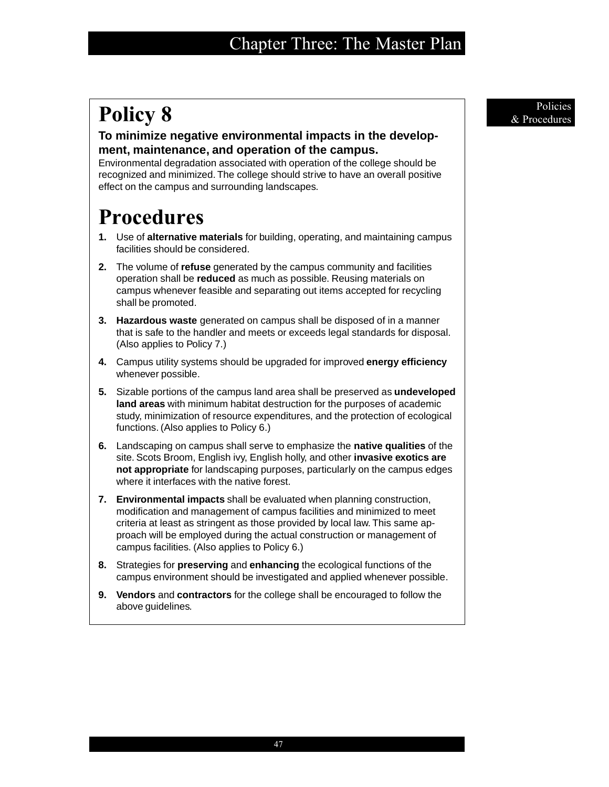# **Policy 8** Provedures **Policies**

## **To minimize negative environmental impacts in the development, maintenance, and operation of the campus.**

Environmental degradation associated with operation of the college should be recognized and minimized. The college should strive to have an overall positive effect on the campus and surrounding landscapes.

- **1.** Use of **alternative materials** for building, operating, and maintaining campus facilities should be considered.
- **2.** The volume of **refuse** generated by the campus community and facilities operation shall be **reduced** as much as possible. Reusing materials on campus whenever feasible and separating out items accepted for recycling shall be promoted.
- **3. Hazardous waste** generated on campus shall be disposed of in a manner that is safe to the handler and meets or exceeds legal standards for disposal. (Also applies to Policy 7.)
- **4.** Campus utility systems should be upgraded for improved **energy efficiency** whenever possible.
- **5.** Sizable portions of the campus land area shall be preserved as **undeveloped land areas** with minimum habitat destruction for the purposes of academic study, minimization of resource expenditures, and the protection of ecological functions. (Also applies to Policy 6.)
- **6.** Landscaping on campus shall serve to emphasize the **native qualities** of the site. Scots Broom, English ivy, English holly, and other **invasive exotics are not appropriate** for landscaping purposes, particularly on the campus edges where it interfaces with the native forest.
- **7. Environmental impacts** shall be evaluated when planning construction, modification and management of campus facilities and minimized to meet criteria at least as stringent as those provided by local law. This same approach will be employed during the actual construction or management of campus facilities. (Also applies to Policy 6.)
- **8.** Strategies for **preserving** and **enhancing** the ecological functions of the campus environment should be investigated and applied whenever possible.
- **9. Vendors** and **contractors** for the college shall be encouraged to follow the above guidelines.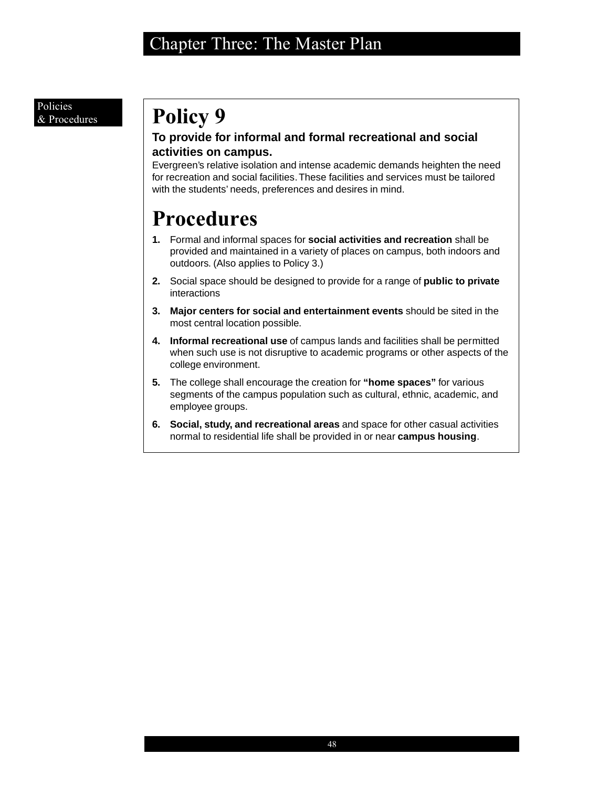# **Policy 9**

## **To provide for informal and formal recreational and social activities on campus.**

Evergreen's relative isolation and intense academic demands heighten the need for recreation and social facilities. These facilities and services must be tailored with the students' needs, preferences and desires in mind.

- **1.** Formal and informal spaces for **social activities and recreation** shall be provided and maintained in a variety of places on campus, both indoors and outdoors. (Also applies to Policy 3.)
- **2.** Social space should be designed to provide for a range of **public to private** interactions
- **3. Major centers for social and entertainment events** should be sited in the most central location possible.
- **4. Informal recreational use** of campus lands and facilities shall be permitted when such use is not disruptive to academic programs or other aspects of the college environment.
- **5.** The college shall encourage the creation for **"home spaces"** for various segments of the campus population such as cultural, ethnic, academic, and employee groups.
- **6. Social, study, and recreational areas** and space for other casual activities normal to residential life shall be provided in or near **campus housing**.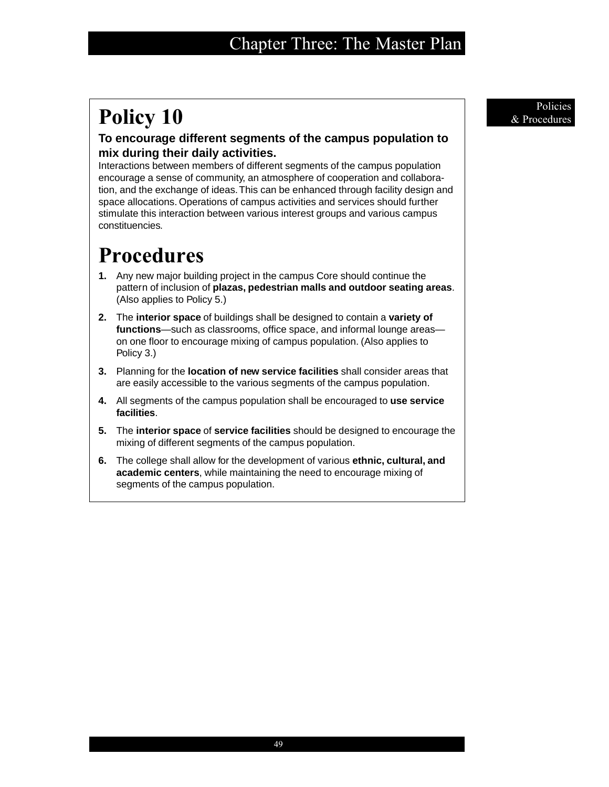# **Policy 10** Policies *Reflective* **Policies** *Reflective* **<b>***Reflective Reflective**Reflective**& Procedures*

## **To encourage different segments of the campus population to mix during their daily activities.**

Interactions between members of different segments of the campus population encourage a sense of community, an atmosphere of cooperation and collaboration, and the exchange of ideas. This can be enhanced through facility design and space allocations. Operations of campus activities and services should further stimulate this interaction between various interest groups and various campus constituencies.

- **1.** Any new major building project in the campus Core should continue the pattern of inclusion of **plazas, pedestrian malls and outdoor seating areas**. (Also applies to Policy 5.)
- **2.** The **interior space** of buildings shall be designed to contain a **variety of functions**—such as classrooms, office space, and informal lounge areas on one floor to encourage mixing of campus population. (Also applies to Policy 3.)
- **3.** Planning for the **location of new service facilities** shall consider areas that are easily accessible to the various segments of the campus population.
- **4.** All segments of the campus population shall be encouraged to **use service facilities**.
- **5.** The **interior space** of **service facilities** should be designed to encourage the mixing of different segments of the campus population.
- **6.** The college shall allow for the development of various **ethnic, cultural, and academic centers**, while maintaining the need to encourage mixing of segments of the campus population.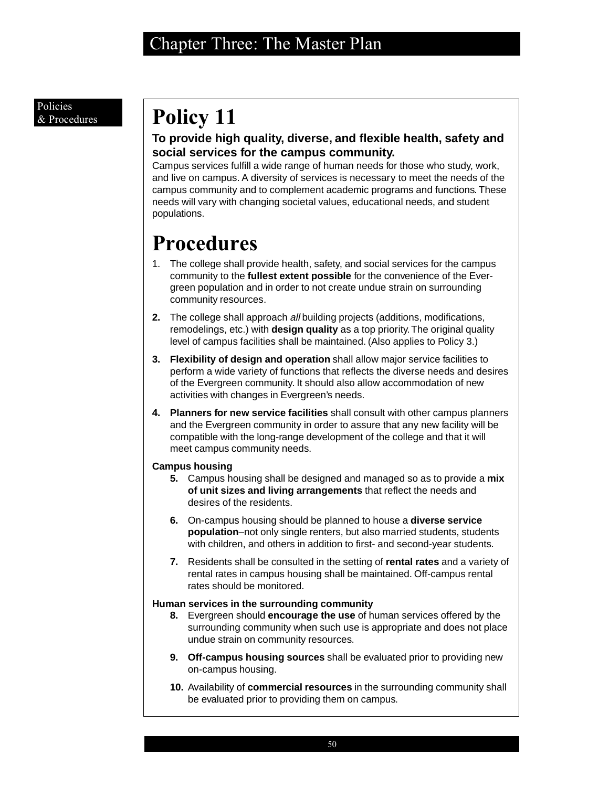# **Policy 11**

## **To provide high quality, diverse, and flexible health, safety and social services for the campus community.**

Campus services fulfill a wide range of human needs for those who study, work, and live on campus. A diversity of services is necessary to meet the needs of the campus community and to complement academic programs and functions. These needs will vary with changing societal values, educational needs, and student populations.

# **Procedures**

- 1. The college shall provide health, safety, and social services for the campus community to the **fullest extent possible** for the convenience of the Evergreen population and in order to not create undue strain on surrounding community resources.
- **2.** The college shall approach all building projects (additions, modifications, remodelings, etc.) with **design quality** as a top priority. The original quality level of campus facilities shall be maintained. (Also applies to Policy 3.)
- **3. Flexibility of design and operation** shall allow major service facilities to perform a wide variety of functions that reflects the diverse needs and desires of the Evergreen community. It should also allow accommodation of new activities with changes in Evergreen's needs.
- **4. Planners for new service facilities** shall consult with other campus planners and the Evergreen community in order to assure that any new facility will be compatible with the long-range development of the college and that it will meet campus community needs.

## **Campus housing**

- **5.** Campus housing shall be designed and managed so as to provide a **mix of unit sizes and living arrangements** that reflect the needs and desires of the residents.
- **6.** On-campus housing should be planned to house a **diverse service population**–not only single renters, but also married students, students with children, and others in addition to first- and second-year students.
- **7.** Residents shall be consulted in the setting of **rental rates** and a variety of rental rates in campus housing shall be maintained. Off-campus rental rates should be monitored.

## **Human services in the surrounding community**

- **8.** Evergreen should **encourage the use** of human services offered by the surrounding community when such use is appropriate and does not place undue strain on community resources.
- **9. Off-campus housing sources** shall be evaluated prior to providing new on-campus housing.
- **10.** Availability of **commercial resources** in the surrounding community shall be evaluated prior to providing them on campus.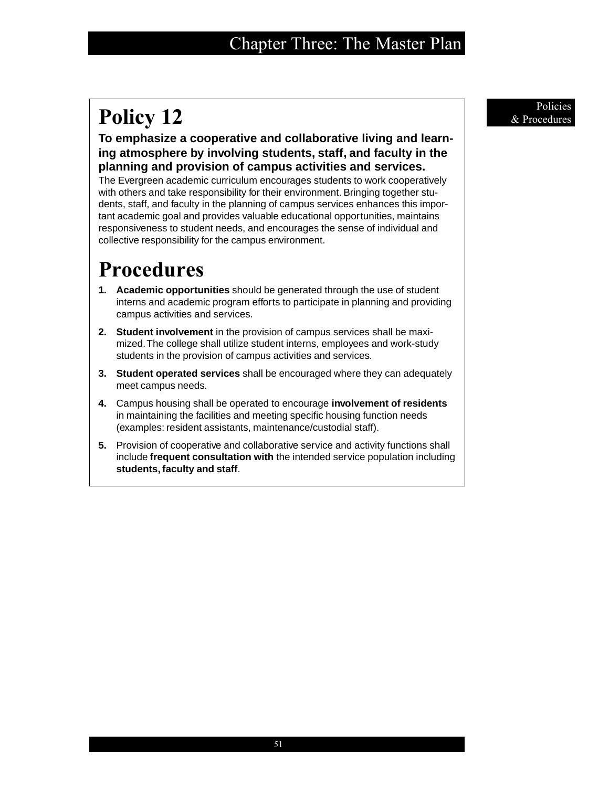# **Policy 12** Provedures

**To emphasize a cooperative and collaborative living and learning atmosphere by involving students, staff, and faculty in the planning and provision of campus activities and services.**

The Evergreen academic curriculum encourages students to work cooperatively with others and take responsibility for their environment. Bringing together students, staff, and faculty in the planning of campus services enhances this important academic goal and provides valuable educational opportunities, maintains responsiveness to student needs, and encourages the sense of individual and collective responsibility for the campus environment.

- **1. Academic opportunities** should be generated through the use of student interns and academic program efforts to participate in planning and providing campus activities and services.
- **2. Student involvement** in the provision of campus services shall be maximized. The college shall utilize student interns, employees and work-study students in the provision of campus activities and services.
- **3. Student operated services** shall be encouraged where they can adequately meet campus needs.
- **4.** Campus housing shall be operated to encourage **involvement of residents** in maintaining the facilities and meeting specific housing function needs (examples: resident assistants, maintenance/custodial staff).
- **5.** Provision of cooperative and collaborative service and activity functions shall include **frequent consultation with** the intended service population including **students, faculty and staff**.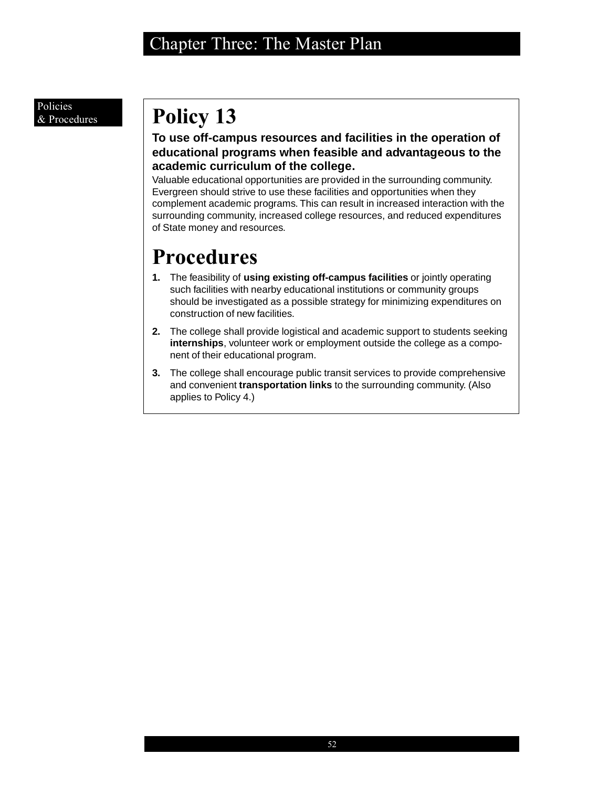### Policies & Procedures

# **Policy 13**

## **To use off-campus resources and facilities in the operation of educational programs when feasible and advantageous to the academic curriculum of the college.**

Valuable educational opportunities are provided in the surrounding community. Evergreen should strive to use these facilities and opportunities when they complement academic programs. This can result in increased interaction with the surrounding community, increased college resources, and reduced expenditures of State money and resources.

- **1.** The feasibility of **using existing off-campus facilities** or jointly operating such facilities with nearby educational institutions or community groups should be investigated as a possible strategy for minimizing expenditures on construction of new facilities.
- **2.** The college shall provide logistical and academic support to students seeking **internships**, volunteer work or employment outside the college as a component of their educational program.
- **3.** The college shall encourage public transit services to provide comprehensive and convenient **transportation links** to the surrounding community. (Also applies to Policy 4.)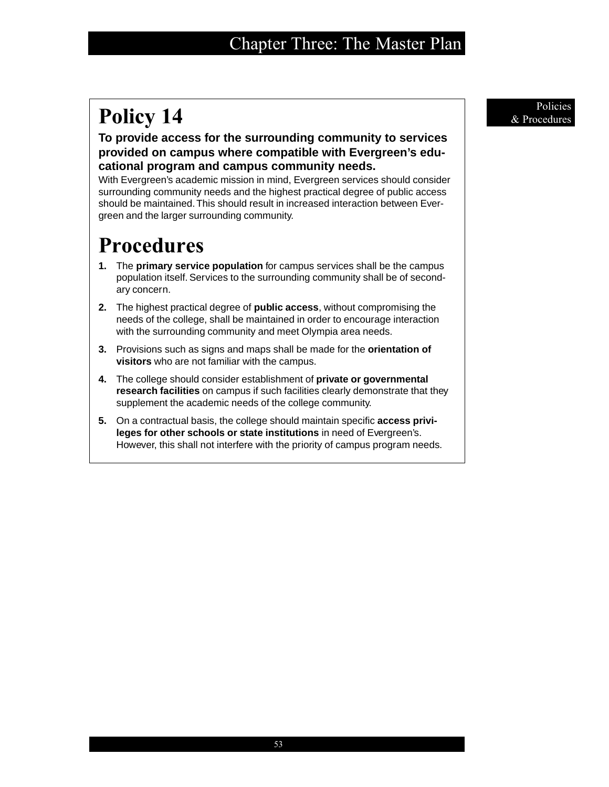# **Policy 14** Policies **Policies**

**To provide access for the surrounding community to services provided on campus where compatible with Evergreen's educational program and campus community needs.**

With Evergreen's academic mission in mind, Evergreen services should consider surrounding community needs and the highest practical degree of public access should be maintained. This should result in increased interaction between Evergreen and the larger surrounding community.

- **1.** The **primary service population** for campus services shall be the campus population itself. Services to the surrounding community shall be of secondary concern.
- **2.** The highest practical degree of **public access**, without compromising the needs of the college, shall be maintained in order to encourage interaction with the surrounding community and meet Olympia area needs.
- **3.** Provisions such as signs and maps shall be made for the **orientation of visitors** who are not familiar with the campus.
- **4.** The college should consider establishment of **private or governmental research facilities** on campus if such facilities clearly demonstrate that they supplement the academic needs of the college community.
- **5.** On a contractual basis, the college should maintain specific **access privileges for other schools or state institutions** in need of Evergreen's. However, this shall not interfere with the priority of campus program needs.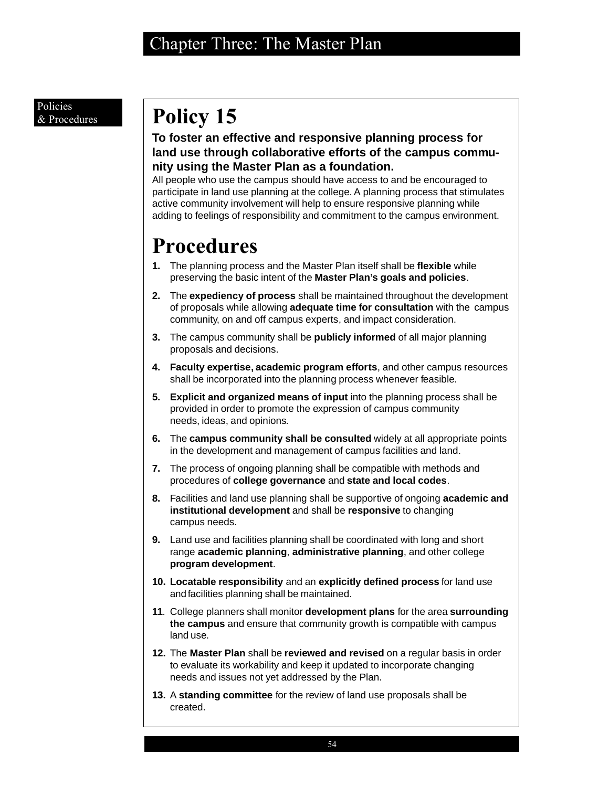# **Policy 15**

## **To foster an effective and responsive planning process for land use through collaborative efforts of the campus community using the Master Plan as a foundation.**

All people who use the campus should have access to and be encouraged to participate in land use planning at the college. A planning process that stimulates active community involvement will help to ensure responsive planning while adding to feelings of responsibility and commitment to the campus environment.

- **1.** The planning process and the Master Plan itself shall be **flexible** while preserving the basic intent of the **Master Plan's goals and policies**.
- **2.** The **expediency of process** shall be maintained throughout the development of proposals while allowing **adequate time for consultation** with the campus community, on and off campus experts, and impact consideration.
- **3.** The campus community shall be **publicly informed** of all major planning proposals and decisions.
- **4. Faculty expertise, academic program efforts**, and other campus resources shall be incorporated into the planning process whenever feasible.
- **5. Explicit and organized means of input** into the planning process shall be provided in order to promote the expression of campus community needs, ideas, and opinions.
- **6.** The **campus community shall be consulted** widely at all appropriate points in the development and management of campus facilities and land.
- **7.** The process of ongoing planning shall be compatible with methods and procedures of **college governance** and **state and local codes**.
- **8.** Facilities and land use planning shall be supportive of ongoing **academic and institutional development** and shall be **responsive** to changing campus needs.
- **9.** Land use and facilities planning shall be coordinated with long and short range **academic planning**, **administrative planning**, and other college **program development**.
- **10. Locatable responsibility** and an **explicitly defined process** for land use and facilities planning shall be maintained.
- **11**. College planners shall monitor **development plans** for the area **surrounding the campus** and ensure that community growth is compatible with campus land use.
- **12.** The **Master Plan** shall be **reviewed and revised** on a regular basis in order to evaluate its workability and keep it updated to incorporate changing needs and issues not yet addressed by the Plan.
- **13.** A **standing committee** for the review of land use proposals shall be created.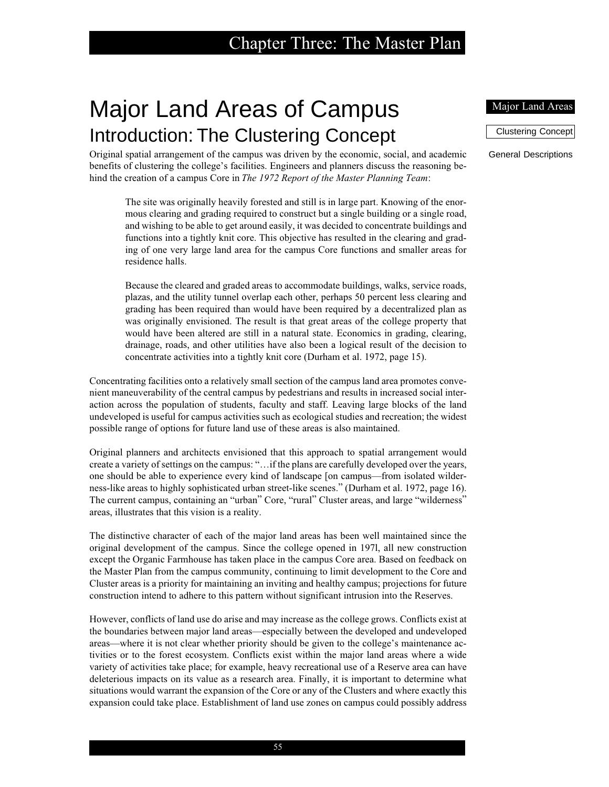# Major Land Areas of Campus Introduction: The Clustering Concept

Original spatial arrangement of the campus was driven by the economic, social, and academic benefits of clustering the college's facilities. Engineers and planners discuss the reasoning behind the creation of a campus Core in *The 1972 Report of the Master Planning Team*:

The site was originally heavily forested and still is in large part. Knowing of the enormous clearing and grading required to construct but a single building or a single road, and wishing to be able to get around easily, it was decided to concentrate buildings and functions into a tightly knit core. This objective has resulted in the clearing and grading of one very large land area for the campus Core functions and smaller areas for residence halls.

Because the cleared and graded areas to accommodate buildings, walks, service roads, plazas, and the utility tunnel overlap each other, perhaps 50 percent less clearing and grading has been required than would have been required by a decentralized plan as was originally envisioned. The result is that great areas of the college property that would have been altered are still in a natural state. Economics in grading, clearing, drainage, roads, and other utilities have also been a logical result of the decision to concentrate activities into a tightly knit core (Durham et al. 1972, page 15).

Concentrating facilities onto a relatively small section of the campus land area promotes convenient maneuverability of the central campus by pedestrians and results in increased social interaction across the population of students, faculty and staff. Leaving large blocks of the land undeveloped is useful for campus activities such as ecological studies and recreation; the widest possible range of options for future land use of these areas is also maintained.

Original planners and architects envisioned that this approach to spatial arrangement would create a variety of settings on the campus: "…if the plans are carefully developed over the years, one should be able to experience every kind of landscape [on campus—from isolated wilderness-like areas to highly sophisticated urban street-like scenes." (Durham et al. 1972, page 16). The current campus, containing an "urban" Core, "rural" Cluster areas, and large "wilderness" areas, illustrates that this vision is a reality.

The distinctive character of each of the major land areas has been well maintained since the original development of the campus. Since the college opened in 197l, all new construction except the Organic Farmhouse has taken place in the campus Core area. Based on feedback on the Master Plan from the campus community, continuing to limit development to the Core and Cluster areas is a priority for maintaining an inviting and healthy campus; projections for future construction intend to adhere to this pattern without significant intrusion into the Reserves.

However, conflicts of land use do arise and may increase as the college grows. Conflicts exist at the boundaries between major land areas—especially between the developed and undeveloped areas—where it is not clear whether priority should be given to the college's maintenance activities or to the forest ecosystem. Conflicts exist within the major land areas where a wide variety of activities take place; for example, heavy recreational use of a Reserve area can have deleterious impacts on its value as a research area. Finally, it is important to determine what situations would warrant the expansion of the Core or any of the Clusters and where exactly this expansion could take place. Establishment of land use zones on campus could possibly address

#### Major Land Areas

Clustering Concept

General Descriptions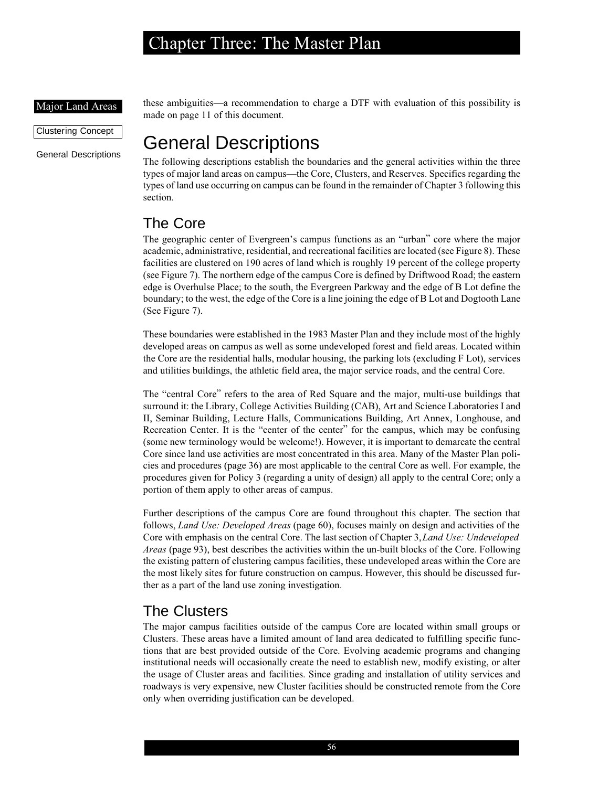#### Major Land Areas

Clustering Concept

General Descriptions

these ambiguities—a recommendation to charge a DTF with evaluation of this possibility is made on page 11 of this document.

# General Descriptions

The following descriptions establish the boundaries and the general activities within the three types of major land areas on campus—the Core, Clusters, and Reserves. Specifics regarding the types of land use occurring on campus can be found in the remainder of Chapter 3 following this section.

## The Core

The geographic center of Evergreen's campus functions as an "urban" core where the major academic, administrative, residential, and recreational facilities are located (see Figure 8). These facilities are clustered on 190 acres of land which is roughly 19 percent of the college property (see Figure 7). The northern edge of the campus Core is defined by Driftwood Road; the eastern edge is Overhulse Place; to the south, the Evergreen Parkway and the edge of B Lot define the boundary; to the west, the edge of the Core is a line joining the edge of B Lot and Dogtooth Lane (See Figure 7).

These boundaries were established in the 1983 Master Plan and they include most of the highly developed areas on campus as well as some undeveloped forest and field areas. Located within the Core are the residential halls, modular housing, the parking lots (excluding F Lot), services and utilities buildings, the athletic field area, the major service roads, and the central Core.

The "central Core" refers to the area of Red Square and the major, multi-use buildings that surround it: the Library, College Activities Building (CAB), Art and Science Laboratories I and II, Seminar Building, Lecture Halls, Communications Building, Art Annex, Longhouse, and Recreation Center. It is the "center of the center" for the campus, which may be confusing (some new terminology would be welcome!). However, it is important to demarcate the central Core since land use activities are most concentrated in this area. Many of the Master Plan policies and procedures (page 36) are most applicable to the central Core as well. For example, the procedures given for Policy 3 (regarding a unity of design) all apply to the central Core; only a portion of them apply to other areas of campus.

Further descriptions of the campus Core are found throughout this chapter. The section that follows, *Land Use: Developed Areas* (page 60), focuses mainly on design and activities of the Core with emphasis on the central Core. The last section of Chapter 3, *Land Use: Undeveloped Areas* (page 93), best describes the activities within the un-built blocks of the Core. Following the existing pattern of clustering campus facilities, these undeveloped areas within the Core are the most likely sites for future construction on campus. However, this should be discussed further as a part of the land use zoning investigation.

## The Clusters

The major campus facilities outside of the campus Core are located within small groups or Clusters. These areas have a limited amount of land area dedicated to fulfilling specific functions that are best provided outside of the Core. Evolving academic programs and changing institutional needs will occasionally create the need to establish new, modify existing, or alter the usage of Cluster areas and facilities. Since grading and installation of utility services and roadways is very expensive, new Cluster facilities should be constructed remote from the Core only when overriding justification can be developed.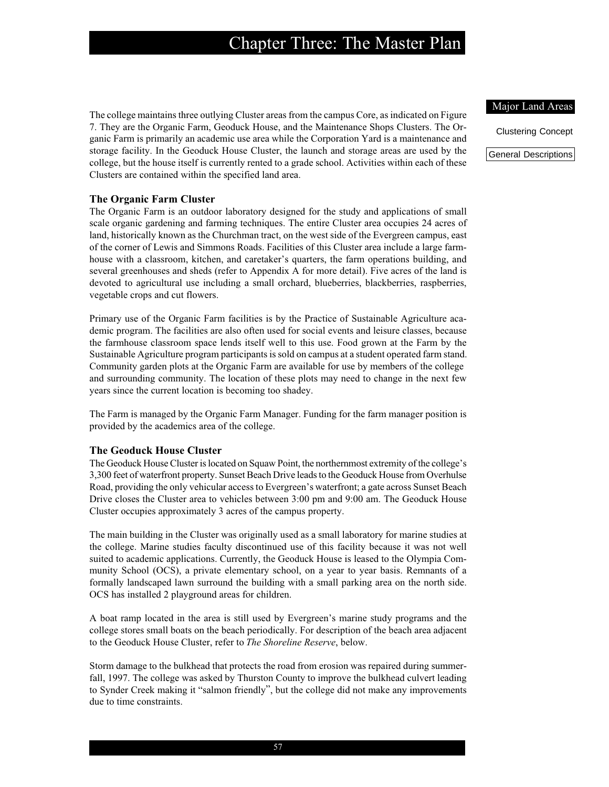The college maintains three outlying Cluster areas from the campus Core, as indicated on Figure 7. They are the Organic Farm, Geoduck House, and the Maintenance Shops Clusters. The Organic Farm is primarily an academic use area while the Corporation Yard is a maintenance and storage facility. In the Geoduck House Cluster, the launch and storage areas are used by the college, but the house itself is currently rented to a grade school. Activities within each of these Clusters are contained within the specified land area.

#### **The Organic Farm Cluster**

The Organic Farm is an outdoor laboratory designed for the study and applications of small scale organic gardening and farming techniques. The entire Cluster area occupies 24 acres of land, historically known as the Churchman tract, on the west side of the Evergreen campus, east of the corner of Lewis and Simmons Roads. Facilities of this Cluster area include a large farmhouse with a classroom, kitchen, and caretaker's quarters, the farm operations building, and several greenhouses and sheds (refer to Appendix A for more detail). Five acres of the land is devoted to agricultural use including a small orchard, blueberries, blackberries, raspberries, vegetable crops and cut flowers.

Primary use of the Organic Farm facilities is by the Practice of Sustainable Agriculture academic program. The facilities are also often used for social events and leisure classes, because the farmhouse classroom space lends itself well to this use. Food grown at the Farm by the Sustainable Agriculture program participants is sold on campus at a student operated farm stand. Community garden plots at the Organic Farm are available for use by members of the college and surrounding community. The location of these plots may need to change in the next few years since the current location is becoming too shadey.

The Farm is managed by the Organic Farm Manager. Funding for the farm manager position is provided by the academics area of the college.

#### **The Geoduck House Cluster**

The Geoduck House Cluster is located on Squaw Point, the northernmost extremity of the college's 3,300 feet of waterfront property. Sunset Beach Drive leads to the Geoduck House from Overhulse Road, providing the only vehicular access to Evergreen's waterfront; a gate across Sunset Beach Drive closes the Cluster area to vehicles between 3:00 pm and 9:00 am. The Geoduck House Cluster occupies approximately 3 acres of the campus property.

The main building in the Cluster was originally used as a small laboratory for marine studies at the college. Marine studies faculty discontinued use of this facility because it was not well suited to academic applications. Currently, the Geoduck House is leased to the Olympia Community School (OCS), a private elementary school, on a year to year basis. Remnants of a formally landscaped lawn surround the building with a small parking area on the north side. OCS has installed 2 playground areas for children.

A boat ramp located in the area is still used by Evergreen's marine study programs and the college stores small boats on the beach periodically. For description of the beach area adjacent to the Geoduck House Cluster, refer to *The Shoreline Reserve*, below.

Storm damage to the bulkhead that protects the road from erosion was repaired during summerfall, 1997. The college was asked by Thurston County to improve the bulkhead culvert leading to Synder Creek making it "salmon friendly", but the college did not make any improvements due to time constraints.

#### Major Land Areas

Clustering Concept

General Descriptions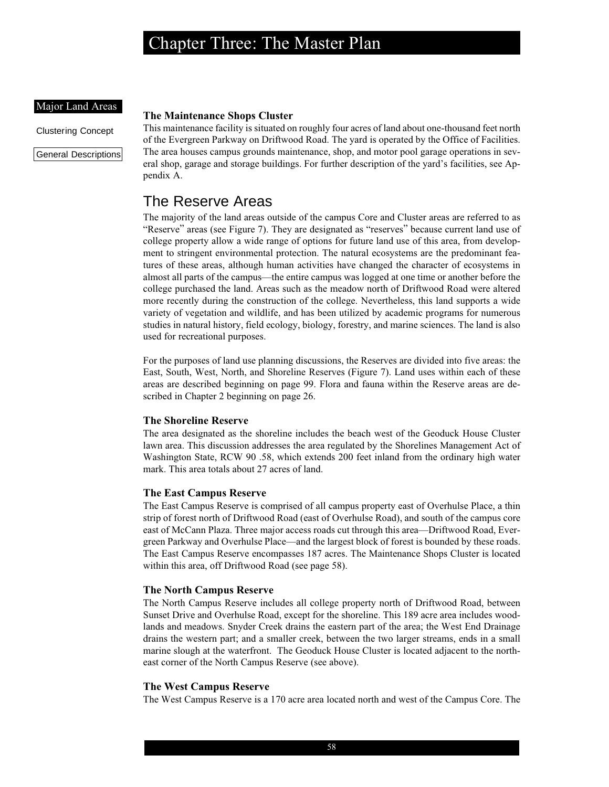#### Major Land Areas

Clustering Concept

General Descriptions

#### **The Maintenance Shops Cluster**

This maintenance facility is situated on roughly four acres of land about one-thousand feet north of the Evergreen Parkway on Driftwood Road. The yard is operated by the Office of Facilities. The area houses campus grounds maintenance, shop, and motor pool garage operations in several shop, garage and storage buildings. For further description of the yard's facilities, see Appendix A.

## The Reserve Areas

The majority of the land areas outside of the campus Core and Cluster areas are referred to as "Reserve" areas (see Figure 7). They are designated as "reserves" because current land use of college property allow a wide range of options for future land use of this area, from development to stringent environmental protection. The natural ecosystems are the predominant features of these areas, although human activities have changed the character of ecosystems in almost all parts of the campus—the entire campus was logged at one time or another before the college purchased the land. Areas such as the meadow north of Driftwood Road were altered more recently during the construction of the college. Nevertheless, this land supports a wide variety of vegetation and wildlife, and has been utilized by academic programs for numerous studies in natural history, field ecology, biology, forestry, and marine sciences. The land is also used for recreational purposes.

For the purposes of land use planning discussions, the Reserves are divided into five areas: the East, South, West, North, and Shoreline Reserves (Figure 7). Land uses within each of these areas are described beginning on page 99. Flora and fauna within the Reserve areas are described in Chapter 2 beginning on page 26.

### **The Shoreline Reserve**

The area designated as the shoreline includes the beach west of the Geoduck House Cluster lawn area. This discussion addresses the area regulated by the Shorelines Management Act of Washington State, RCW 90 .58, which extends 200 feet inland from the ordinary high water mark. This area totals about 27 acres of land.

### **The East Campus Reserve**

The East Campus Reserve is comprised of all campus property east of Overhulse Place, a thin strip of forest north of Driftwood Road (east of Overhulse Road), and south of the campus core east of McCann Plaza. Three major access roads cut through this area—Driftwood Road, Evergreen Parkway and Overhulse Place—and the largest block of forest is bounded by these roads. The East Campus Reserve encompasses 187 acres. The Maintenance Shops Cluster is located within this area, off Driftwood Road (see page 58).

### **The North Campus Reserve**

The North Campus Reserve includes all college property north of Driftwood Road, between Sunset Drive and Overhulse Road, except for the shoreline. This 189 acre area includes woodlands and meadows. Snyder Creek drains the eastern part of the area; the West End Drainage drains the western part; and a smaller creek, between the two larger streams, ends in a small marine slough at the waterfront. The Geoduck House Cluster is located adjacent to the northeast corner of the North Campus Reserve (see above).

### **The West Campus Reserve**

The West Campus Reserve is a 170 acre area located north and west of the Campus Core. The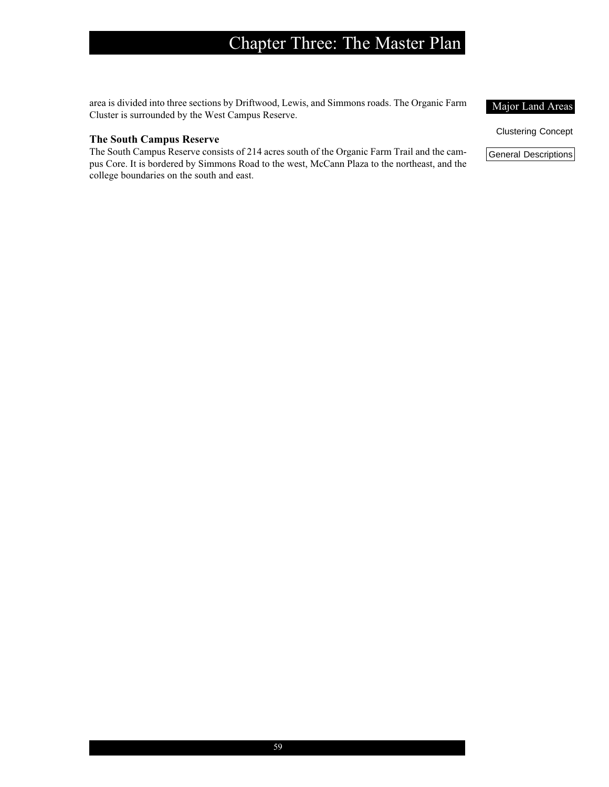area is divided into three sections by Driftwood, Lewis, and Simmons roads. The Organic Farm Cluster is surrounded by the West Campus Reserve.

### **The South Campus Reserve**

The South Campus Reserve consists of 214 acres south of the Organic Farm Trail and the campus Core. It is bordered by Simmons Road to the west, McCann Plaza to the northeast, and the college boundaries on the south and east.

Major Land Areas

Clustering Concept

General Descriptions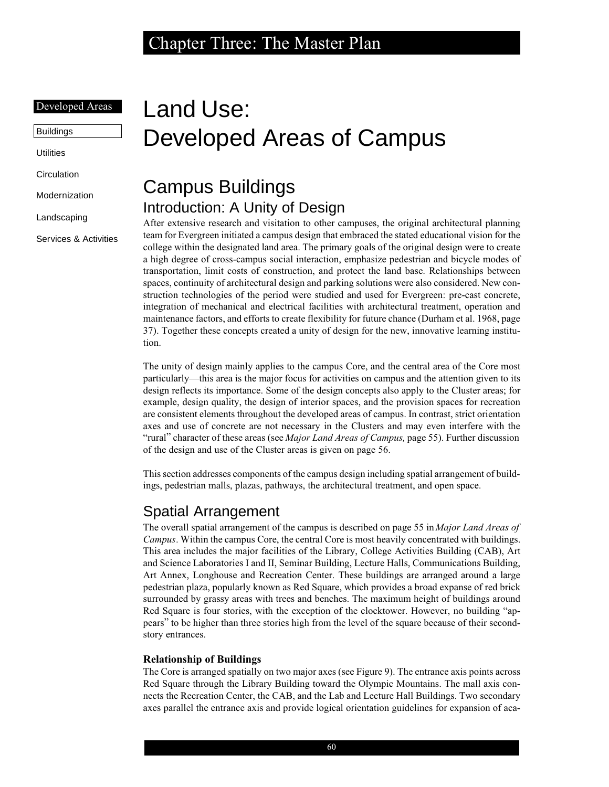### Developed Areas

Buildings

**Utilities** 

**Circulation** 

Modernization

Landscaping

Services & Activities

# Land Use: Developed Areas of Campus

# Campus Buildings Introduction: A Unity of Design

After extensive research and visitation to other campuses, the original architectural planning team for Evergreen initiated a campus design that embraced the stated educational vision for the college within the designated land area. The primary goals of the original design were to create a high degree of cross-campus social interaction, emphasize pedestrian and bicycle modes of transportation, limit costs of construction, and protect the land base. Relationships between spaces, continuity of architectural design and parking solutions were also considered. New construction technologies of the period were studied and used for Evergreen: pre-cast concrete, integration of mechanical and electrical facilities with architectural treatment, operation and maintenance factors, and efforts to create flexibility for future chance (Durham et al. 1968, page 37). Together these concepts created a unity of design for the new, innovative learning institution.

The unity of design mainly applies to the campus Core, and the central area of the Core most particularly—this area is the major focus for activities on campus and the attention given to its design reflects its importance. Some of the design concepts also apply to the Cluster areas; for example, design quality, the design of interior spaces, and the provision spaces for recreation are consistent elements throughout the developed areas of campus. In contrast, strict orientation axes and use of concrete are not necessary in the Clusters and may even interfere with the "rural" character of these areas (see *Major Land Areas of Campus,* page 55). Further discussion of the design and use of the Cluster areas is given on page 56.

This section addresses components of the campus design including spatial arrangement of buildings, pedestrian malls, plazas, pathways, the architectural treatment, and open space.

## Spatial Arrangement

The overall spatial arrangement of the campus is described on page 55 in *Major Land Areas of Campus*. Within the campus Core, the central Core is most heavily concentrated with buildings. This area includes the major facilities of the Library, College Activities Building (CAB), Art and Science Laboratories I and II, Seminar Building, Lecture Halls, Communications Building, Art Annex, Longhouse and Recreation Center. These buildings are arranged around a large pedestrian plaza, popularly known as Red Square, which provides a broad expanse of red brick surrounded by grassy areas with trees and benches. The maximum height of buildings around Red Square is four stories, with the exception of the clocktower. However, no building "appears" to be higher than three stories high from the level of the square because of their secondstory entrances.

### **Relationship of Buildings**

The Core is arranged spatially on two major axes (see Figure 9). The entrance axis points across Red Square through the Library Building toward the Olympic Mountains. The mall axis connects the Recreation Center, the CAB, and the Lab and Lecture Hall Buildings. Two secondary axes parallel the entrance axis and provide logical orientation guidelines for expansion of aca-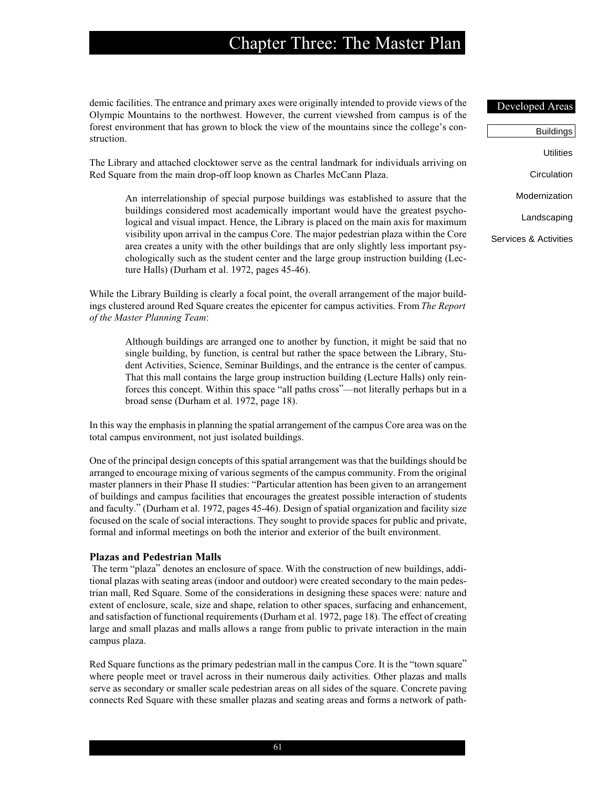demic facilities. The entrance and primary axes were originally intended to provide views of the Olympic Mountains to the northwest. However, the current viewshed from campus is of the forest environment that has grown to block the view of the mountains since the college's construction.

The Library and attached clocktower serve as the central landmark for individuals arriving on Red Square from the main drop-off loop known as Charles McCann Plaza.

An interrelationship of special purpose buildings was established to assure that the buildings considered most academically important would have the greatest psychological and visual impact. Hence, the Library is placed on the main axis for maximum visibility upon arrival in the campus Core. The major pedestrian plaza within the Core area creates a unity with the other buildings that are only slightly less important psychologically such as the student center and the large group instruction building (Lecture Halls) (Durham et al. 1972, pages 45-46).

While the Library Building is clearly a focal point, the overall arrangement of the major buildings clustered around Red Square creates the epicenter for campus activities. From *The Report of the Master Planning Team*:

Although buildings are arranged one to another by function, it might be said that no single building, by function, is central but rather the space between the Library, Student Activities, Science, Seminar Buildings, and the entrance is the center of campus. That this mall contains the large group instruction building (Lecture Halls) only reinforces this concept. Within this space "all paths cross"—not literally perhaps but in a broad sense (Durham et al. 1972, page 18).

In this way the emphasis in planning the spatial arrangement of the campus Core area was on the total campus environment, not just isolated buildings.

One of the principal design concepts of this spatial arrangement was that the buildings should be arranged to encourage mixing of various segments of the campus community. From the original master planners in their Phase II studies: "Particular attention has been given to an arrangement of buildings and campus facilities that encourages the greatest possible interaction of students and faculty." (Durham et al. 1972, pages 45-46). Design of spatial organization and facility size focused on the scale of social interactions. They sought to provide spaces for public and private, formal and informal meetings on both the interior and exterior of the built environment.

#### **Plazas and Pedestrian Malls**

 The term "plaza" denotes an enclosure of space. With the construction of new buildings, additional plazas with seating areas (indoor and outdoor) were created secondary to the main pedestrian mall, Red Square. Some of the considerations in designing these spaces were: nature and extent of enclosure, scale, size and shape, relation to other spaces, surfacing and enhancement, and satisfaction of functional requirements (Durham et al. 1972, page 18). The effect of creating large and small plazas and malls allows a range from public to private interaction in the main campus plaza.

Red Square functions as the primary pedestrian mall in the campus Core. It is the "town square" where people meet or travel across in their numerous daily activities. Other plazas and malls serve as secondary or smaller scale pedestrian areas on all sides of the square. Concrete paving connects Red Square with these smaller plazas and seating areas and forms a network of path-

#### Developed Areas

| <b>Buildings</b>      |
|-----------------------|
| Utilities             |
|                       |
| Circulation           |
| Modernization         |
|                       |
| Landscaping           |
| Services & Activities |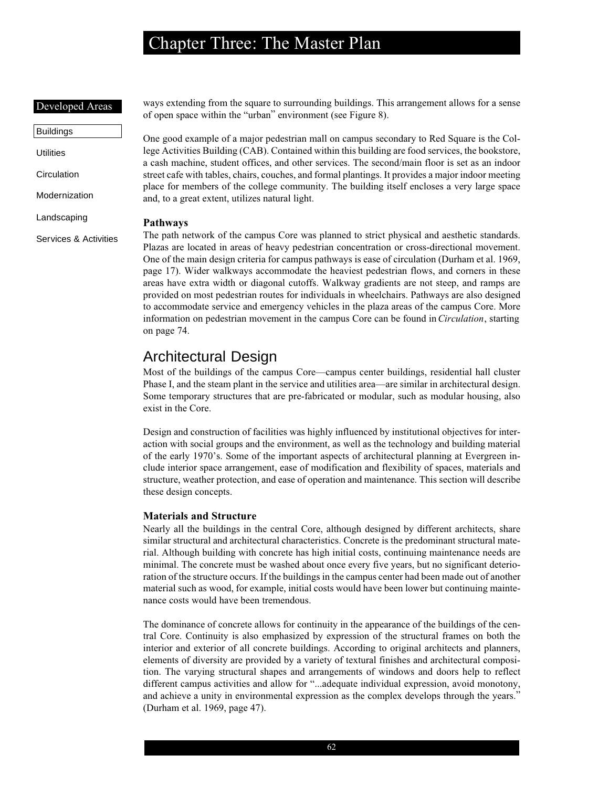### Developed Areas

Buildings **Utilities Circulation** Modernization Landscaping Services & Activities

ways extending from the square to surrounding buildings. This arrangement allows for a sense of open space within the "urban" environment (see Figure 8).

One good example of a major pedestrian mall on campus secondary to Red Square is the College Activities Building (CAB). Contained within this building are food services, the bookstore, a cash machine, student offices, and other services. The second/main floor is set as an indoor street cafe with tables, chairs, couches, and formal plantings. It provides a major indoor meeting place for members of the college community. The building itself encloses a very large space and, to a great extent, utilizes natural light.

### **Pathways**

The path network of the campus Core was planned to strict physical and aesthetic standards. Plazas are located in areas of heavy pedestrian concentration or cross-directional movement. One of the main design criteria for campus pathways is ease of circulation (Durham et al. 1969, page 17). Wider walkways accommodate the heaviest pedestrian flows, and corners in these areas have extra width or diagonal cutoffs. Walkway gradients are not steep, and ramps are provided on most pedestrian routes for individuals in wheelchairs. Pathways are also designed to accommodate service and emergency vehicles in the plaza areas of the campus Core. More information on pedestrian movement in the campus Core can be found in *Circulation*, starting on page 74.

## Architectural Design

Most of the buildings of the campus Core—campus center buildings, residential hall cluster Phase I, and the steam plant in the service and utilities area—are similar in architectural design. Some temporary structures that are pre-fabricated or modular, such as modular housing, also exist in the Core.

Design and construction of facilities was highly influenced by institutional objectives for interaction with social groups and the environment, as well as the technology and building material of the early 1970's. Some of the important aspects of architectural planning at Evergreen include interior space arrangement, ease of modification and flexibility of spaces, materials and structure, weather protection, and ease of operation and maintenance. This section will describe these design concepts.

### **Materials and Structure**

Nearly all the buildings in the central Core, although designed by different architects, share similar structural and architectural characteristics. Concrete is the predominant structural material. Although building with concrete has high initial costs, continuing maintenance needs are minimal. The concrete must be washed about once every five years, but no significant deterioration of the structure occurs. If the buildings in the campus center had been made out of another material such as wood, for example, initial costs would have been lower but continuing maintenance costs would have been tremendous.

The dominance of concrete allows for continuity in the appearance of the buildings of the central Core. Continuity is also emphasized by expression of the structural frames on both the interior and exterior of all concrete buildings. According to original architects and planners, elements of diversity are provided by a variety of textural finishes and architectural composition. The varying structural shapes and arrangements of windows and doors help to reflect different campus activities and allow for "...adequate individual expression, avoid monotony, and achieve a unity in environmental expression as the complex develops through the years." (Durham et al. 1969, page 47).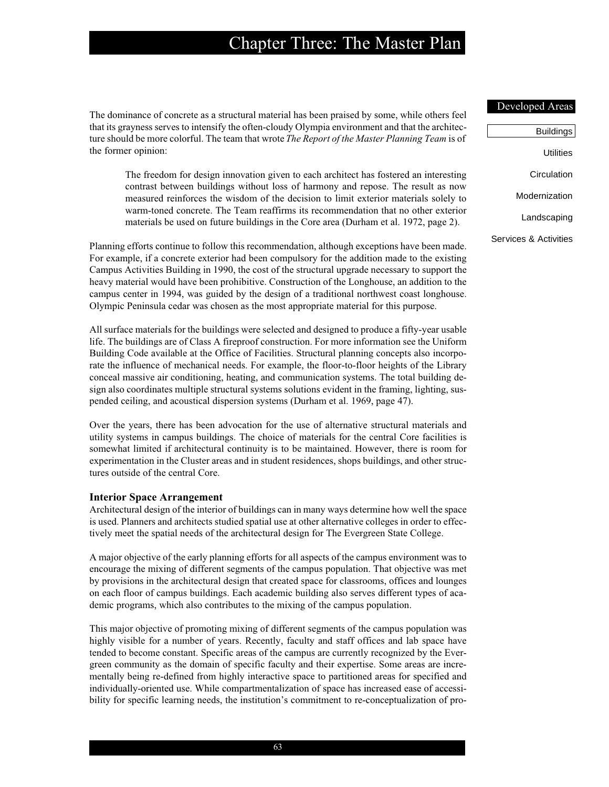The dominance of concrete as a structural material has been praised by some, while others feel that its grayness serves to intensify the often-cloudy Olympia environment and that the architecture should be more colorful. The team that wrote *The Report of the Master Planning Team* is of the former opinion:

The freedom for design innovation given to each architect has fostered an interesting contrast between buildings without loss of harmony and repose. The result as now measured reinforces the wisdom of the decision to limit exterior materials solely to warm-toned concrete. The Team reaffirms its recommendation that no other exterior materials be used on future buildings in the Core area (Durham et al. 1972, page 2).

Planning efforts continue to follow this recommendation, although exceptions have been made. For example, if a concrete exterior had been compulsory for the addition made to the existing Campus Activities Building in 1990, the cost of the structural upgrade necessary to support the heavy material would have been prohibitive. Construction of the Longhouse, an addition to the campus center in 1994, was guided by the design of a traditional northwest coast longhouse. Olympic Peninsula cedar was chosen as the most appropriate material for this purpose.

All surface materials for the buildings were selected and designed to produce a fifty-year usable life. The buildings are of Class A fireproof construction. For more information see the Uniform Building Code available at the Office of Facilities. Structural planning concepts also incorporate the influence of mechanical needs. For example, the floor-to-floor heights of the Library conceal massive air conditioning, heating, and communication systems. The total building design also coordinates multiple structural systems solutions evident in the framing, lighting, suspended ceiling, and acoustical dispersion systems (Durham et al. 1969, page 47).

Over the years, there has been advocation for the use of alternative structural materials and utility systems in campus buildings. The choice of materials for the central Core facilities is somewhat limited if architectural continuity is to be maintained. However, there is room for experimentation in the Cluster areas and in student residences, shops buildings, and other structures outside of the central Core.

#### **Interior Space Arrangement**

Architectural design of the interior of buildings can in many ways determine how well the space is used. Planners and architects studied spatial use at other alternative colleges in order to effectively meet the spatial needs of the architectural design for The Evergreen State College.

A major objective of the early planning efforts for all aspects of the campus environment was to encourage the mixing of different segments of the campus population. That objective was met by provisions in the architectural design that created space for classrooms, offices and lounges on each floor of campus buildings. Each academic building also serves different types of academic programs, which also contributes to the mixing of the campus population.

This major objective of promoting mixing of different segments of the campus population was highly visible for a number of years. Recently, faculty and staff offices and lab space have tended to become constant. Specific areas of the campus are currently recognized by the Evergreen community as the domain of specific faculty and their expertise. Some areas are incrementally being re-defined from highly interactive space to partitioned areas for specified and individually-oriented use. While compartmentalization of space has increased ease of accessibility for specific learning needs, the institution's commitment to re-conceptualization of pro-

#### Developed Areas

| Buildings             |
|-----------------------|
| Utilities             |
| Circulation           |
| Modernization         |
| Landscaping           |
| Services & Activities |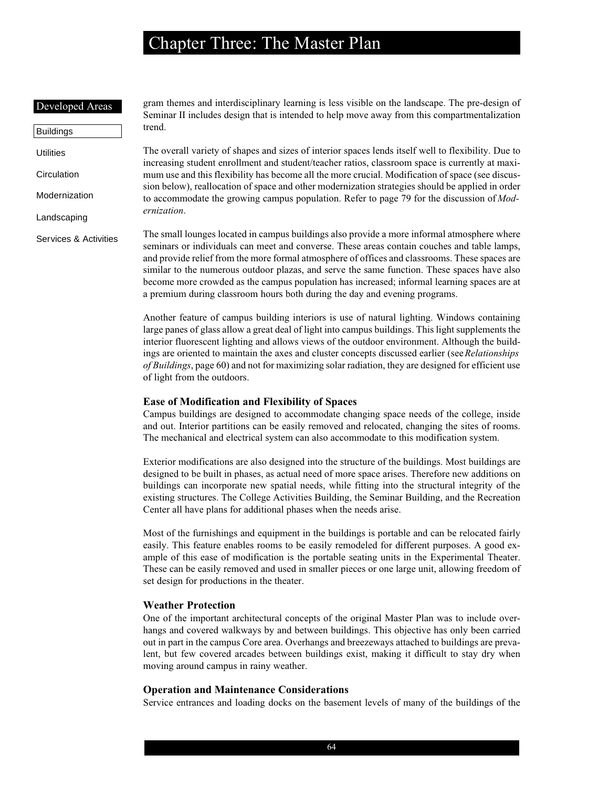#### Developed Areas

Buildings **Utilities Circulation** Modernization Landscaping Services & Activities gram themes and interdisciplinary learning is less visible on the landscape. The pre-design of Seminar II includes design that is intended to help move away from this compartmentalization trend.

The overall variety of shapes and sizes of interior spaces lends itself well to flexibility. Due to increasing student enrollment and student/teacher ratios, classroom space is currently at maximum use and this flexibility has become all the more crucial. Modification of space (see discussion below), reallocation of space and other modernization strategies should be applied in order to accommodate the growing campus population. Refer to page 79 for the discussion of *Modernization*.

The small lounges located in campus buildings also provide a more informal atmosphere where seminars or individuals can meet and converse. These areas contain couches and table lamps, and provide relief from the more formal atmosphere of offices and classrooms. These spaces are similar to the numerous outdoor plazas, and serve the same function. These spaces have also become more crowded as the campus population has increased; informal learning spaces are at a premium during classroom hours both during the day and evening programs.

Another feature of campus building interiors is use of natural lighting. Windows containing large panes of glass allow a great deal of light into campus buildings. This light supplements the interior fluorescent lighting and allows views of the outdoor environment. Although the buildings are oriented to maintain the axes and cluster concepts discussed earlier (see *Relationships of Buildings*, page 60) and not for maximizing solar radiation, they are designed for efficient use of light from the outdoors.

### **Ease of Modification and Flexibility of Spaces**

Campus buildings are designed to accommodate changing space needs of the college, inside and out. Interior partitions can be easily removed and relocated, changing the sites of rooms. The mechanical and electrical system can also accommodate to this modification system.

Exterior modifications are also designed into the structure of the buildings. Most buildings are designed to be built in phases, as actual need of more space arises. Therefore new additions on buildings can incorporate new spatial needs, while fitting into the structural integrity of the existing structures. The College Activities Building, the Seminar Building, and the Recreation Center all have plans for additional phases when the needs arise.

Most of the furnishings and equipment in the buildings is portable and can be relocated fairly easily. This feature enables rooms to be easily remodeled for different purposes. A good example of this ease of modification is the portable seating units in the Experimental Theater. These can be easily removed and used in smaller pieces or one large unit, allowing freedom of set design for productions in the theater.

### **Weather Protection**

One of the important architectural concepts of the original Master Plan was to include overhangs and covered walkways by and between buildings. This objective has only been carried out in part in the campus Core area. Overhangs and breezeways attached to buildings are prevalent, but few covered arcades between buildings exist, making it difficult to stay dry when moving around campus in rainy weather.

#### **Operation and Maintenance Considerations**

Service entrances and loading docks on the basement levels of many of the buildings of the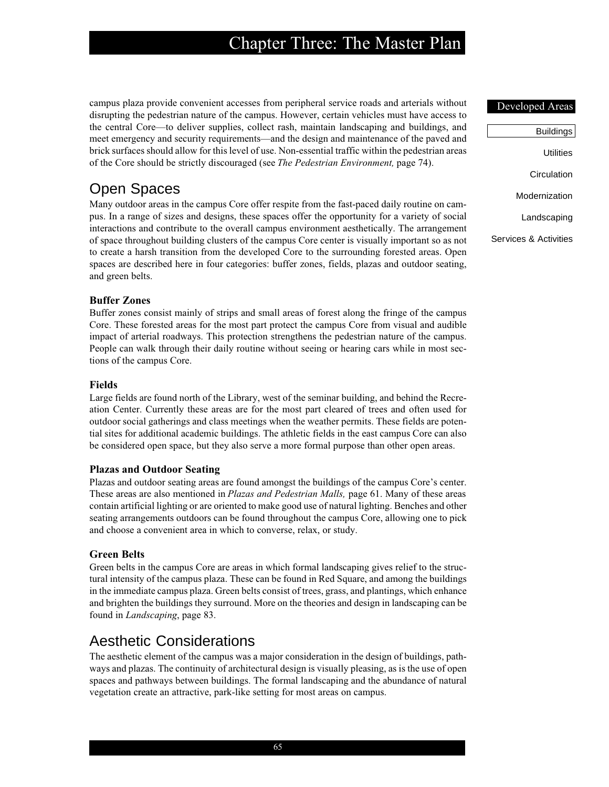campus plaza provide convenient accesses from peripheral service roads and arterials without disrupting the pedestrian nature of the campus. However, certain vehicles must have access to the central Core—to deliver supplies, collect rash, maintain landscaping and buildings, and meet emergency and security requirements—and the design and maintenance of the paved and brick surfaces should allow for this level of use. Non-essential traffic within the pedestrian areas of the Core should be strictly discouraged (see *The Pedestrian Environment,* page 74).

## Open Spaces

Many outdoor areas in the campus Core offer respite from the fast-paced daily routine on campus. In a range of sizes and designs, these spaces offer the opportunity for a variety of social interactions and contribute to the overall campus environment aesthetically. The arrangement of space throughout building clusters of the campus Core center is visually important so as not to create a harsh transition from the developed Core to the surrounding forested areas. Open spaces are described here in four categories: buffer zones, fields, plazas and outdoor seating, and green belts.

### **Buffer Zones**

Buffer zones consist mainly of strips and small areas of forest along the fringe of the campus Core. These forested areas for the most part protect the campus Core from visual and audible impact of arterial roadways. This protection strengthens the pedestrian nature of the campus. People can walk through their daily routine without seeing or hearing cars while in most sections of the campus Core.

### **Fields**

Large fields are found north of the Library, west of the seminar building, and behind the Recreation Center. Currently these areas are for the most part cleared of trees and often used for outdoor social gatherings and class meetings when the weather permits. These fields are potential sites for additional academic buildings. The athletic fields in the east campus Core can also be considered open space, but they also serve a more formal purpose than other open areas.

### **Plazas and Outdoor Seating**

Plazas and outdoor seating areas are found amongst the buildings of the campus Core's center. These areas are also mentioned in *Plazas and Pedestrian Malls,* page 61. Many of these areas contain artificial lighting or are oriented to make good use of natural lighting. Benches and other seating arrangements outdoors can be found throughout the campus Core, allowing one to pick and choose a convenient area in which to converse, relax, or study.

### **Green Belts**

Green belts in the campus Core are areas in which formal landscaping gives relief to the structural intensity of the campus plaza. These can be found in Red Square, and among the buildings in the immediate campus plaza. Green belts consist of trees, grass, and plantings, which enhance and brighten the buildings they surround. More on the theories and design in landscaping can be found in *Landscaping*, page 83.

## Aesthetic Considerations

The aesthetic element of the campus was a major consideration in the design of buildings, pathways and plazas. The continuity of architectural design is visually pleasing, as is the use of open spaces and pathways between buildings. The formal landscaping and the abundance of natural vegetation create an attractive, park-like setting for most areas on campus.

#### Developed Areas

| Buildings             |
|-----------------------|
| Utilities             |
| Circulation           |
| Modernization         |
| Landscaping           |
| Services & Activities |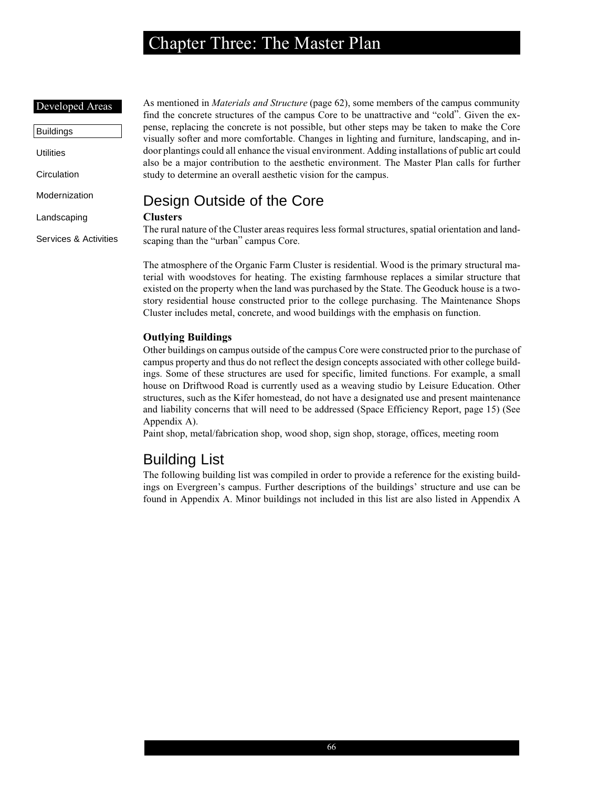#### Developed Areas

| Buildings        |
|------------------|
| <b>Utilities</b> |
| Circulation      |
| Modernization    |
| Landscaping      |

Services & Activities

As mentioned in *Materials and Structure* (page 62), some members of the campus community find the concrete structures of the campus Core to be unattractive and "cold". Given the expense, replacing the concrete is not possible, but other steps may be taken to make the Core visually softer and more comfortable. Changes in lighting and furniture, landscaping, and indoor plantings could all enhance the visual environment. Adding installations of public art could also be a major contribution to the aesthetic environment. The Master Plan calls for further study to determine an overall aesthetic vision for the campus.

## Design Outside of the Core

### **Clusters**

The rural nature of the Cluster areas requires less formal structures, spatial orientation and landscaping than the "urban" campus Core.

The atmosphere of the Organic Farm Cluster is residential. Wood is the primary structural material with woodstoves for heating. The existing farmhouse replaces a similar structure that existed on the property when the land was purchased by the State. The Geoduck house is a twostory residential house constructed prior to the college purchasing. The Maintenance Shops Cluster includes metal, concrete, and wood buildings with the emphasis on function.

## **Outlying Buildings**

Other buildings on campus outside of the campus Core were constructed prior to the purchase of campus property and thus do not reflect the design concepts associated with other college buildings. Some of these structures are used for specific, limited functions. For example, a small house on Driftwood Road is currently used as a weaving studio by Leisure Education. Other structures, such as the Kifer homestead, do not have a designated use and present maintenance and liability concerns that will need to be addressed (Space Efficiency Report, page 15) (See Appendix A).

Paint shop, metal/fabrication shop, wood shop, sign shop, storage, offices, meeting room

## Building List

The following building list was compiled in order to provide a reference for the existing buildings on Evergreen's campus. Further descriptions of the buildings' structure and use can be found in Appendix A. Minor buildings not included in this list are also listed in Appendix A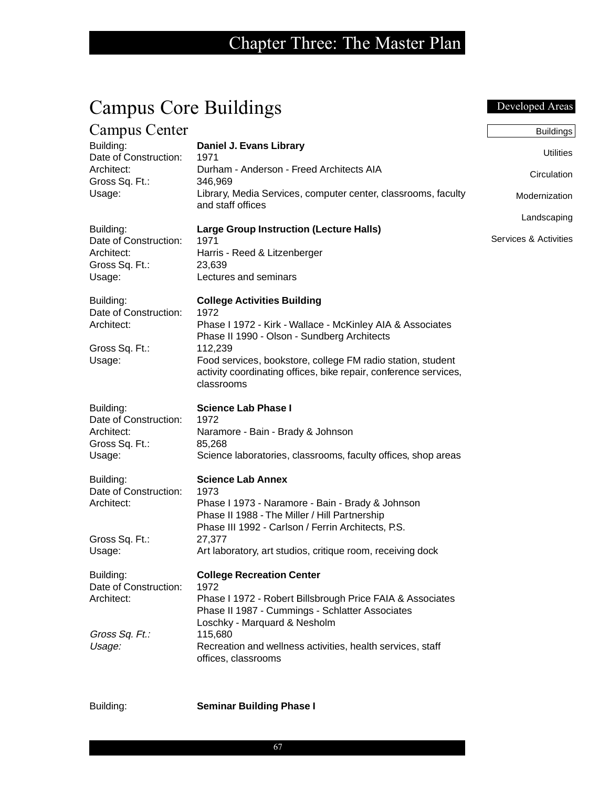| <b>Campus Core Buildings</b>                     |                                                                                                                                                          | Developed Areas                      |
|--------------------------------------------------|----------------------------------------------------------------------------------------------------------------------------------------------------------|--------------------------------------|
| Campus Center                                    |                                                                                                                                                          | <b>Buildings</b>                     |
| Building:<br>Date of Construction:               | Daniel J. Evans Library<br>1971                                                                                                                          | <b>Utilities</b>                     |
| Architect:<br>Gross Sq. Ft.:                     | Durham - Anderson - Freed Architects AIA<br>346,969                                                                                                      | Circulation                          |
| Usage:                                           | Library, Media Services, computer center, classrooms, faculty<br>and staff offices                                                                       | Modernization                        |
| Building:<br>Date of Construction:               | <b>Large Group Instruction (Lecture Halls)</b><br>1971                                                                                                   | Landscaping<br>Services & Activities |
| Architect:<br>Gross Sq. Ft.:                     | Harris - Reed & Litzenberger<br>23,639                                                                                                                   |                                      |
| Usage:                                           | Lectures and seminars                                                                                                                                    |                                      |
| Building:<br>Date of Construction:               | <b>College Activities Building</b><br>1972                                                                                                               |                                      |
| Architect:                                       | Phase I 1972 - Kirk - Wallace - McKinley AIA & Associates<br>Phase II 1990 - Olson - Sundberg Architects                                                 |                                      |
| Gross Sq. Ft.:<br>Usage:                         | 112,239<br>Food services, bookstore, college FM radio station, student<br>activity coordinating offices, bike repair, conference services,<br>classrooms |                                      |
| Building:<br>Date of Construction:               | <b>Science Lab Phase I</b><br>1972                                                                                                                       |                                      |
| Architect:<br>Gross Sq. Ft.:                     | Naramore - Bain - Brady & Johnson<br>85,268                                                                                                              |                                      |
| Usage:                                           | Science laboratories, classrooms, faculty offices, shop areas                                                                                            |                                      |
| Building:<br>Date of Construction:               | <b>Science Lab Annex</b><br>1973                                                                                                                         |                                      |
| Architect:                                       | Phase I 1973 - Naramore - Bain - Brady & Johnson<br>Phase II 1988 - The Miller / Hill Partnership                                                        |                                      |
| Gross Sq. Ft.:                                   | Phase III 1992 - Carlson / Ferrin Architects, P.S.<br>27,377                                                                                             |                                      |
| Usage:                                           | Art laboratory, art studios, critique room, receiving dock                                                                                               |                                      |
| Building:<br>Date of Construction:<br>Architect: | <b>College Recreation Center</b><br>1972<br>Phase I 1972 - Robert Billsbrough Price FAIA & Associates<br>Phase II 1987 - Cummings - Schlatter Associates |                                      |
| Gross Sq. Ft.:<br>Usage:                         | Loschky - Marquard & Nesholm<br>115,680<br>Recreation and wellness activities, health services, staff<br>offices, classrooms                             |                                      |

Building: **Seminar Building Phase I**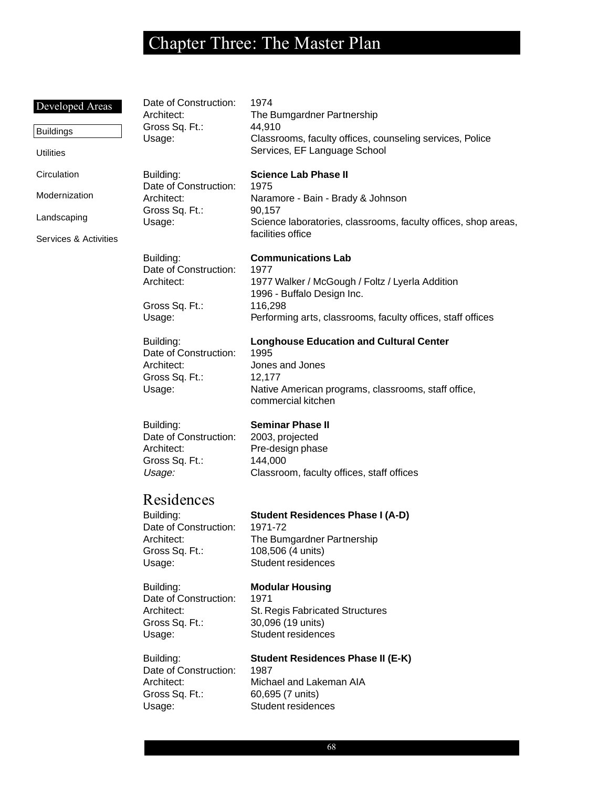## Developed Areas Buildings Utilities **Circulation** Modernization Landscaping Services & Activities Date of Construction: 1974 Architect: The Bumgardner Partnership Gross Sq. Ft.: 44,910 Usage: Classrooms, faculty offices, counseling services, Police Services, EF Language School Building: **Science Lab Phase II** Date of Construction: 1975 Architect: Naramore - Bain - Brady & Johnson Gross Sq. Ft.: 90,157 Usage: Science laboratories, classrooms, faculty offices, shop areas, facilities office Building: **Communications Lab** Date of Construction: 1977 Architect: 1977 Walker / McGough / Foltz / Lyerla Addition 1996 - Buffalo Design Inc. Gross Sq. Ft.: 116,298 Usage: Performing arts, classrooms, faculty offices, staff offices Building: **Longhouse Education and Cultural Center** Date of Construction: 1995 Architect: Jones and Jones Gross Sq. Ft.: 12,177 Usage: Native American programs, classrooms, staff office, commercial kitchen Building: **Seminar Phase II** Date of Construction: 2003, projected Architect: Pre-design phase Gross Sq. Ft.: 144,000 Usage: Classroom, faculty offices, staff offices Residences Building: **Student Residences Phase I (A-D)** Date of Construction: 1971-72 Architect: The Bumgardner Partnership Gross Sq. Ft.: 108,506 (4 units) Usage: Student residences Building: **Modular Housing** Date of Construction: 1971 Architect: St. Regis Fabricated Structures Gross Sq. Ft.: 30,096 (19 units) Usage: Student residences Building: **Student Residences Phase II (E-K)** Date of Construction: 1987 Architect: Michael and Lakeman AIA Gross Sq. Ft.: 60,695 (7 units) Usage: Student residences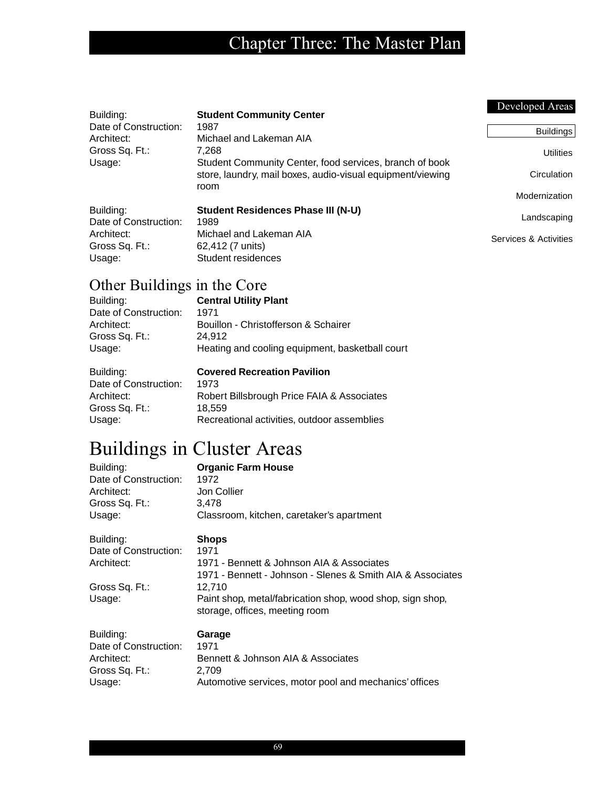|                                        |                                                                                             | Developed Areas       |
|----------------------------------------|---------------------------------------------------------------------------------------------|-----------------------|
| Building:                              | <b>Student Community Center</b>                                                             |                       |
| Date of Construction:                  | 1987                                                                                        | <b>Buildings</b>      |
| Architect:<br>Gross Sq. Ft.:<br>Usage: | Michael and Lakeman AIA<br>7.268<br>Student Community Center, food services, branch of book | <b>Utilities</b>      |
|                                        | store, laundry, mail boxes, audio-visual equipment/viewing<br>room                          | Circulation           |
|                                        |                                                                                             | Modernization         |
| Building:                              | <b>Student Residences Phase III (N-U)</b>                                                   |                       |
| Date of Construction:                  | 1989                                                                                        | Landscaping           |
| Architect:                             | Michael and Lakeman AIA                                                                     | Services & Activities |
| Gross Sq. Ft.:                         | 62,412 (7 units)                                                                            |                       |
| Usage:                                 | Student residences                                                                          |                       |

# Other Buildings in the Core

| Building:             | <b>Central Utility Plant</b>                    |
|-----------------------|-------------------------------------------------|
| Date of Construction: | 1971                                            |
| Architect:            | Bouillon - Christofferson & Schairer            |
| Gross Sq. Ft.:        | 24.912                                          |
| Usage:                | Heating and cooling equipment, basketball court |

| Building:             | <b>Covered Recreation Pavilion</b>          |
|-----------------------|---------------------------------------------|
| Date of Construction: | 1973                                        |
| Architect:            | Robert Billsbrough Price FAIA & Associates  |
| Gross Sq. Ft.:        | 18.559                                      |
| Usage:                | Recreational activities, outdoor assemblies |

# Buildings in Cluster Areas

| Building:             | <b>Organic Farm House</b>                                  |
|-----------------------|------------------------------------------------------------|
| Date of Construction: | 1972                                                       |
| Architect:            | Jon Collier                                                |
| Gross Sq. Ft.:        | 3.478                                                      |
| Usage:                | Classroom, kitchen, caretaker's apartment                  |
| Building:             | <b>Shops</b>                                               |
| Date of Construction: | 1971                                                       |
| Architect:            | 1971 - Bennett & Johnson AIA & Associates                  |
|                       | 1971 - Bennett - Johnson - Slenes & Smith AIA & Associates |
| Gross Sq. Ft.:        | 12,710                                                     |
| Usage:                | Paint shop, metal/fabrication shop, wood shop, sign shop,  |
|                       | storage, offices, meeting room                             |
| Building:             | Garage                                                     |

| Building:             | Garage                                                 |
|-----------------------|--------------------------------------------------------|
| Date of Construction: | 1971                                                   |
| Architect:            | Bennett & Johnson AIA & Associates                     |
| Gross Sq. Ft.:        | 2.709                                                  |
| Usage:                | Automotive services, motor pool and mechanics' offices |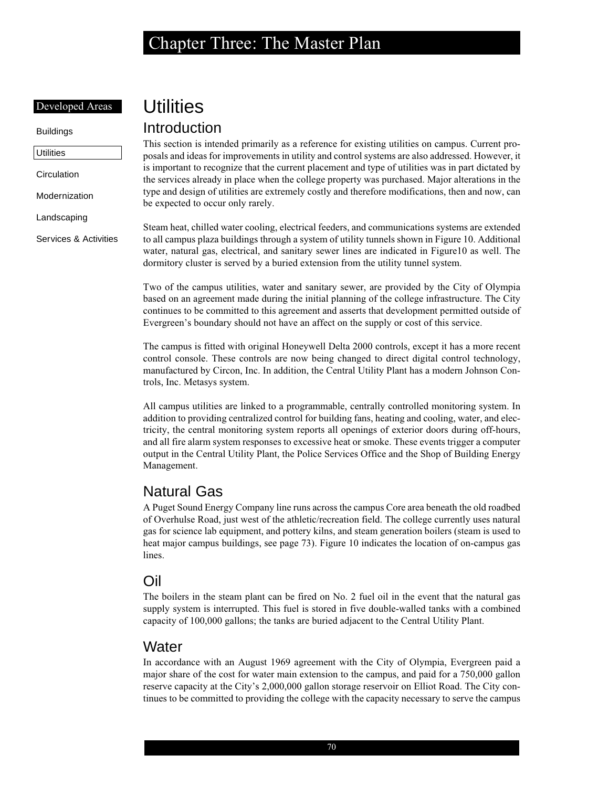### Developed Areas

Buildings

**Utilities** 

**Circulation** 

Modernization

Landscaping

Services & Activities

# **Utilities**

## Introduction

This section is intended primarily as a reference for existing utilities on campus. Current proposals and ideas for improvements in utility and control systems are also addressed. However, it is important to recognize that the current placement and type of utilities was in part dictated by the services already in place when the college property was purchased. Major alterations in the type and design of utilities are extremely costly and therefore modifications, then and now, can be expected to occur only rarely.

Steam heat, chilled water cooling, electrical feeders, and communications systems are extended to all campus plaza buildings through a system of utility tunnels shown in Figure 10. Additional water, natural gas, electrical, and sanitary sewer lines are indicated in Figure10 as well. The dormitory cluster is served by a buried extension from the utility tunnel system.

Two of the campus utilities, water and sanitary sewer, are provided by the City of Olympia based on an agreement made during the initial planning of the college infrastructure. The City continues to be committed to this agreement and asserts that development permitted outside of Evergreen's boundary should not have an affect on the supply or cost of this service.

The campus is fitted with original Honeywell Delta 2000 controls, except it has a more recent control console. These controls are now being changed to direct digital control technology, manufactured by Circon, Inc. In addition, the Central Utility Plant has a modern Johnson Controls, Inc. Metasys system.

All campus utilities are linked to a programmable, centrally controlled monitoring system. In addition to providing centralized control for building fans, heating and cooling, water, and electricity, the central monitoring system reports all openings of exterior doors during off-hours, and all fire alarm system responses to excessive heat or smoke. These events trigger a computer output in the Central Utility Plant, the Police Services Office and the Shop of Building Energy Management.

## Natural Gas

A Puget Sound Energy Company line runs across the campus Core area beneath the old roadbed of Overhulse Road, just west of the athletic/recreation field. The college currently uses natural gas for science lab equipment, and pottery kilns, and steam generation boilers (steam is used to heat major campus buildings, see page 73). Figure 10 indicates the location of on-campus gas lines.

## Oil

The boilers in the steam plant can be fired on No. 2 fuel oil in the event that the natural gas supply system is interrupted. This fuel is stored in five double-walled tanks with a combined capacity of 100,000 gallons; the tanks are buried adjacent to the Central Utility Plant.

## **Water**

In accordance with an August 1969 agreement with the City of Olympia, Evergreen paid a major share of the cost for water main extension to the campus, and paid for a 750,000 gallon reserve capacity at the City's 2,000,000 gallon storage reservoir on Elliot Road. The City continues to be committed to providing the college with the capacity necessary to serve the campus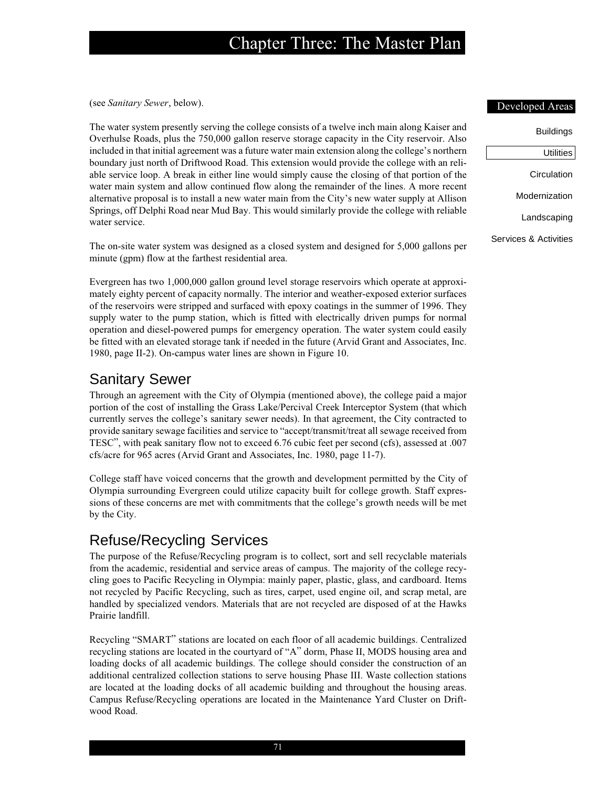(see *Sanitary Sewer*, below).

The water system presently serving the college consists of a twelve inch main along Kaiser and Overhulse Roads, plus the 750,000 gallon reserve storage capacity in the City reservoir. Also included in that initial agreement was a future water main extension along the college's northern boundary just north of Driftwood Road. This extension would provide the college with an reliable service loop. A break in either line would simply cause the closing of that portion of the water main system and allow continued flow along the remainder of the lines. A more recent alternative proposal is to install a new water main from the City's new water supply at Allison Springs, off Delphi Road near Mud Bay. This would similarly provide the college with reliable water service.

The on-site water system was designed as a closed system and designed for 5,000 gallons per minute (gpm) flow at the farthest residential area.

Evergreen has two 1,000,000 gallon ground level storage reservoirs which operate at approximately eighty percent of capacity normally. The interior and weather-exposed exterior surfaces of the reservoirs were stripped and surfaced with epoxy coatings in the summer of 1996. They supply water to the pump station, which is fitted with electrically driven pumps for normal operation and diesel-powered pumps for emergency operation. The water system could easily be fitted with an elevated storage tank if needed in the future (Arvid Grant and Associates, Inc. 1980, page II-2). On-campus water lines are shown in Figure 10.

## Sanitary Sewer

Through an agreement with the City of Olympia (mentioned above), the college paid a major portion of the cost of installing the Grass Lake/Percival Creek Interceptor System (that which currently serves the college's sanitary sewer needs). In that agreement, the City contracted to provide sanitary sewage facilities and service to "accept/transmit/treat all sewage received from TESC", with peak sanitary flow not to exceed 6.76 cubic feet per second (cfs), assessed at .007 cfs/acre for 965 acres (Arvid Grant and Associates, Inc. 1980, page 11-7).

College staff have voiced concerns that the growth and development permitted by the City of Olympia surrounding Evergreen could utilize capacity built for college growth. Staff expressions of these concerns are met with commitments that the college's growth needs will be met by the City.

## Refuse/Recycling Services

The purpose of the Refuse/Recycling program is to collect, sort and sell recyclable materials from the academic, residential and service areas of campus. The majority of the college recycling goes to Pacific Recycling in Olympia: mainly paper, plastic, glass, and cardboard. Items not recycled by Pacific Recycling, such as tires, carpet, used engine oil, and scrap metal, are handled by specialized vendors. Materials that are not recycled are disposed of at the Hawks Prairie landfill.

Recycling "SMART" stations are located on each floor of all academic buildings. Centralized recycling stations are located in the courtyard of "A" dorm, Phase II, MODS housing area and loading docks of all academic buildings. The college should consider the construction of an additional centralized collection stations to serve housing Phase III. Waste collection stations are located at the loading docks of all academic building and throughout the housing areas. Campus Refuse/Recycling operations are located in the Maintenance Yard Cluster on Driftwood Road.

#### Developed Areas

| Buildings             |
|-----------------------|
| Utilities $ $         |
| Circulation           |
| Modernization         |
| Landscaping           |
| Services & Activities |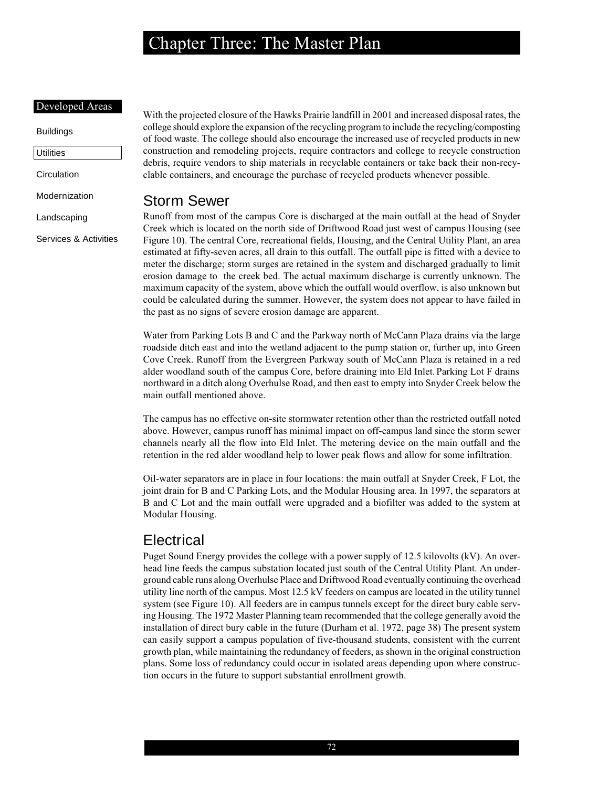### Developed Areas

## Buildings

**Utilities** 

**Circulation** 

Modernization

Landscaping

Services & Activities

With the projected closure of the Hawks Prairie landfill in 2001 and increased disposal rates, the college should explore the expansion of the recycling program to include the recycling/composting of food waste. The college should also encourage the increased use of recycled products in new construction and remodeling projects, require contractors and college to recycle construction debris, require vendors to ship materials in recyclable containers or take back their non-recyclable containers, and encourage the purchase of recycled products whenever possible.

## Storm Sewer

Runoff from most of the campus Core is discharged at the main outfall at the head of Snyder Creek which is located on the north side of Driftwood Road just west of campus Housing (see Figure 10). The central Core, recreational fields, Housing, and the Central Utility Plant, an area estimated at fifty-seven acres, all drain to this outfall. The outfall pipe is fitted with a device to meter the discharge; storm surges are retained in the system and discharged gradually to limit erosion damage to the creek bed. The actual maximum discharge is currently unknown. The maximum capacity of the system, above which the outfall would overflow, is also unknown but could be calculated during the summer. However, the system does not appear to have failed in the past as no signs of severe erosion damage are apparent.

Water from Parking Lots B and C and the Parkway north of McCann Plaza drains via the large roadside ditch east and into the wetland adjacent to the pump station or, further up, into Green Cove Creek. Runoff from the Evergreen Parkway south of McCann Plaza is retained in a red alder woodland south of the campus Core, before draining into Eld Inlet. Parking Lot F drains northward in a ditch along Overhulse Road, and then east to empty into Snyder Creek below the main outfall mentioned above.

The campus has no effective on-site stormwater retention other than the restricted outfall noted above. However, campus runoff has minimal impact on off-campus land since the storm sewer channels nearly all the flow into Eld Inlet. The metering device on the main outfall and the retention in the red alder woodland help to lower peak flows and allow for some infiltration.

Oil-water separators are in place in four locations: the main outfall at Snyder Creek, F Lot, the joint drain for B and C Parking Lots, and the Modular Housing area. In 1997, the separators at B and C Lot and the main outfall were upgraded and a biofilter was added to the system at Modular Housing.

## **Electrical**

Puget Sound Energy provides the college with a power supply of 12.5 kilovolts (kV). An overhead line feeds the campus substation located just south of the Central Utility Plant. An underground cable runs along Overhulse Place and Driftwood Road eventually continuing the overhead utility line north of the campus. Most 12.5 kV feeders on campus are located in the utility tunnel system (see Figure 10). All feeders are in campus tunnels except for the direct bury cable serving Housing. The 1972 Master Planning team recommended that the college generally avoid the installation of direct bury cable in the future (Durham et al. 1972, page 38) The present system can easily support a campus population of five-thousand students, consistent with the current growth plan, while maintaining the redundancy of feeders, as shown in the original construction plans. Some loss of redundancy could occur in isolated areas depending upon where construction occurs in the future to support substantial enrollment growth.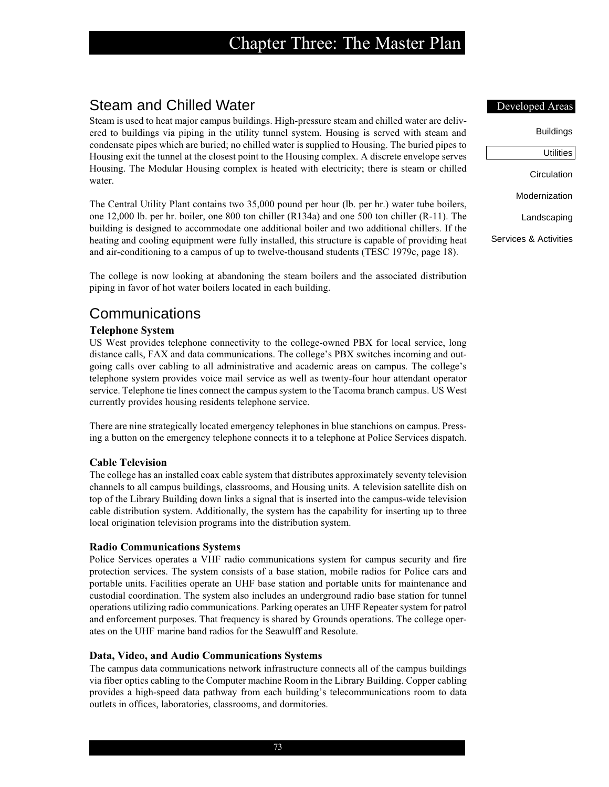## Steam and Chilled Water

Steam is used to heat major campus buildings. High-pressure steam and chilled water are delivered to buildings via piping in the utility tunnel system. Housing is served with steam and condensate pipes which are buried; no chilled water is supplied to Housing. The buried pipes to Housing exit the tunnel at the closest point to the Housing complex. A discrete envelope serves Housing. The Modular Housing complex is heated with electricity; there is steam or chilled water.

The Central Utility Plant contains two 35,000 pound per hour (lb. per hr.) water tube boilers, one 12,000 lb. per hr. boiler, one 800 ton chiller (R134a) and one 500 ton chiller (R-11). The building is designed to accommodate one additional boiler and two additional chillers. If the heating and cooling equipment were fully installed, this structure is capable of providing heat and air-conditioning to a campus of up to twelve-thousand students (TESC 1979c, page 18).

The college is now looking at abandoning the steam boilers and the associated distribution piping in favor of hot water boilers located in each building.

## Communications

## **Telephone System**

US West provides telephone connectivity to the college-owned PBX for local service, long distance calls, FAX and data communications. The college's PBX switches incoming and outgoing calls over cabling to all administrative and academic areas on campus. The college's telephone system provides voice mail service as well as twenty-four hour attendant operator service. Telephone tie lines connect the campus system to the Tacoma branch campus. US West currently provides housing residents telephone service.

There are nine strategically located emergency telephones in blue stanchions on campus. Pressing a button on the emergency telephone connects it to a telephone at Police Services dispatch.

## **Cable Television**

The college has an installed coax cable system that distributes approximately seventy television channels to all campus buildings, classrooms, and Housing units. A television satellite dish on top of the Library Building down links a signal that is inserted into the campus-wide television cable distribution system. Additionally, the system has the capability for inserting up to three local origination television programs into the distribution system.

## **Radio Communications Systems**

Police Services operates a VHF radio communications system for campus security and fire protection services. The system consists of a base station, mobile radios for Police cars and portable units. Facilities operate an UHF base station and portable units for maintenance and custodial coordination. The system also includes an underground radio base station for tunnel operations utilizing radio communications. Parking operates an UHF Repeater system for patrol and enforcement purposes. That frequency is shared by Grounds operations. The college operates on the UHF marine band radios for the Seawulff and Resolute.

## **Data, Video, and Audio Communications Systems**

The campus data communications network infrastructure connects all of the campus buildings via fiber optics cabling to the Computer machine Room in the Library Building. Copper cabling provides a high-speed data pathway from each building's telecommunications room to data outlets in offices, laboratories, classrooms, and dormitories.

#### Developed Areas

| Buildings             |
|-----------------------|
| Utilities $\vert$     |
| Circulation           |
| Modernization         |
| Landscaping           |
| Services & Activities |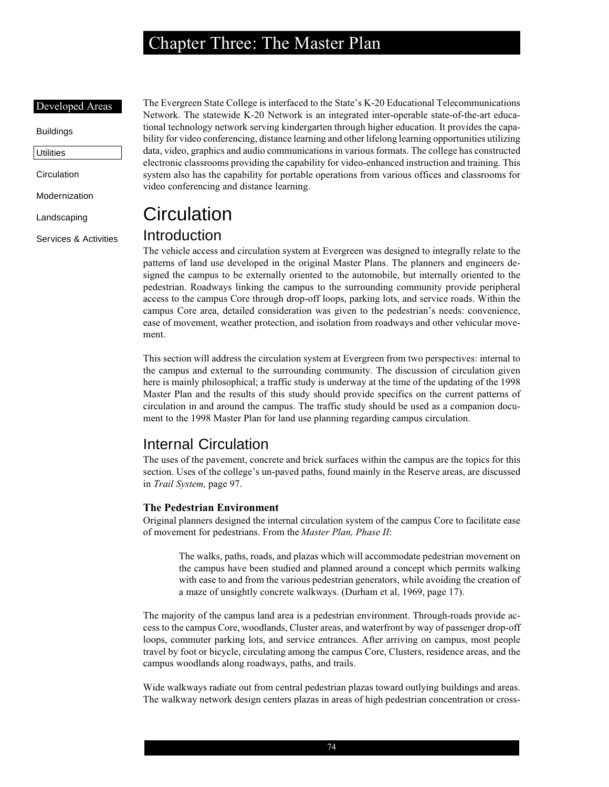#### Developed Areas

## Buildings **Utilities**

**Circulation** 

Modernization

Landscaping

Services & Activities

The Evergreen State College is interfaced to the State's K-20 Educational Telecommunications Network. The statewide K-20 Network is an integrated inter-operable state-of-the-art educational technology network serving kindergarten through higher education. It provides the capability for video conferencing, distance learning and other lifelong learning opportunities utilizing data, video, graphics and audio communications in various formats. The college has constructed electronic classrooms providing the capability for video-enhanced instruction and training. This system also has the capability for portable operations from various offices and classrooms for video conferencing and distance learning.

# **Circulation**

## Introduction

The vehicle access and circulation system at Evergreen was designed to integrally relate to the patterns of land use developed in the original Master Plans. The planners and engineers designed the campus to be externally oriented to the automobile, but internally oriented to the pedestrian. Roadways linking the campus to the surrounding community provide peripheral access to the campus Core through drop-off loops, parking lots, and service roads. Within the campus Core area, detailed consideration was given to the pedestrian's needs: convenience, ease of movement, weather protection, and isolation from roadways and other vehicular movement.

This section will address the circulation system at Evergreen from two perspectives: internal to the campus and external to the surrounding community. The discussion of circulation given here is mainly philosophical; a traffic study is underway at the time of the updating of the 1998 Master Plan and the results of this study should provide specifics on the current patterns of circulation in and around the campus. The traffic study should be used as a companion document to the 1998 Master Plan for land use planning regarding campus circulation.

## Internal Circulation

The uses of the pavement, concrete and brick surfaces within the campus are the topics for this section. Uses of the college's un-paved paths, found mainly in the Reserve areas, are discussed in *Trail System,* page 97.

## **The Pedestrian Environment**

Original planners designed the internal circulation system of the campus Core to facilitate ease of movement for pedestrians. From the *Master Plan, Phase II*:

The walks, paths, roads, and plazas which will accommodate pedestrian movement on the campus have been studied and planned around a concept which permits walking with ease to and from the various pedestrian generators, while avoiding the creation of a maze of unsightly concrete walkways. (Durham et al, 1969, page 17).

The majority of the campus land area is a pedestrian environment. Through-roads provide access to the campus Core, woodlands, Cluster areas, and waterfront by way of passenger drop-off loops, commuter parking lots, and service entrances. After arriving on campus, most people travel by foot or bicycle, circulating among the campus Core, Clusters, residence areas, and the campus woodlands along roadways, paths, and trails.

Wide walkways radiate out from central pedestrian plazas toward outlying buildings and areas. The walkway network design centers plazas in areas of high pedestrian concentration or cross-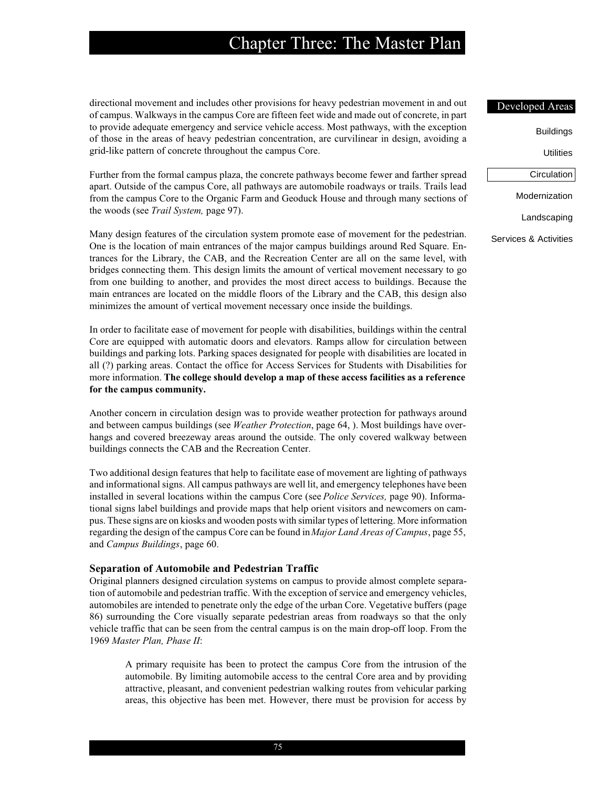directional movement and includes other provisions for heavy pedestrian movement in and out of campus. Walkways in the campus Core are fifteen feet wide and made out of concrete, in part to provide adequate emergency and service vehicle access. Most pathways, with the exception of those in the areas of heavy pedestrian concentration, are curvilinear in design, avoiding a grid-like pattern of concrete throughout the campus Core.

Further from the formal campus plaza, the concrete pathways become fewer and farther spread apart. Outside of the campus Core, all pathways are automobile roadways or trails. Trails lead from the campus Core to the Organic Farm and Geoduck House and through many sections of the woods (see *Trail System,* page 97).

Many design features of the circulation system promote ease of movement for the pedestrian. One is the location of main entrances of the major campus buildings around Red Square. Entrances for the Library, the CAB, and the Recreation Center are all on the same level, with bridges connecting them. This design limits the amount of vertical movement necessary to go from one building to another, and provides the most direct access to buildings. Because the main entrances are located on the middle floors of the Library and the CAB, this design also minimizes the amount of vertical movement necessary once inside the buildings.

In order to facilitate ease of movement for people with disabilities, buildings within the central Core are equipped with automatic doors and elevators. Ramps allow for circulation between buildings and parking lots. Parking spaces designated for people with disabilities are located in all (?) parking areas. Contact the office for Access Services for Students with Disabilities for more information. **The college should develop a map of these access facilities as a reference for the campus community.**

Another concern in circulation design was to provide weather protection for pathways around and between campus buildings (see *Weather Protection*, page 64, ). Most buildings have overhangs and covered breezeway areas around the outside. The only covered walkway between buildings connects the CAB and the Recreation Center.

Two additional design features that help to facilitate ease of movement are lighting of pathways and informational signs. All campus pathways are well lit, and emergency telephones have been installed in several locations within the campus Core (see *Police Services,* page 90). Informational signs label buildings and provide maps that help orient visitors and newcomers on campus. These signs are on kiosks and wooden posts with similar types of lettering. More information regarding the design of the campus Core can be found in *Major Land Areas of Campus*, page 55, and *Campus Buildings*, page 60.

#### **Separation of Automobile and Pedestrian Traffic**

Original planners designed circulation systems on campus to provide almost complete separation of automobile and pedestrian traffic. With the exception of service and emergency vehicles, automobiles are intended to penetrate only the edge of the urban Core. Vegetative buffers (page 86) surrounding the Core visually separate pedestrian areas from roadways so that the only vehicle traffic that can be seen from the central campus is on the main drop-off loop. From the 1969 *Master Plan, Phase II*:

A primary requisite has been to protect the campus Core from the intrusion of the automobile. By limiting automobile access to the central Core area and by providing attractive, pleasant, and convenient pedestrian walking routes from vehicular parking areas, this objective has been met. However, there must be provision for access by

#### Developed Areas

Buildings

**Utilities** 

| Circulation |  |
|-------------|--|
|             |  |
|             |  |

Modernization

Landscaping

Services & Activities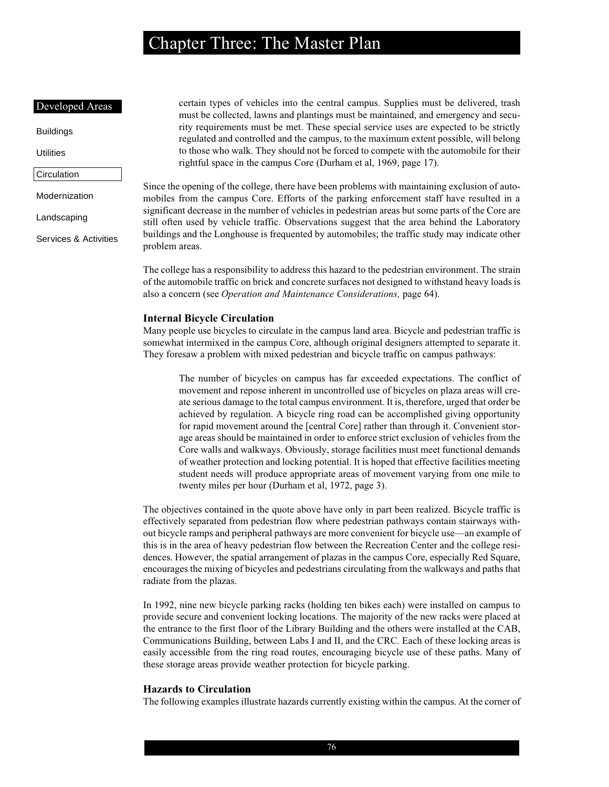#### Developed Areas

Buildings

**Utilities** 

```
Circulation
```
Modernization

Landscaping

Services & Activities

certain types of vehicles into the central campus. Supplies must be delivered, trash must be collected, lawns and plantings must be maintained, and emergency and security requirements must be met. These special service uses are expected to be strictly regulated and controlled and the campus, to the maximum extent possible, will belong to those who walk. They should not be forced to compete with the automobile for their rightful space in the campus Core (Durham et al, 1969, page 17).

Since the opening of the college, there have been problems with maintaining exclusion of automobiles from the campus Core. Efforts of the parking enforcement staff have resulted in a significant decrease in the number of vehicles in pedestrian areas but some parts of the Core are still often used by vehicle traffic. Observations suggest that the area behind the Laboratory buildings and the Longhouse is frequented by automobiles; the traffic study may indicate other problem areas.

The college has a responsibility to address this hazard to the pedestrian environment. The strain of the automobile traffic on brick and concrete surfaces not designed to withstand heavy loads is also a concern (see *Operation and Maintenance Considerations,* page 64).

#### **Internal Bicycle Circulation**

Many people use bicycles to circulate in the campus land area. Bicycle and pedestrian traffic is somewhat intermixed in the campus Core, although original designers attempted to separate it. They foresaw a problem with mixed pedestrian and bicycle traffic on campus pathways:

The number of bicycles on campus has far exceeded expectations. The conflict of movement and repose inherent in uncontrolled use of bicycles on plaza areas will create serious damage to the total campus environment. It is, therefore, urged that order be achieved by regulation. A bicycle ring road can be accomplished giving opportunity for rapid movement around the [central Core] rather than through it. Convenient storage areas should be maintained in order to enforce strict exclusion of vehicles from the Core walls and walkways. Obviously, storage facilities must meet functional demands of weather protection and locking potential. It is hoped that effective facilities meeting student needs will produce appropriate areas of movement varying from one mile to twenty miles per hour (Durham et al, 1972, page 3).

The objectives contained in the quote above have only in part been realized. Bicycle traffic is effectively separated from pedestrian flow where pedestrian pathways contain stairways without bicycle ramps and peripheral pathways are more convenient for bicycle use—an example of this is in the area of heavy pedestrian flow between the Recreation Center and the college residences. However, the spatial arrangement of plazas in the campus Core, especially Red Square, encourages the mixing of bicycles and pedestrians circulating from the walkways and paths that radiate from the plazas.

In 1992, nine new bicycle parking racks (holding ten bikes each) were installed on campus to provide secure and convenient locking locations. The majority of the new racks were placed at the entrance to the first floor of the Library Building and the others were installed at the CAB, Communications Building, between Labs I and II, and the CRC. Each of these locking areas is easily accessible from the ring road routes, encouraging bicycle use of these paths. Many of these storage areas provide weather protection for bicycle parking.

### **Hazards to Circulation**

The following examples illustrate hazards currently existing within the campus. At the corner of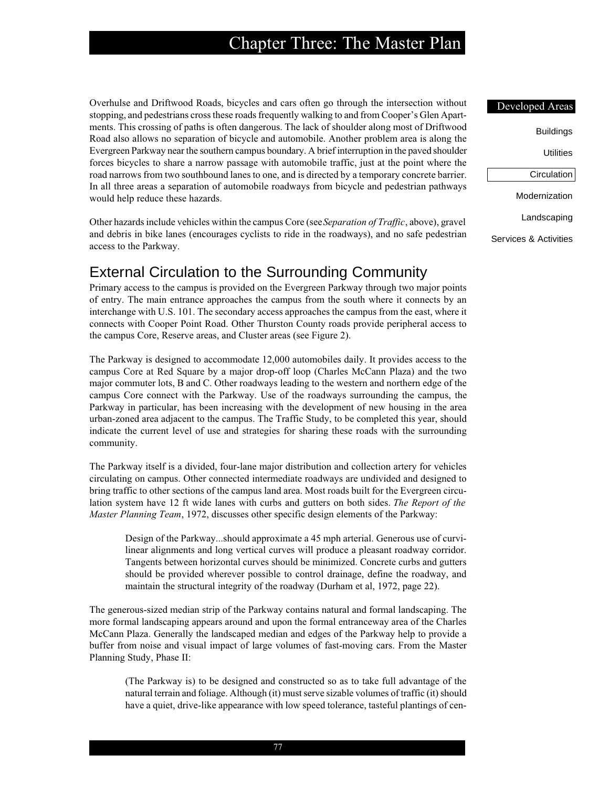Overhulse and Driftwood Roads, bicycles and cars often go through the intersection without stopping, and pedestrians cross these roads frequently walking to and from Cooper's Glen Apartments. This crossing of paths is often dangerous. The lack of shoulder along most of Driftwood Road also allows no separation of bicycle and automobile. Another problem area is along the Evergreen Parkway near the southern campus boundary. A brief interruption in the paved shoulder forces bicycles to share a narrow passage with automobile traffic, just at the point where the road narrows from two southbound lanes to one, and is directed by a temporary concrete barrier. In all three areas a separation of automobile roadways from bicycle and pedestrian pathways would help reduce these hazards.

Other hazards include vehicles within the campus Core (see *Separation of Traffic*, above), gravel and debris in bike lanes (encourages cyclists to ride in the roadways), and no safe pedestrian access to the Parkway.

## External Circulation to the Surrounding Community

Primary access to the campus is provided on the Evergreen Parkway through two major points of entry. The main entrance approaches the campus from the south where it connects by an interchange with U.S. 101. The secondary access approaches the campus from the east, where it connects with Cooper Point Road. Other Thurston County roads provide peripheral access to the campus Core, Reserve areas, and Cluster areas (see Figure 2).

The Parkway is designed to accommodate 12,000 automobiles daily. It provides access to the campus Core at Red Square by a major drop-off loop (Charles McCann Plaza) and the two major commuter lots, B and C. Other roadways leading to the western and northern edge of the campus Core connect with the Parkway. Use of the roadways surrounding the campus, the Parkway in particular, has been increasing with the development of new housing in the area urban-zoned area adjacent to the campus. The Traffic Study, to be completed this year, should indicate the current level of use and strategies for sharing these roads with the surrounding community.

The Parkway itself is a divided, four-lane major distribution and collection artery for vehicles circulating on campus. Other connected intermediate roadways are undivided and designed to bring traffic to other sections of the campus land area. Most roads built for the Evergreen circulation system have 12 ft wide lanes with curbs and gutters on both sides. *The Report of the Master Planning Team*, 1972, discusses other specific design elements of the Parkway:

Design of the Parkway...should approximate a 45 mph arterial. Generous use of curvilinear alignments and long vertical curves will produce a pleasant roadway corridor. Tangents between horizontal curves should be minimized. Concrete curbs and gutters should be provided wherever possible to control drainage, define the roadway, and maintain the structural integrity of the roadway (Durham et al, 1972, page 22).

The generous-sized median strip of the Parkway contains natural and formal landscaping. The more formal landscaping appears around and upon the formal entranceway area of the Charles McCann Plaza. Generally the landscaped median and edges of the Parkway help to provide a buffer from noise and visual impact of large volumes of fast-moving cars. From the Master Planning Study, Phase II:

(The Parkway is) to be designed and constructed so as to take full advantage of the natural terrain and foliage. Although (it) must serve sizable volumes of traffic (it) should have a quiet, drive-like appearance with low speed tolerance, tasteful plantings of cen-

# Developed Areas

| Buildings             |
|-----------------------|
| Utilities             |
| Circulation           |
| Modernization         |
| Landscaping           |
| Services & Activities |

77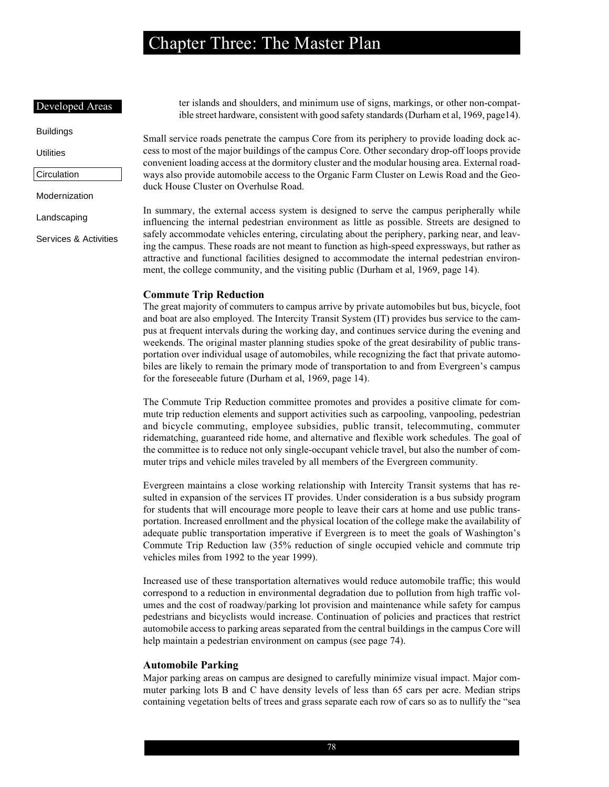### Developed Areas

Buildings

**Utilities** 

### Circulation

Modernization

Landscaping

Services & Activities

ter islands and shoulders, and minimum use of signs, markings, or other non-compatible street hardware, consistent with good safety standards (Durham et al, 1969, page14).

Small service roads penetrate the campus Core from its periphery to provide loading dock access to most of the major buildings of the campus Core. Other secondary drop-off loops provide convenient loading access at the dormitory cluster and the modular housing area. External roadways also provide automobile access to the Organic Farm Cluster on Lewis Road and the Geoduck House Cluster on Overhulse Road.

In summary, the external access system is designed to serve the campus peripherally while influencing the internal pedestrian environment as little as possible. Streets are designed to safely accommodate vehicles entering, circulating about the periphery, parking near, and leaving the campus. These roads are not meant to function as high-speed expressways, but rather as attractive and functional facilities designed to accommodate the internal pedestrian environment, the college community, and the visiting public (Durham et al, 1969, page 14).

#### **Commute Trip Reduction**

The great majority of commuters to campus arrive by private automobiles but bus, bicycle, foot and boat are also employed. The Intercity Transit System (IT) provides bus service to the campus at frequent intervals during the working day, and continues service during the evening and weekends. The original master planning studies spoke of the great desirability of public transportation over individual usage of automobiles, while recognizing the fact that private automobiles are likely to remain the primary mode of transportation to and from Evergreen's campus for the foreseeable future (Durham et al, 1969, page 14).

The Commute Trip Reduction committee promotes and provides a positive climate for commute trip reduction elements and support activities such as carpooling, vanpooling, pedestrian and bicycle commuting, employee subsidies, public transit, telecommuting, commuter ridematching, guaranteed ride home, and alternative and flexible work schedules. The goal of the committee is to reduce not only single-occupant vehicle travel, but also the number of commuter trips and vehicle miles traveled by all members of the Evergreen community.

Evergreen maintains a close working relationship with Intercity Transit systems that has resulted in expansion of the services IT provides. Under consideration is a bus subsidy program for students that will encourage more people to leave their cars at home and use public transportation. Increased enrollment and the physical location of the college make the availability of adequate public transportation imperative if Evergreen is to meet the goals of Washington's Commute Trip Reduction law (35% reduction of single occupied vehicle and commute trip vehicles miles from 1992 to the year 1999).

Increased use of these transportation alternatives would reduce automobile traffic; this would correspond to a reduction in environmental degradation due to pollution from high traffic volumes and the cost of roadway/parking lot provision and maintenance while safety for campus pedestrians and bicyclists would increase. Continuation of policies and practices that restrict automobile access to parking areas separated from the central buildings in the campus Core will help maintain a pedestrian environment on campus (see page 74).

#### **Automobile Parking**

Major parking areas on campus are designed to carefully minimize visual impact. Major commuter parking lots B and C have density levels of less than 65 cars per acre. Median strips containing vegetation belts of trees and grass separate each row of cars so as to nullify the "sea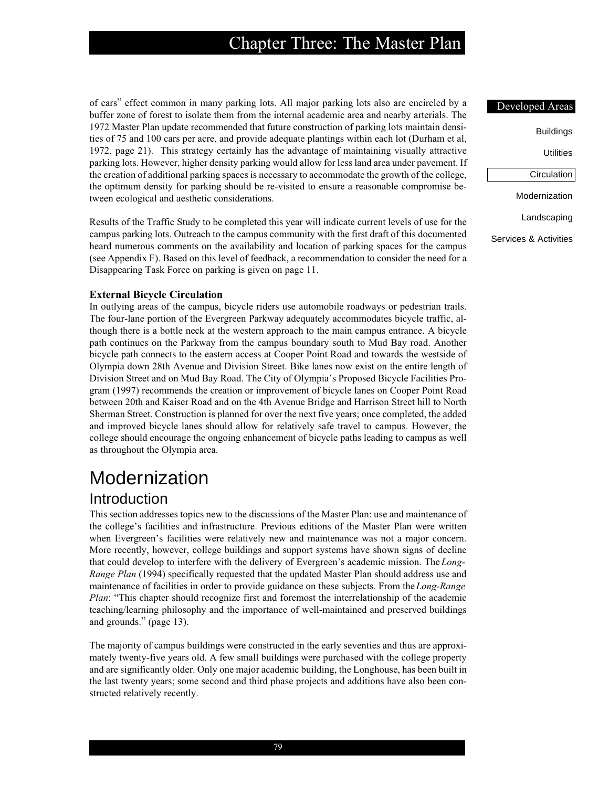of cars" effect common in many parking lots. All major parking lots also are encircled by a buffer zone of forest to isolate them from the internal academic area and nearby arterials. The 1972 Master Plan update recommended that future construction of parking lots maintain densities of 75 and 100 cars per acre, and provide adequate plantings within each lot (Durham et al, 1972, page 21). This strategy certainly has the advantage of maintaining visually attractive parking lots. However, higher density parking would allow for less land area under pavement. If the creation of additional parking spaces is necessary to accommodate the growth of the college, the optimum density for parking should be re-visited to ensure a reasonable compromise between ecological and aesthetic considerations.

Results of the Traffic Study to be completed this year will indicate current levels of use for the campus parking lots. Outreach to the campus community with the first draft of this documented heard numerous comments on the availability and location of parking spaces for the campus (see Appendix F). Based on this level of feedback, a recommendation to consider the need for a Disappearing Task Force on parking is given on page 11.

#### **External Bicycle Circulation**

In outlying areas of the campus, bicycle riders use automobile roadways or pedestrian trails. The four-lane portion of the Evergreen Parkway adequately accommodates bicycle traffic, although there is a bottle neck at the western approach to the main campus entrance. A bicycle path continues on the Parkway from the campus boundary south to Mud Bay road. Another bicycle path connects to the eastern access at Cooper Point Road and towards the westside of Olympia down 28th Avenue and Division Street. Bike lanes now exist on the entire length of Division Street and on Mud Bay Road. The City of Olympia's Proposed Bicycle Facilities Program (1997) recommends the creation or improvement of bicycle lanes on Cooper Point Road between 20th and Kaiser Road and on the 4th Avenue Bridge and Harrison Street hill to North Sherman Street. Construction is planned for over the next five years; once completed, the added and improved bicycle lanes should allow for relatively safe travel to campus. However, the college should encourage the ongoing enhancement of bicycle paths leading to campus as well as throughout the Olympia area.

# Modernization

## Introduction

This section addresses topics new to the discussions of the Master Plan: use and maintenance of the college's facilities and infrastructure. Previous editions of the Master Plan were written when Evergreen's facilities were relatively new and maintenance was not a major concern. More recently, however, college buildings and support systems have shown signs of decline that could develop to interfere with the delivery of Evergreen's academic mission. The *Long-Range Plan* (1994) specifically requested that the updated Master Plan should address use and maintenance of facilities in order to provide guidance on these subjects. From the *Long-Range Plan*: "This chapter should recognize first and foremost the interrelationship of the academic teaching/learning philosophy and the importance of well-maintained and preserved buildings and grounds." (page 13).

The majority of campus buildings were constructed in the early seventies and thus are approximately twenty-five years old. A few small buildings were purchased with the college property and are significantly older. Only one major academic building, the Longhouse, has been built in the last twenty years; some second and third phase projects and additions have also been constructed relatively recently.

#### Developed Areas

**Utilities** 

Circulation

Modernization

Landscaping

Services & Activities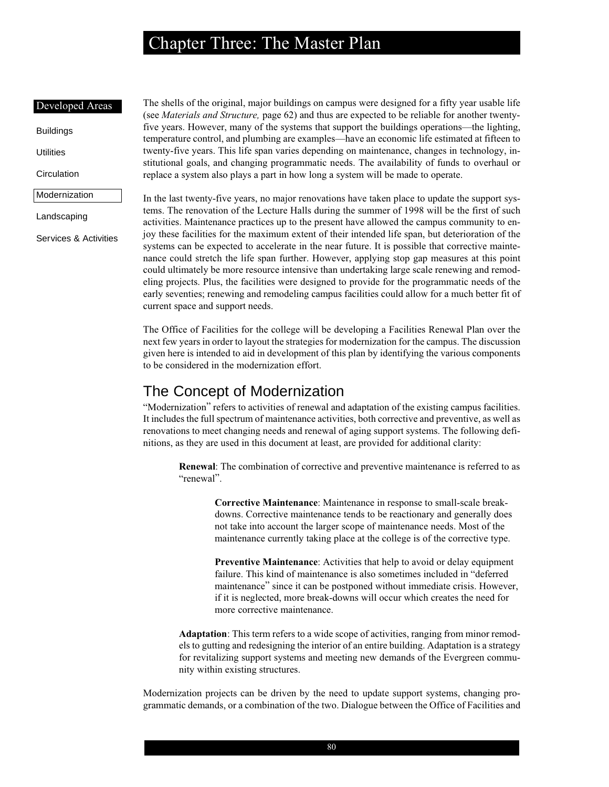#### Developed Areas

Buildings

**Utilities** 

**Circulation** 

Modernization

Landscaping

Services & Activities

The shells of the original, major buildings on campus were designed for a fifty year usable life (see *Materials and Structure,* page 62) and thus are expected to be reliable for another twentyfive years. However, many of the systems that support the buildings operations—the lighting, temperature control, and plumbing are examples—have an economic life estimated at fifteen to twenty-five years. This life span varies depending on maintenance, changes in technology, institutional goals, and changing programmatic needs. The availability of funds to overhaul or replace a system also plays a part in how long a system will be made to operate.

In the last twenty-five years, no major renovations have taken place to update the support systems. The renovation of the Lecture Halls during the summer of 1998 will be the first of such activities. Maintenance practices up to the present have allowed the campus community to enjoy these facilities for the maximum extent of their intended life span, but deterioration of the systems can be expected to accelerate in the near future. It is possible that corrective maintenance could stretch the life span further. However, applying stop gap measures at this point could ultimately be more resource intensive than undertaking large scale renewing and remodeling projects. Plus, the facilities were designed to provide for the programmatic needs of the early seventies; renewing and remodeling campus facilities could allow for a much better fit of current space and support needs.

The Office of Facilities for the college will be developing a Facilities Renewal Plan over the next few years in order to layout the strategies for modernization for the campus. The discussion given here is intended to aid in development of this plan by identifying the various components to be considered in the modernization effort.

## The Concept of Modernization

"Modernization" refers to activities of renewal and adaptation of the existing campus facilities. It includes the full spectrum of maintenance activities, both corrective and preventive, as well as renovations to meet changing needs and renewal of aging support systems. The following definitions, as they are used in this document at least, are provided for additional clarity:

**Renewal**: The combination of corrective and preventive maintenance is referred to as "renewal".

> **Corrective Maintenance**: Maintenance in response to small-scale breakdowns. Corrective maintenance tends to be reactionary and generally does not take into account the larger scope of maintenance needs. Most of the maintenance currently taking place at the college is of the corrective type.

**Preventive Maintenance**: Activities that help to avoid or delay equipment failure. This kind of maintenance is also sometimes included in "deferred maintenance" since it can be postponed without immediate crisis. However, if it is neglected, more break-downs will occur which creates the need for more corrective maintenance.

**Adaptation**: This term refers to a wide scope of activities, ranging from minor remodels to gutting and redesigning the interior of an entire building. Adaptation is a strategy for revitalizing support systems and meeting new demands of the Evergreen community within existing structures.

Modernization projects can be driven by the need to update support systems, changing programmatic demands, or a combination of the two. Dialogue between the Office of Facilities and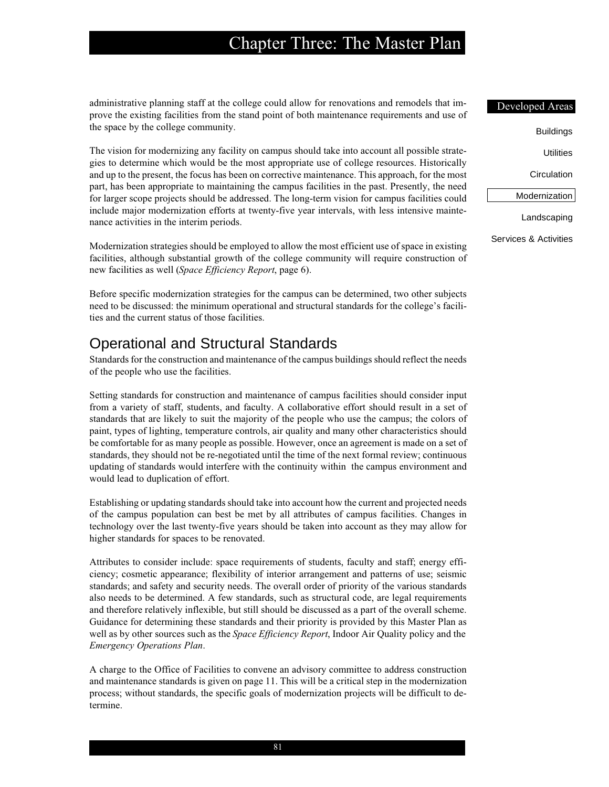administrative planning staff at the college could allow for renovations and remodels that improve the existing facilities from the stand point of both maintenance requirements and use of the space by the college community.

The vision for modernizing any facility on campus should take into account all possible strategies to determine which would be the most appropriate use of college resources. Historically and up to the present, the focus has been on corrective maintenance. This approach, for the most part, has been appropriate to maintaining the campus facilities in the past. Presently, the need for larger scope projects should be addressed. The long-term vision for campus facilities could include major modernization efforts at twenty-five year intervals, with less intensive maintenance activities in the interim periods.

Modernization strategies should be employed to allow the most efficient use of space in existing facilities, although substantial growth of the college community will require construction of new facilities as well (*Space Efficiency Report*, page 6).

Before specific modernization strategies for the campus can be determined, two other subjects need to be discussed: the minimum operational and structural standards for the college's facilities and the current status of those facilities.

## Operational and Structural Standards

Standards for the construction and maintenance of the campus buildings should reflect the needs of the people who use the facilities.

Setting standards for construction and maintenance of campus facilities should consider input from a variety of staff, students, and faculty. A collaborative effort should result in a set of standards that are likely to suit the majority of the people who use the campus; the colors of paint, types of lighting, temperature controls, air quality and many other characteristics should be comfortable for as many people as possible. However, once an agreement is made on a set of standards, they should not be re-negotiated until the time of the next formal review; continuous updating of standards would interfere with the continuity within the campus environment and would lead to duplication of effort.

Establishing or updating standards should take into account how the current and projected needs of the campus population can best be met by all attributes of campus facilities. Changes in technology over the last twenty-five years should be taken into account as they may allow for higher standards for spaces to be renovated.

Attributes to consider include: space requirements of students, faculty and staff; energy efficiency; cosmetic appearance; flexibility of interior arrangement and patterns of use; seismic standards; and safety and security needs. The overall order of priority of the various standards also needs to be determined. A few standards, such as structural code, are legal requirements and therefore relatively inflexible, but still should be discussed as a part of the overall scheme. Guidance for determining these standards and their priority is provided by this Master Plan as well as by other sources such as the *Space Efficiency Report*, Indoor Air Quality policy and the *Emergency Operations Plan*.

A charge to the Office of Facilities to convene an advisory committee to address construction and maintenance standards is given on page 11. This will be a critical step in the modernization process; without standards, the specific goals of modernization projects will be difficult to determine.

Buildings

**Utilities** 

**Circulation** 

Modernization

Landscaping

Services & Activities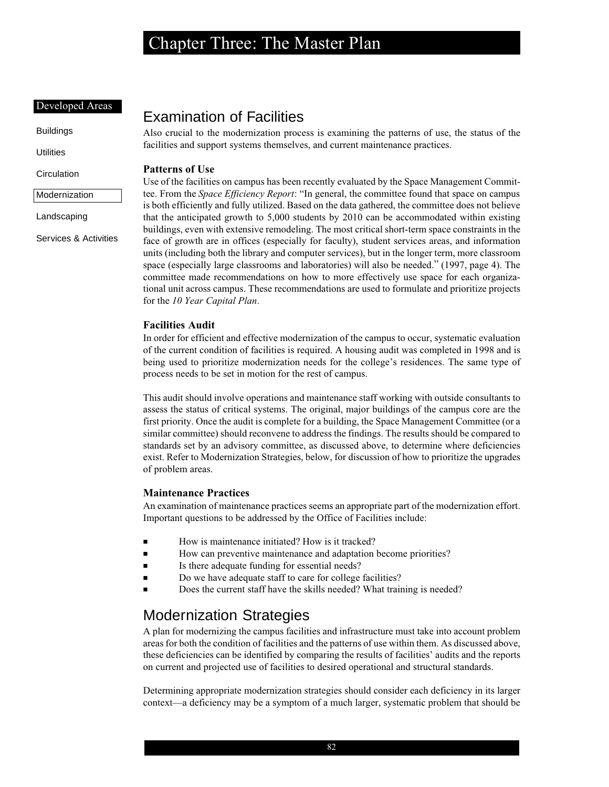#### Developed Areas

Buildings

**Utilities** 

**Circulation** 

Modernization

Landscaping

Services & Activities

## Examination of Facilities

Also crucial to the modernization process is examining the patterns of use, the status of the facilities and support systems themselves, and current maintenance practices.

### **Patterns of Use**

Use of the facilities on campus has been recently evaluated by the Space Management Committee. From the *Space Efficiency Report*: "In general, the committee found that space on campus is both efficiently and fully utilized. Based on the data gathered, the committee does not believe that the anticipated growth to 5,000 students by 2010 can be accommodated within existing buildings, even with extensive remodeling. The most critical short-term space constraints in the face of growth are in offices (especially for faculty), student services areas, and information units (including both the library and computer services), but in the longer term, more classroom space (especially large classrooms and laboratories) will also be needed." (1997, page 4). The committee made recommendations on how to more effectively use space for each organizational unit across campus. These recommendations are used to formulate and prioritize projects for the *10 Year Capital Plan*.

### **Facilities Audit**

In order for efficient and effective modernization of the campus to occur, systematic evaluation of the current condition of facilities is required. A housing audit was completed in 1998 and is being used to prioritize modernization needs for the college's residences. The same type of process needs to be set in motion for the rest of campus.

This audit should involve operations and maintenance staff working with outside consultants to assess the status of critical systems. The original, major buildings of the campus core are the first priority. Once the audit is complete for a building, the Space Management Committee (or a similar committee) should reconvene to address the findings. The results should be compared to standards set by an advisory committee, as discussed above, to determine where deficiencies exist. Refer to Modernization Strategies, below, for discussion of how to prioritize the upgrades of problem areas.

### **Maintenance Practices**

An examination of maintenance practices seems an appropriate part of the modernization effort. Important questions to be addressed by the Office of Facilities include:

- How is maintenance initiated? How is it tracked?
- How can preventive maintenance and adaptation become priorities?
- Is there adequate funding for essential needs?
- Do we have adequate staff to care for college facilities?
- Does the current staff have the skills needed? What training is needed?

## Modernization Strategies

A plan for modernizing the campus facilities and infrastructure must take into account problem areas for both the condition of facilities and the patterns of use within them. As discussed above, these deficiencies can be identified by comparing the results of facilities' audits and the reports on current and projected use of facilities to desired operational and structural standards.

Determining appropriate modernization strategies should consider each deficiency in its larger context—a deficiency may be a symptom of a much larger, systematic problem that should be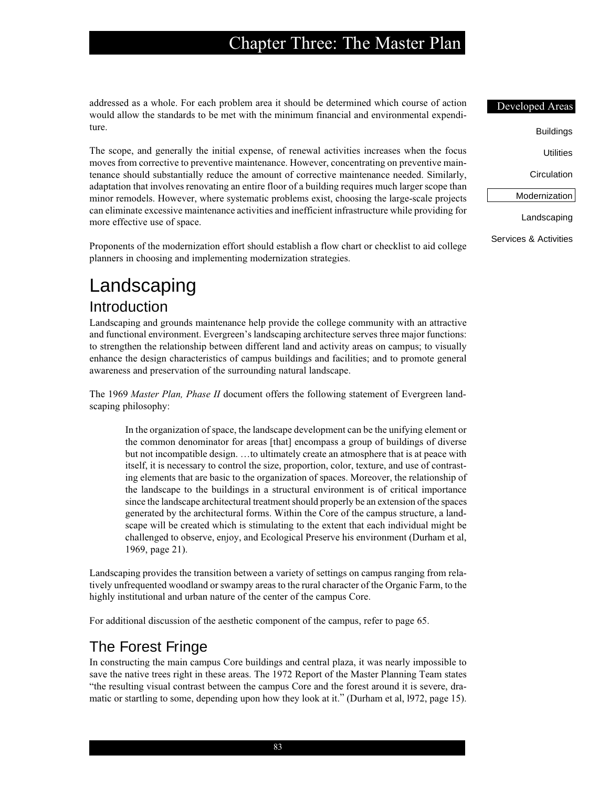addressed as a whole. For each problem area it should be determined which course of action would allow the standards to be met with the minimum financial and environmental expenditure.

The scope, and generally the initial expense, of renewal activities increases when the focus moves from corrective to preventive maintenance. However, concentrating on preventive maintenance should substantially reduce the amount of corrective maintenance needed. Similarly, adaptation that involves renovating an entire floor of a building requires much larger scope than minor remodels. However, where systematic problems exist, choosing the large-scale projects can eliminate excessive maintenance activities and inefficient infrastructure while providing for more effective use of space.

Proponents of the modernization effort should establish a flow chart or checklist to aid college planners in choosing and implementing modernization strategies.

# Landscaping

## Introduction

Landscaping and grounds maintenance help provide the college community with an attractive and functional environment. Evergreen's landscaping architecture serves three major functions: to strengthen the relationship between different land and activity areas on campus; to visually enhance the design characteristics of campus buildings and facilities; and to promote general awareness and preservation of the surrounding natural landscape.

The 1969 *Master Plan, Phase II* document offers the following statement of Evergreen landscaping philosophy:

In the organization of space, the landscape development can be the unifying element or the common denominator for areas [that] encompass a group of buildings of diverse but not incompatible design. …to ultimately create an atmosphere that is at peace with itself, it is necessary to control the size, proportion, color, texture, and use of contrasting elements that are basic to the organization of spaces. Moreover, the relationship of the landscape to the buildings in a structural environment is of critical importance since the landscape architectural treatment should properly be an extension of the spaces generated by the architectural forms. Within the Core of the campus structure, a landscape will be created which is stimulating to the extent that each individual might be challenged to observe, enjoy, and Ecological Preserve his environment (Durham et al, 1969, page 21).

Landscaping provides the transition between a variety of settings on campus ranging from relatively unfrequented woodland or swampy areas to the rural character of the Organic Farm, to the highly institutional and urban nature of the center of the campus Core.

For additional discussion of the aesthetic component of the campus, refer to page 65.

## The Forest Fringe

In constructing the main campus Core buildings and central plaza, it was nearly impossible to save the native trees right in these areas. The 1972 Report of the Master Planning Team states "the resulting visual contrast between the campus Core and the forest around it is severe, dramatic or startling to some, depending upon how they look at it." (Durham et al, l972, page 15).

Services & Activities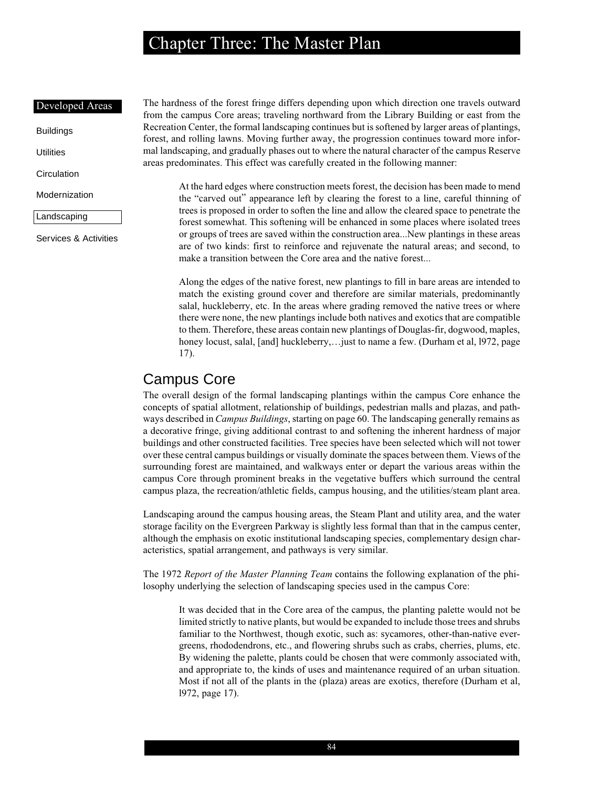#### Developed Areas

Buildings

**Utilities** 

**Circulation** 

### Modernization

Landscaping

Services & Activities

The hardness of the forest fringe differs depending upon which direction one travels outward from the campus Core areas; traveling northward from the Library Building or east from the Recreation Center, the formal landscaping continues but is softened by larger areas of plantings, forest, and rolling lawns. Moving further away, the progression continues toward more informal landscaping, and gradually phases out to where the natural character of the campus Reserve areas predominates. This effect was carefully created in the following manner:

At the hard edges where construction meets forest, the decision has been made to mend the "carved out" appearance left by clearing the forest to a line, careful thinning of trees is proposed in order to soften the line and allow the cleared space to penetrate the forest somewhat. This softening will be enhanced in some places where isolated trees or groups of trees are saved within the construction area...New plantings in these areas are of two kinds: first to reinforce and rejuvenate the natural areas; and second, to make a transition between the Core area and the native forest...

Along the edges of the native forest, new plantings to fill in bare areas are intended to match the existing ground cover and therefore are similar materials, predominantly salal, huckleberry, etc. In the areas where grading removed the native trees or where there were none, the new plantings include both natives and exotics that are compatible to them. Therefore, these areas contain new plantings of Douglas-fir, dogwood, maples, honey locust, salal, [and] huckleberry,...just to name a few. (Durham et al, 1972, page 17).

## Campus Core

The overall design of the formal landscaping plantings within the campus Core enhance the concepts of spatial allotment, relationship of buildings, pedestrian malls and plazas, and pathways described in *Campus Buildings*, starting on page 60. The landscaping generally remains as a decorative fringe, giving additional contrast to and softening the inherent hardness of major buildings and other constructed facilities. Tree species have been selected which will not tower over these central campus buildings or visually dominate the spaces between them. Views of the surrounding forest are maintained, and walkways enter or depart the various areas within the campus Core through prominent breaks in the vegetative buffers which surround the central campus plaza, the recreation/athletic fields, campus housing, and the utilities/steam plant area.

Landscaping around the campus housing areas, the Steam Plant and utility area, and the water storage facility on the Evergreen Parkway is slightly less formal than that in the campus center, although the emphasis on exotic institutional landscaping species, complementary design characteristics, spatial arrangement, and pathways is very similar.

The 1972 *Report of the Master Planning Team* contains the following explanation of the philosophy underlying the selection of landscaping species used in the campus Core:

It was decided that in the Core area of the campus, the planting palette would not be limited strictly to native plants, but would be expanded to include those trees and shrubs familiar to the Northwest, though exotic, such as: sycamores, other-than-native evergreens, rhododendrons, etc., and flowering shrubs such as crabs, cherries, plums, etc. By widening the palette, plants could be chosen that were commonly associated with, and appropriate to, the kinds of uses and maintenance required of an urban situation. Most if not all of the plants in the (plaza) areas are exotics, therefore (Durham et al, l972, page 17).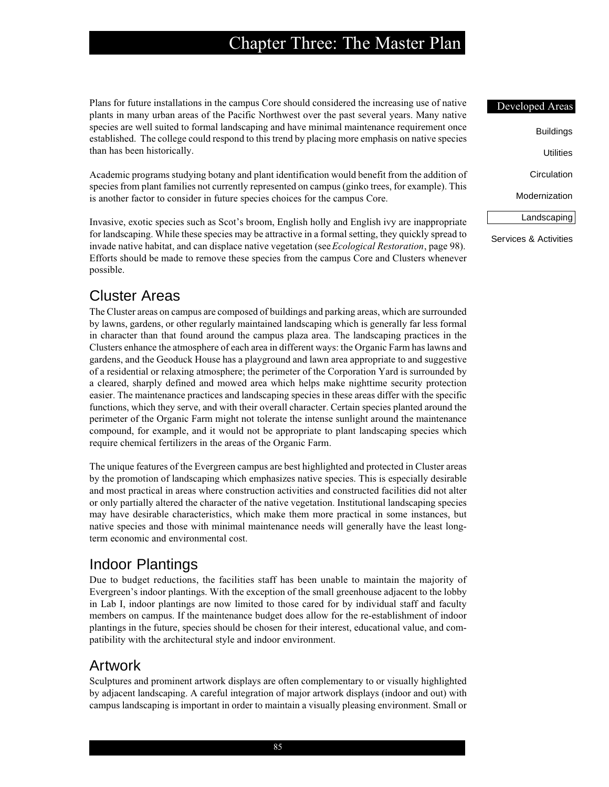Plans for future installations in the campus Core should considered the increasing use of native plants in many urban areas of the Pacific Northwest over the past several years. Many native species are well suited to formal landscaping and have minimal maintenance requirement once established. The college could respond to this trend by placing more emphasis on native species than has been historically.

Academic programs studying botany and plant identification would benefit from the addition of species from plant families not currently represented on campus (ginko trees, for example). This is another factor to consider in future species choices for the campus Core.

Invasive, exotic species such as Scot's broom, English holly and English ivy are inappropriate for landscaping. While these species may be attractive in a formal setting, they quickly spread to invade native habitat, and can displace native vegetation (see *Ecological Restoration*, page 98). Efforts should be made to remove these species from the campus Core and Clusters whenever possible.

## Cluster Areas

The Cluster areas on campus are composed of buildings and parking areas, which are surrounded by lawns, gardens, or other regularly maintained landscaping which is generally far less formal in character than that found around the campus plaza area. The landscaping practices in the Clusters enhance the atmosphere of each area in different ways: the Organic Farm has lawns and gardens, and the Geoduck House has a playground and lawn area appropriate to and suggestive of a residential or relaxing atmosphere; the perimeter of the Corporation Yard is surrounded by a cleared, sharply defined and mowed area which helps make nighttime security protection easier. The maintenance practices and landscaping species in these areas differ with the specific functions, which they serve, and with their overall character. Certain species planted around the perimeter of the Organic Farm might not tolerate the intense sunlight around the maintenance compound, for example, and it would not be appropriate to plant landscaping species which require chemical fertilizers in the areas of the Organic Farm.

The unique features of the Evergreen campus are best highlighted and protected in Cluster areas by the promotion of landscaping which emphasizes native species. This is especially desirable and most practical in areas where construction activities and constructed facilities did not alter or only partially altered the character of the native vegetation. Institutional landscaping species may have desirable characteristics, which make them more practical in some instances, but native species and those with minimal maintenance needs will generally have the least longterm economic and environmental cost.

## Indoor Plantings

Due to budget reductions, the facilities staff has been unable to maintain the majority of Evergreen's indoor plantings. With the exception of the small greenhouse adjacent to the lobby in Lab I, indoor plantings are now limited to those cared for by individual staff and faculty members on campus. If the maintenance budget does allow for the re-establishment of indoor plantings in the future, species should be chosen for their interest, educational value, and compatibility with the architectural style and indoor environment.

## Artwork

Sculptures and prominent artwork displays are often complementary to or visually highlighted by adjacent landscaping. A careful integration of major artwork displays (indoor and out) with campus landscaping is important in order to maintain a visually pleasing environment. Small or Developed Areas Buildings **Utilities Circulation** Modernization

Landscaping

Services & Activities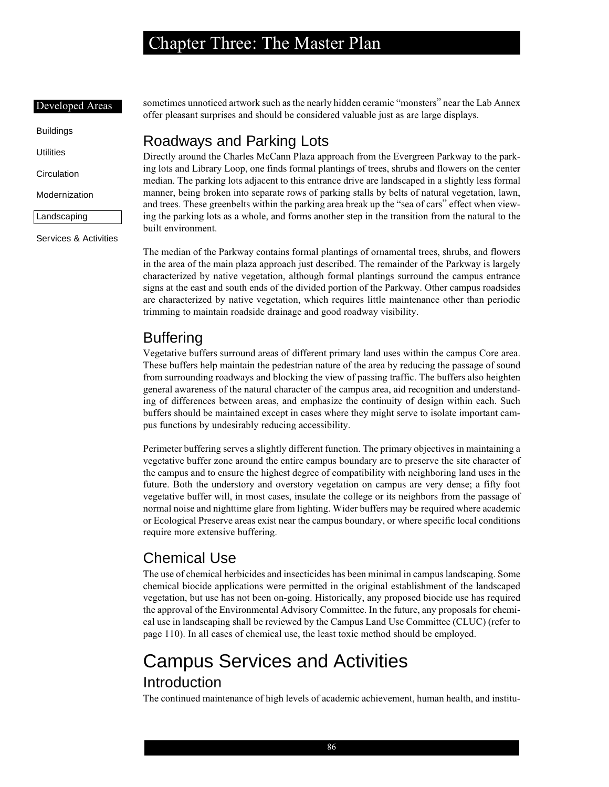#### Developed Areas

Buildings

**Utilities** 

**Circulation** 

Modernization

Landscaping

Services & Activities

sometimes unnoticed artwork such as the nearly hidden ceramic "monsters" near the Lab Annex offer pleasant surprises and should be considered valuable just as are large displays.

## Roadways and Parking Lots

Directly around the Charles McCann Plaza approach from the Evergreen Parkway to the parking lots and Library Loop, one finds formal plantings of trees, shrubs and flowers on the center median. The parking lots adjacent to this entrance drive are landscaped in a slightly less formal manner, being broken into separate rows of parking stalls by belts of natural vegetation, lawn, and trees. These greenbelts within the parking area break up the "sea of cars" effect when viewing the parking lots as a whole, and forms another step in the transition from the natural to the built environment.

The median of the Parkway contains formal plantings of ornamental trees, shrubs, and flowers in the area of the main plaza approach just described. The remainder of the Parkway is largely characterized by native vegetation, although formal plantings surround the campus entrance signs at the east and south ends of the divided portion of the Parkway. Other campus roadsides are characterized by native vegetation, which requires little maintenance other than periodic trimming to maintain roadside drainage and good roadway visibility.

## Buffering

Vegetative buffers surround areas of different primary land uses within the campus Core area. These buffers help maintain the pedestrian nature of the area by reducing the passage of sound from surrounding roadways and blocking the view of passing traffic. The buffers also heighten general awareness of the natural character of the campus area, aid recognition and understanding of differences between areas, and emphasize the continuity of design within each. Such buffers should be maintained except in cases where they might serve to isolate important campus functions by undesirably reducing accessibility.

Perimeter buffering serves a slightly different function. The primary objectives in maintaining a vegetative buffer zone around the entire campus boundary are to preserve the site character of the campus and to ensure the highest degree of compatibility with neighboring land uses in the future. Both the understory and overstory vegetation on campus are very dense; a fifty foot vegetative buffer will, in most cases, insulate the college or its neighbors from the passage of normal noise and nighttime glare from lighting. Wider buffers may be required where academic or Ecological Preserve areas exist near the campus boundary, or where specific local conditions require more extensive buffering.

## Chemical Use

The use of chemical herbicides and insecticides has been minimal in campus landscaping. Some chemical biocide applications were permitted in the original establishment of the landscaped vegetation, but use has not been on-going. Historically, any proposed biocide use has required the approval of the Environmental Advisory Committee. In the future, any proposals for chemical use in landscaping shall be reviewed by the Campus Land Use Committee (CLUC) (refer to page 110). In all cases of chemical use, the least toxic method should be employed.

# Campus Services and Activities

## Introduction

The continued maintenance of high levels of academic achievement, human health, and institu-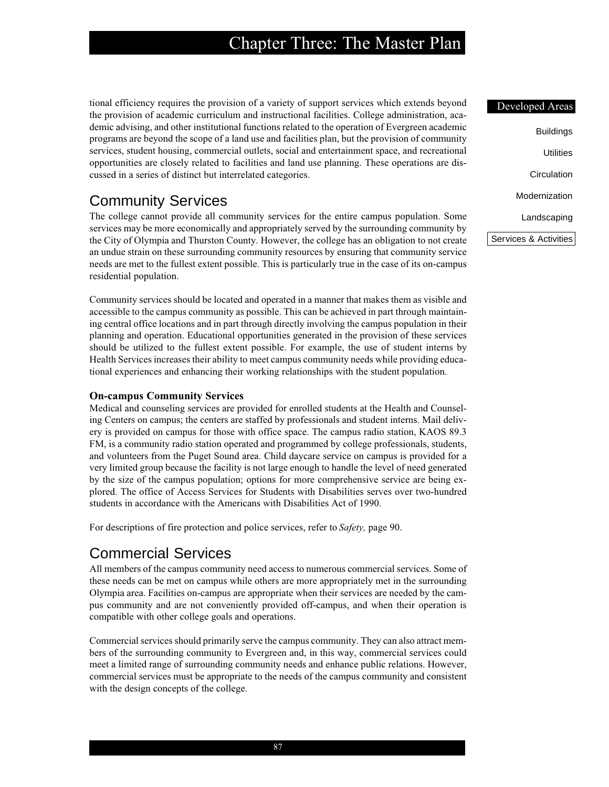tional efficiency requires the provision of a variety of support services which extends beyond the provision of academic curriculum and instructional facilities. College administration, academic advising, and other institutional functions related to the operation of Evergreen academic programs are beyond the scope of a land use and facilities plan, but the provision of community services, student housing, commercial outlets, social and entertainment space, and recreational opportunities are closely related to facilities and land use planning. These operations are discussed in a series of distinct but interrelated categories.

## Community Services

The college cannot provide all community services for the entire campus population. Some services may be more economically and appropriately served by the surrounding community by the City of Olympia and Thurston County. However, the college has an obligation to not create an undue strain on these surrounding community resources by ensuring that community service needs are met to the fullest extent possible. This is particularly true in the case of its on-campus residential population.

Community services should be located and operated in a manner that makes them as visible and accessible to the campus community as possible. This can be achieved in part through maintaining central office locations and in part through directly involving the campus population in their planning and operation. Educational opportunities generated in the provision of these services should be utilized to the fullest extent possible. For example, the use of student interns by Health Services increases their ability to meet campus community needs while providing educational experiences and enhancing their working relationships with the student population.

## **On-campus Community Services**

Medical and counseling services are provided for enrolled students at the Health and Counseling Centers on campus; the centers are staffed by professionals and student interns. Mail delivery is provided on campus for those with office space. The campus radio station, KAOS 89.3 FM, is a community radio station operated and programmed by college professionals, students, and volunteers from the Puget Sound area. Child daycare service on campus is provided for a very limited group because the facility is not large enough to handle the level of need generated by the size of the campus population; options for more comprehensive service are being explored. The office of Access Services for Students with Disabilities serves over two-hundred students in accordance with the Americans with Disabilities Act of 1990.

For descriptions of fire protection and police services, refer to *Safety,* page 90.

## Commercial Services

All members of the campus community need access to numerous commercial services. Some of these needs can be met on campus while others are more appropriately met in the surrounding Olympia area. Facilities on-campus are appropriate when their services are needed by the campus community and are not conveniently provided off-campus, and when their operation is compatible with other college goals and operations.

Commercial services should primarily serve the campus community. They can also attract members of the surrounding community to Evergreen and, in this way, commercial services could meet a limited range of surrounding community needs and enhance public relations. However, commercial services must be appropriate to the needs of the campus community and consistent with the design concepts of the college.

### Developed Areas

| Buildings     |
|---------------|
| Utilities     |
| Circulation   |
| Modernization |
| Landscaping   |

Services & Activities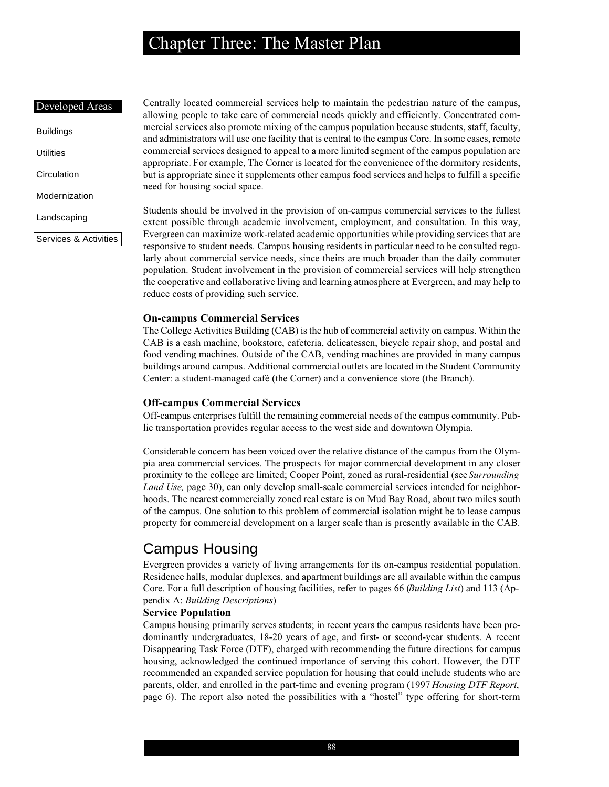#### Developed Areas

- Buildings Utilities **Circulation**
- Modernization
- Landscaping

Services & Activities

Centrally located commercial services help to maintain the pedestrian nature of the campus, allowing people to take care of commercial needs quickly and efficiently. Concentrated commercial services also promote mixing of the campus population because students, staff, faculty, and administrators will use one facility that is central to the campus Core. In some cases, remote commercial services designed to appeal to a more limited segment of the campus population are appropriate. For example, The Corner is located for the convenience of the dormitory residents, but is appropriate since it supplements other campus food services and helps to fulfill a specific need for housing social space.

Students should be involved in the provision of on-campus commercial services to the fullest extent possible through academic involvement, employment, and consultation. In this way, Evergreen can maximize work-related academic opportunities while providing services that are responsive to student needs. Campus housing residents in particular need to be consulted regularly about commercial service needs, since theirs are much broader than the daily commuter population. Student involvement in the provision of commercial services will help strengthen the cooperative and collaborative living and learning atmosphere at Evergreen, and may help to reduce costs of providing such service.

#### **On-campus Commercial Services**

The College Activities Building (CAB) is the hub of commercial activity on campus. Within the CAB is a cash machine, bookstore, cafeteria, delicatessen, bicycle repair shop, and postal and food vending machines. Outside of the CAB, vending machines are provided in many campus buildings around campus. Additional commercial outlets are located in the Student Community Center: a student-managed café (the Corner) and a convenience store (the Branch).

### **Off-campus Commercial Services**

Off-campus enterprises fulfill the remaining commercial needs of the campus community. Public transportation provides regular access to the west side and downtown Olympia.

Considerable concern has been voiced over the relative distance of the campus from the Olympia area commercial services. The prospects for major commercial development in any closer proximity to the college are limited; Cooper Point, zoned as rural-residential (see *Surrounding Land Use,* page 30), can only develop small-scale commercial services intended for neighborhoods. The nearest commercially zoned real estate is on Mud Bay Road, about two miles south of the campus. One solution to this problem of commercial isolation might be to lease campus property for commercial development on a larger scale than is presently available in the CAB.

## Campus Housing

Evergreen provides a variety of living arrangements for its on-campus residential population. Residence halls, modular duplexes, and apartment buildings are all available within the campus Core. For a full description of housing facilities, refer to pages 66 (*Building List*) and 113 (Appendix A: *Building Descriptions*)

### **Service Population**

Campus housing primarily serves students; in recent years the campus residents have been predominantly undergraduates, 18-20 years of age, and first- or second-year students. A recent Disappearing Task Force (DTF), charged with recommending the future directions for campus housing, acknowledged the continued importance of serving this cohort. However, the DTF recommended an expanded service population for housing that could include students who are parents, older, and enrolled in the part-time and evening program (1997 *Housing DTF Report*, page 6). The report also noted the possibilities with a "hostel" type offering for short-term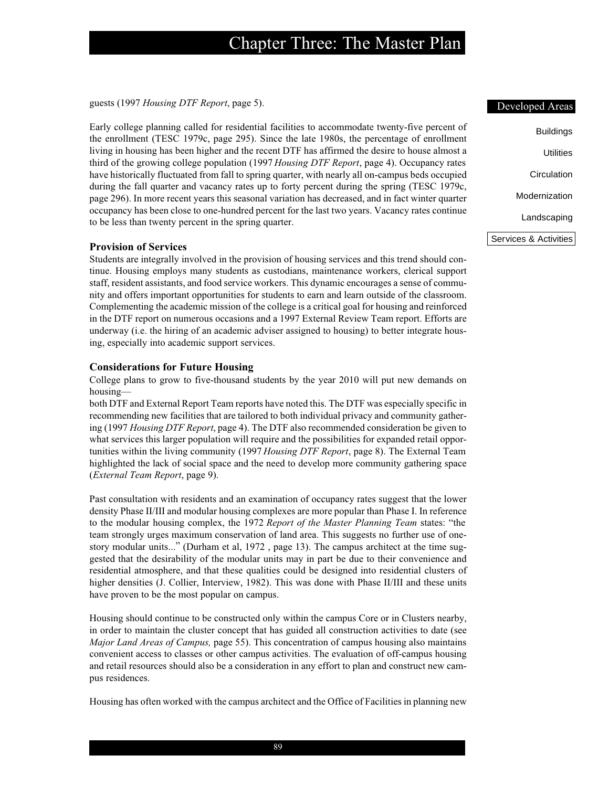guests (1997 *Housing DTF Report*, page 5).

Early college planning called for residential facilities to accommodate twenty-five percent of the enrollment (TESC 1979c, page 295). Since the late 1980s, the percentage of enrollment living in housing has been higher and the recent DTF has affirmed the desire to house almost a third of the growing college population (1997 *Housing DTF Report*, page 4). Occupancy rates have historically fluctuated from fall to spring quarter, with nearly all on-campus beds occupied during the fall quarter and vacancy rates up to forty percent during the spring (TESC 1979c, page 296). In more recent years this seasonal variation has decreased, and in fact winter quarter occupancy has been close to one-hundred percent for the last two years. Vacancy rates continue to be less than twenty percent in the spring quarter.

#### **Provision of Services**

Students are integrally involved in the provision of housing services and this trend should continue. Housing employs many students as custodians, maintenance workers, clerical support staff, resident assistants, and food service workers. This dynamic encourages a sense of community and offers important opportunities for students to earn and learn outside of the classroom. Complementing the academic mission of the college is a critical goal for housing and reinforced in the DTF report on numerous occasions and a 1997 External Review Team report. Efforts are underway (i.e. the hiring of an academic adviser assigned to housing) to better integrate housing, especially into academic support services.

#### **Considerations for Future Housing**

College plans to grow to five-thousand students by the year 2010 will put new demands on housing—

both DTF and External Report Team reports have noted this. The DTF was especially specific in recommending new facilities that are tailored to both individual privacy and community gathering (1997 *Housing DTF Report*, page 4). The DTF also recommended consideration be given to what services this larger population will require and the possibilities for expanded retail opportunities within the living community (1997 *Housing DTF Report*, page 8). The External Team highlighted the lack of social space and the need to develop more community gathering space (*External Team Report*, page 9).

Past consultation with residents and an examination of occupancy rates suggest that the lower density Phase II/III and modular housing complexes are more popular than Phase I. In reference to the modular housing complex, the 1972 *Report of the Master Planning Team* states: "the team strongly urges maximum conservation of land area. This suggests no further use of onestory modular units..." (Durham et al, 1972 , page 13). The campus architect at the time suggested that the desirability of the modular units may in part be due to their convenience and residential atmosphere, and that these qualities could be designed into residential clusters of higher densities (J. Collier, Interview, 1982). This was done with Phase II/III and these units have proven to be the most popular on campus.

Housing should continue to be constructed only within the campus Core or in Clusters nearby, in order to maintain the cluster concept that has guided all construction activities to date (see *Major Land Areas of Campus,* page 55). This concentration of campus housing also maintains convenient access to classes or other campus activities. The evaluation of off-campus housing and retail resources should also be a consideration in any effort to plan and construct new campus residences.

Housing has often worked with the campus architect and the Office of Facilities in planning new

### Developed Areas

| Buildings             |
|-----------------------|
| Utilities             |
| Circulation           |
| Modernization         |
| Landscaping           |
| Services & Activities |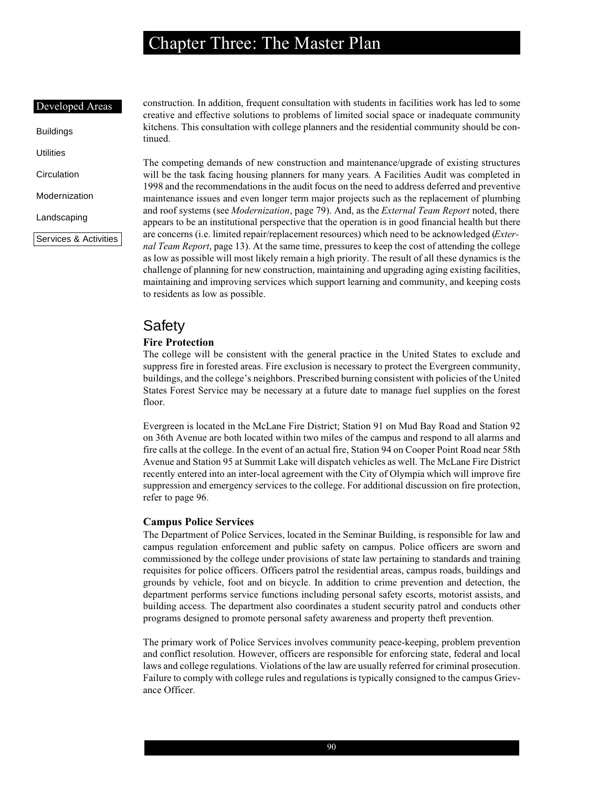#### Developed Areas

Buildings **Utilities Circulation** Modernization Landscaping

Services & Activities

construction. In addition, frequent consultation with students in facilities work has led to some creative and effective solutions to problems of limited social space or inadequate community kitchens. This consultation with college planners and the residential community should be continued.

The competing demands of new construction and maintenance/upgrade of existing structures will be the task facing housing planners for many years. A Facilities Audit was completed in 1998 and the recommendations in the audit focus on the need to address deferred and preventive maintenance issues and even longer term major projects such as the replacement of plumbing and roof systems (see *Modernization*, page 79). And, as the *External Team Report* noted, there appears to be an institutional perspective that the operation is in good financial health but there are concerns (i.e. limited repair/replacement resources) which need to be acknowledged (*External Team Report*, page 13). At the same time, pressures to keep the cost of attending the college as low as possible will most likely remain a high priority. The result of all these dynamics is the challenge of planning for new construction, maintaining and upgrading aging existing facilities, maintaining and improving services which support learning and community, and keeping costs to residents as low as possible.

## Safety

### **Fire Protection**

The college will be consistent with the general practice in the United States to exclude and suppress fire in forested areas. Fire exclusion is necessary to protect the Evergreen community, buildings, and the college's neighbors. Prescribed burning consistent with policies of the United States Forest Service may be necessary at a future date to manage fuel supplies on the forest floor.

Evergreen is located in the McLane Fire District; Station 91 on Mud Bay Road and Station 92 on 36th Avenue are both located within two miles of the campus and respond to all alarms and fire calls at the college. In the event of an actual fire, Station 94 on Cooper Point Road near 58th Avenue and Station 95 at Summit Lake will dispatch vehicles as well. The McLane Fire District recently entered into an inter-local agreement with the City of Olympia which will improve fire suppression and emergency services to the college. For additional discussion on fire protection, refer to page 96.

### **Campus Police Services**

The Department of Police Services, located in the Seminar Building, is responsible for law and campus regulation enforcement and public safety on campus. Police officers are sworn and commissioned by the college under provisions of state law pertaining to standards and training requisites for police officers. Officers patrol the residential areas, campus roads, buildings and grounds by vehicle, foot and on bicycle. In addition to crime prevention and detection, the department performs service functions including personal safety escorts, motorist assists, and building access. The department also coordinates a student security patrol and conducts other programs designed to promote personal safety awareness and property theft prevention.

The primary work of Police Services involves community peace-keeping, problem prevention and conflict resolution. However, officers are responsible for enforcing state, federal and local laws and college regulations. Violations of the law are usually referred for criminal prosecution. Failure to comply with college rules and regulations is typically consigned to the campus Grievance Officer.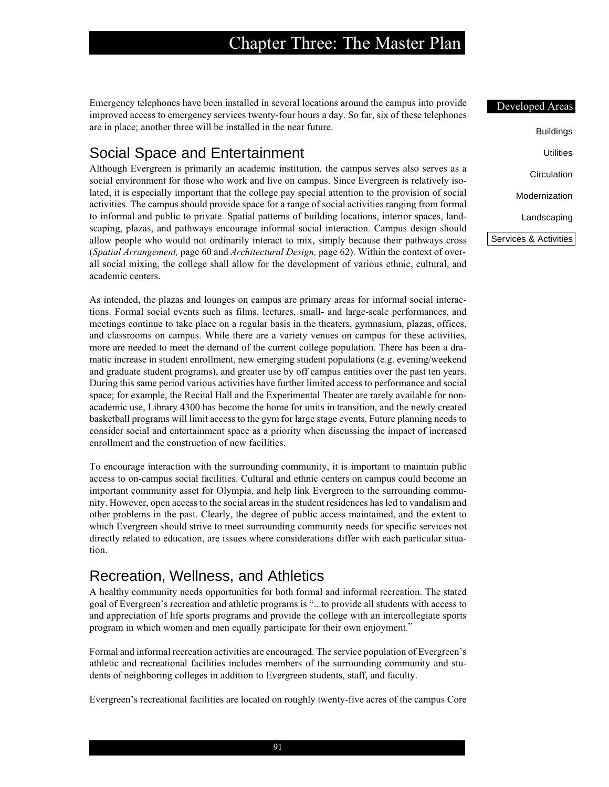Emergency telephones have been installed in several locations around the campus into provide improved access to emergency services twenty-four hours a day. So far, six of these telephones are in place; another three will be installed in the near future.

## Social Space and Entertainment

Although Evergreen is primarily an academic institution, the campus serves also serves as a social environment for those who work and live on campus. Since Evergreen is relatively isolated, it is especially important that the college pay special attention to the provision of social activities. The campus should provide space for a range of social activities ranging from formal to informal and public to private. Spatial patterns of building locations, interior spaces, landscaping, plazas, and pathways encourage informal social interaction. Campus design should allow people who would not ordinarily interact to mix, simply because their pathways cross (*Spatial Arrangement,* page 60 and *Architectural Design,* page 62). Within the context of overall social mixing, the college shall allow for the development of various ethnic, cultural, and academic centers.

As intended, the plazas and lounges on campus are primary areas for informal social interactions. Formal social events such as films, lectures, small- and large-scale performances, and meetings continue to take place on a regular basis in the theaters, gymnasium, plazas, offices, and classrooms on campus. While there are a variety venues on campus for these activities, more are needed to meet the demand of the current college population. There has been a dramatic increase in student enrollment, new emerging student populations (e.g. evening/weekend and graduate student programs), and greater use by off campus entities over the past ten years. During this same period various activities have further limited access to performance and social space; for example, the Recital Hall and the Experimental Theater are rarely available for nonacademic use, Library 4300 has become the home for units in transition, and the newly created basketball programs will limit access to the gym for large stage events. Future planning needs to consider social and entertainment space as a priority when discussing the impact of increased enrollment and the construction of new facilities.

To encourage interaction with the surrounding community, it is important to maintain public access to on-campus social facilities. Cultural and ethnic centers on campus could become an important community asset for Olympia, and help link Evergreen to the surrounding community. However, open access to the social areas in the student residences has led to vandalism and other problems in the past. Clearly, the degree of public access maintained, and the extent to which Evergreen should strive to meet surrounding community needs for specific services not directly related to education, are issues where considerations differ with each particular situation.

## Recreation, Wellness, and Athletics

A healthy community needs opportunities for both formal and informal recreation. The stated goal of Evergreen's recreation and athletic programs is "...to provide all students with access to and appreciation of life sports programs and provide the college with an intercollegiate sports program in which women and men equally participate for their own enjoyment."

Formal and informal recreation activities are encouraged. The service population of Evergreen's athletic and recreational facilities includes members of the surrounding community and students of neighboring colleges in addition to Evergreen students, staff, and faculty.

Evergreen's recreational facilities are located on roughly twenty-five acres of the campus Core

| Developed Areas       |
|-----------------------|
|                       |
| Buildings             |
| Utilities             |
| Circulation           |
| Modernization         |
| Landscaping           |
| Services & Activities |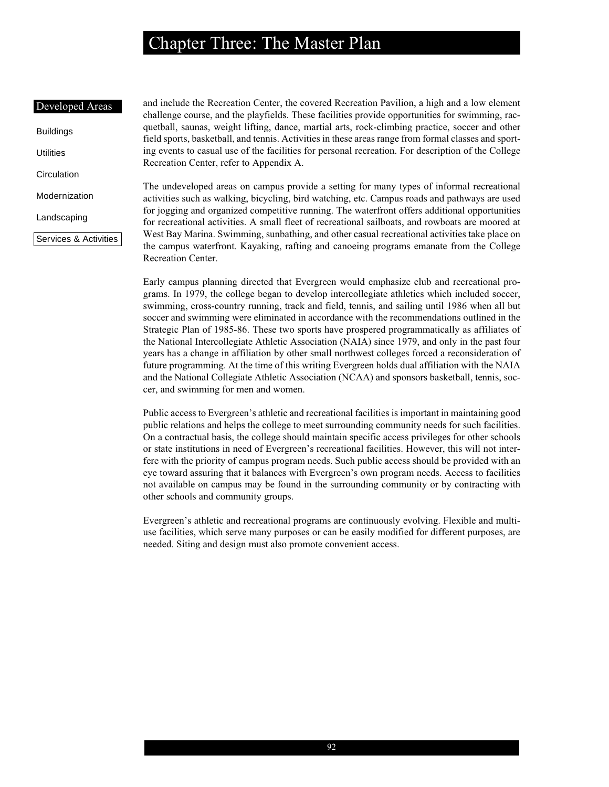#### Developed Areas

Buildings **Utilities** 

**Circulation** 

Modernization

Landscaping

Services & Activities

and include the Recreation Center, the covered Recreation Pavilion, a high and a low element challenge course, and the playfields. These facilities provide opportunities for swimming, racquetball, saunas, weight lifting, dance, martial arts, rock-climbing practice, soccer and other field sports, basketball, and tennis. Activities in these areas range from formal classes and sporting events to casual use of the facilities for personal recreation. For description of the College Recreation Center, refer to Appendix A.

The undeveloped areas on campus provide a setting for many types of informal recreational activities such as walking, bicycling, bird watching, etc. Campus roads and pathways are used for jogging and organized competitive running. The waterfront offers additional opportunities for recreational activities. A small fleet of recreational sailboats, and rowboats are moored at West Bay Marina. Swimming, sunbathing, and other casual recreational activities take place on the campus waterfront. Kayaking, rafting and canoeing programs emanate from the College Recreation Center.

Early campus planning directed that Evergreen would emphasize club and recreational programs. In 1979, the college began to develop intercollegiate athletics which included soccer, swimming, cross-country running, track and field, tennis, and sailing until 1986 when all but soccer and swimming were eliminated in accordance with the recommendations outlined in the Strategic Plan of 1985-86. These two sports have prospered programmatically as affiliates of the National Intercollegiate Athletic Association (NAIA) since 1979, and only in the past four years has a change in affiliation by other small northwest colleges forced a reconsideration of future programming. At the time of this writing Evergreen holds dual affiliation with the NAIA and the National Collegiate Athletic Association (NCAA) and sponsors basketball, tennis, soccer, and swimming for men and women.

Public access to Evergreen's athletic and recreational facilities is important in maintaining good public relations and helps the college to meet surrounding community needs for such facilities. On a contractual basis, the college should maintain specific access privileges for other schools or state institutions in need of Evergreen's recreational facilities. However, this will not interfere with the priority of campus program needs. Such public access should be provided with an eye toward assuring that it balances with Evergreen's own program needs. Access to facilities not available on campus may be found in the surrounding community or by contracting with other schools and community groups.

Evergreen's athletic and recreational programs are continuously evolving. Flexible and multiuse facilities, which serve many purposes or can be easily modified for different purposes, are needed. Siting and design must also promote convenient access.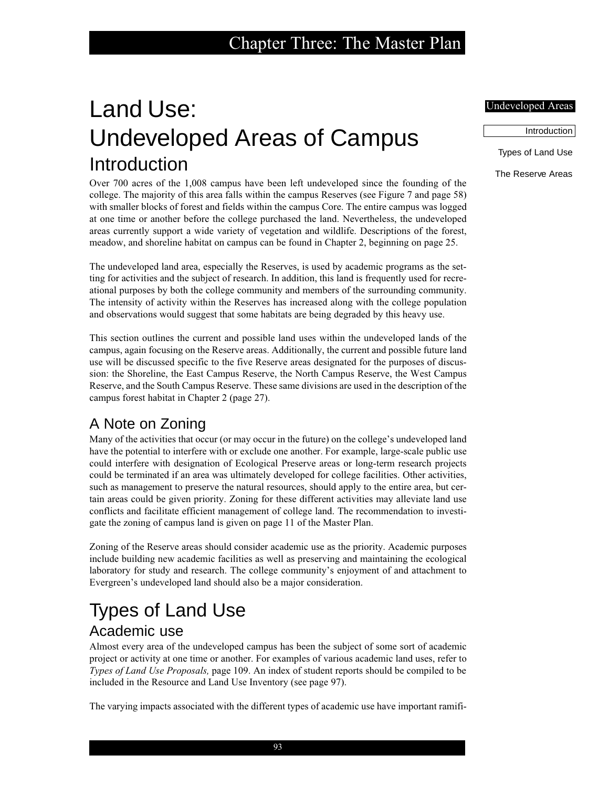# Land Use: Undeveloped Areas of Campus Introduction

Over 700 acres of the 1,008 campus have been left undeveloped since the founding of the college. The majority of this area falls within the campus Reserves (see Figure 7 and page 58) with smaller blocks of forest and fields within the campus Core. The entire campus was logged at one time or another before the college purchased the land. Nevertheless, the undeveloped areas currently support a wide variety of vegetation and wildlife. Descriptions of the forest, meadow, and shoreline habitat on campus can be found in Chapter 2, beginning on page 25.

The undeveloped land area, especially the Reserves, is used by academic programs as the setting for activities and the subject of research. In addition, this land is frequently used for recreational purposes by both the college community and members of the surrounding community. The intensity of activity within the Reserves has increased along with the college population and observations would suggest that some habitats are being degraded by this heavy use.

This section outlines the current and possible land uses within the undeveloped lands of the campus, again focusing on the Reserve areas. Additionally, the current and possible future land use will be discussed specific to the five Reserve areas designated for the purposes of discussion: the Shoreline, the East Campus Reserve, the North Campus Reserve, the West Campus Reserve, and the South Campus Reserve. These same divisions are used in the description of the campus forest habitat in Chapter 2 (page 27).

## A Note on Zoning

Many of the activities that occur (or may occur in the future) on the college's undeveloped land have the potential to interfere with or exclude one another. For example, large-scale public use could interfere with designation of Ecological Preserve areas or long-term research projects could be terminated if an area was ultimately developed for college facilities. Other activities, such as management to preserve the natural resources, should apply to the entire area, but certain areas could be given priority. Zoning for these different activities may alleviate land use conflicts and facilitate efficient management of college land. The recommendation to investigate the zoning of campus land is given on page 11 of the Master Plan.

Zoning of the Reserve areas should consider academic use as the priority. Academic purposes include building new academic facilities as well as preserving and maintaining the ecological laboratory for study and research. The college community's enjoyment of and attachment to Evergreen's undeveloped land should also be a major consideration.

# Types of Land Use Academic use

Almost every area of the undeveloped campus has been the subject of some sort of academic project or activity at one time or another. For examples of various academic land uses, refer to *Types of Land Use Proposals,* page 109. An index of student reports should be compiled to be included in the Resource and Land Use Inventory (see page 97).

The varying impacts associated with the different types of academic use have important ramifi-

### Undeveloped Areas

Introduction

Types of Land Use

The Reserve Areas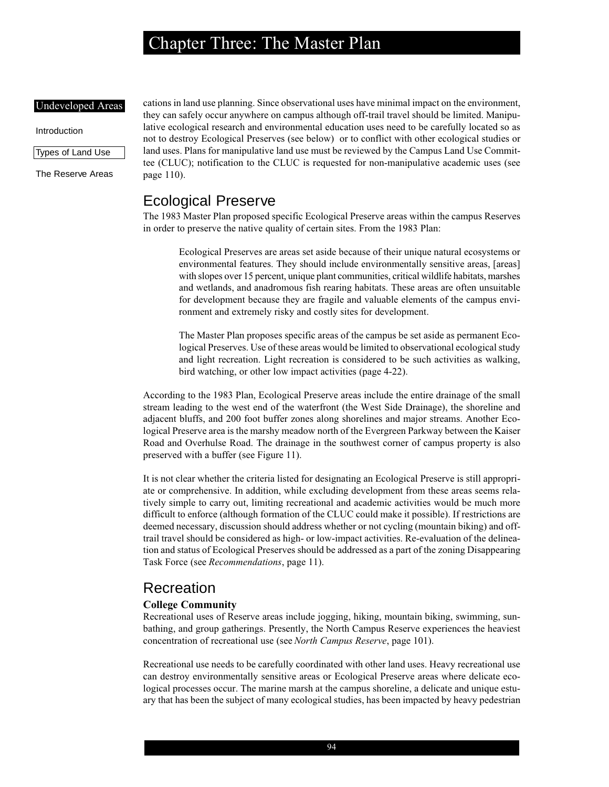#### Undeveloped Areas

Introduction

Types of Land Use

The Reserve Areas

cations in land use planning. Since observational uses have minimal impact on the environment, they can safely occur anywhere on campus although off-trail travel should be limited. Manipulative ecological research and environmental education uses need to be carefully located so as not to destroy Ecological Preserves (see below) or to conflict with other ecological studies or land uses. Plans for manipulative land use must be reviewed by the Campus Land Use Committee (CLUC); notification to the CLUC is requested for non-manipulative academic uses (see page 110).

## Ecological Preserve

The 1983 Master Plan proposed specific Ecological Preserve areas within the campus Reserves in order to preserve the native quality of certain sites. From the 1983 Plan:

Ecological Preserves are areas set aside because of their unique natural ecosystems or environmental features. They should include environmentally sensitive areas, [areas] with slopes over 15 percent, unique plant communities, critical wildlife habitats, marshes and wetlands, and anadromous fish rearing habitats. These areas are often unsuitable for development because they are fragile and valuable elements of the campus environment and extremely risky and costly sites for development.

The Master Plan proposes specific areas of the campus be set aside as permanent Ecological Preserves. Use of these areas would be limited to observational ecological study and light recreation. Light recreation is considered to be such activities as walking, bird watching, or other low impact activities (page 4-22).

According to the 1983 Plan, Ecological Preserve areas include the entire drainage of the small stream leading to the west end of the waterfront (the West Side Drainage), the shoreline and adjacent bluffs, and 200 foot buffer zones along shorelines and major streams. Another Ecological Preserve area is the marshy meadow north of the Evergreen Parkway between the Kaiser Road and Overhulse Road. The drainage in the southwest corner of campus property is also preserved with a buffer (see Figure 11).

It is not clear whether the criteria listed for designating an Ecological Preserve is still appropriate or comprehensive. In addition, while excluding development from these areas seems relatively simple to carry out, limiting recreational and academic activities would be much more difficult to enforce (although formation of the CLUC could make it possible). If restrictions are deemed necessary, discussion should address whether or not cycling (mountain biking) and offtrail travel should be considered as high- or low-impact activities. Re-evaluation of the delineation and status of Ecological Preserves should be addressed as a part of the zoning Disappearing Task Force (see *Recommendations*, page 11).

## Recreation

#### **College Community**

Recreational uses of Reserve areas include jogging, hiking, mountain biking, swimming, sunbathing, and group gatherings. Presently, the North Campus Reserve experiences the heaviest concentration of recreational use (see *North Campus Reserve*, page 101).

Recreational use needs to be carefully coordinated with other land uses. Heavy recreational use can destroy environmentally sensitive areas or Ecological Preserve areas where delicate ecological processes occur. The marine marsh at the campus shoreline, a delicate and unique estuary that has been the subject of many ecological studies, has been impacted by heavy pedestrian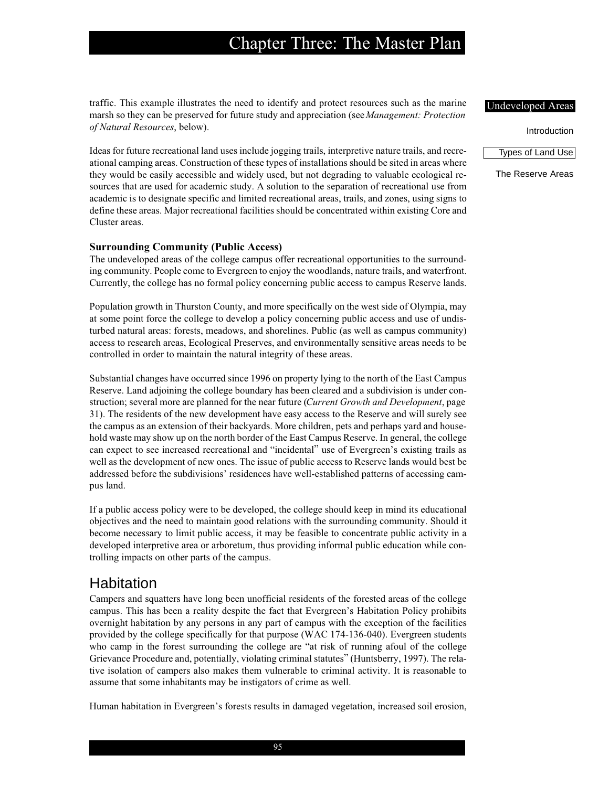traffic. This example illustrates the need to identify and protect resources such as the marine marsh so they can be preserved for future study and appreciation (see *Management: Protection of Natural Resources*, below).

Ideas for future recreational land uses include jogging trails, interpretive nature trails, and recreational camping areas. Construction of these types of installations should be sited in areas where they would be easily accessible and widely used, but not degrading to valuable ecological resources that are used for academic study. A solution to the separation of recreational use from academic is to designate specific and limited recreational areas, trails, and zones, using signs to define these areas. Major recreational facilities should be concentrated within existing Core and Cluster areas.

#### **Surrounding Community (Public Access)**

The undeveloped areas of the college campus offer recreational opportunities to the surrounding community. People come to Evergreen to enjoy the woodlands, nature trails, and waterfront. Currently, the college has no formal policy concerning public access to campus Reserve lands.

Population growth in Thurston County, and more specifically on the west side of Olympia, may at some point force the college to develop a policy concerning public access and use of undisturbed natural areas: forests, meadows, and shorelines. Public (as well as campus community) access to research areas, Ecological Preserves, and environmentally sensitive areas needs to be controlled in order to maintain the natural integrity of these areas.

Substantial changes have occurred since 1996 on property lying to the north of the East Campus Reserve. Land adjoining the college boundary has been cleared and a subdivision is under construction; several more are planned for the near future (*Current Growth and Development*, page 31). The residents of the new development have easy access to the Reserve and will surely see the campus as an extension of their backyards. More children, pets and perhaps yard and household waste may show up on the north border of the East Campus Reserve. In general, the college can expect to see increased recreational and "incidental" use of Evergreen's existing trails as well as the development of new ones. The issue of public access to Reserve lands would best be addressed before the subdivisions' residences have well-established patterns of accessing campus land.

If a public access policy were to be developed, the college should keep in mind its educational objectives and the need to maintain good relations with the surrounding community. Should it become necessary to limit public access, it may be feasible to concentrate public activity in a developed interpretive area or arboretum, thus providing informal public education while controlling impacts on other parts of the campus.

## Habitation

Campers and squatters have long been unofficial residents of the forested areas of the college campus. This has been a reality despite the fact that Evergreen's Habitation Policy prohibits overnight habitation by any persons in any part of campus with the exception of the facilities provided by the college specifically for that purpose (WAC 174-136-040). Evergreen students who camp in the forest surrounding the college are "at risk of running afoul of the college Grievance Procedure and, potentially, violating criminal statutes" (Huntsberry, 1997). The relative isolation of campers also makes them vulnerable to criminal activity. It is reasonable to assume that some inhabitants may be instigators of crime as well.

Human habitation in Evergreen's forests results in damaged vegetation, increased soil erosion,

## Undeveloped Areas

Introduction

Types of Land Use

The Reserve Areas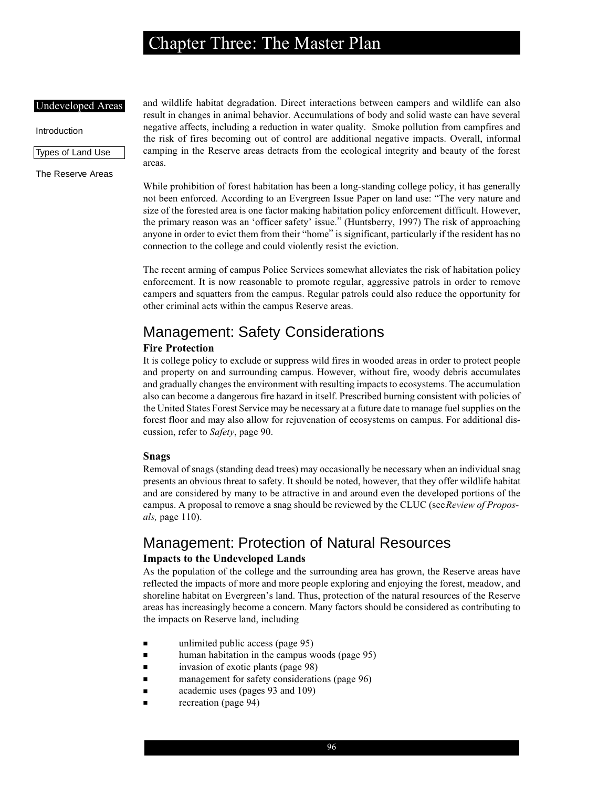#### Undeveloped Areas

#### Introduction

Types of Land Use

The Reserve Areas

and wildlife habitat degradation. Direct interactions between campers and wildlife can also result in changes in animal behavior. Accumulations of body and solid waste can have several negative affects, including a reduction in water quality. Smoke pollution from campfires and the risk of fires becoming out of control are additional negative impacts. Overall, informal camping in the Reserve areas detracts from the ecological integrity and beauty of the forest areas.

While prohibition of forest habitation has been a long-standing college policy, it has generally not been enforced. According to an Evergreen Issue Paper on land use: "The very nature and size of the forested area is one factor making habitation policy enforcement difficult. However, the primary reason was an 'officer safety' issue." (Huntsberry, 1997) The risk of approaching anyone in order to evict them from their "home" is significant, particularly if the resident has no connection to the college and could violently resist the eviction.

The recent arming of campus Police Services somewhat alleviates the risk of habitation policy enforcement. It is now reasonable to promote regular, aggressive patrols in order to remove campers and squatters from the campus. Regular patrols could also reduce the opportunity for other criminal acts within the campus Reserve areas.

## Management: Safety Considerations

### **Fire Protection**

It is college policy to exclude or suppress wild fires in wooded areas in order to protect people and property on and surrounding campus. However, without fire, woody debris accumulates and gradually changes the environment with resulting impacts to ecosystems. The accumulation also can become a dangerous fire hazard in itself. Prescribed burning consistent with policies of the United States Forest Service may be necessary at a future date to manage fuel supplies on the forest floor and may also allow for rejuvenation of ecosystems on campus. For additional discussion, refer to *Safety*, page 90.

#### **Snags**

Removal of snags (standing dead trees) may occasionally be necessary when an individual snag presents an obvious threat to safety. It should be noted, however, that they offer wildlife habitat and are considered by many to be attractive in and around even the developed portions of the campus. A proposal to remove a snag should be reviewed by the CLUC (see *Review of Proposals,* page 110).

## Management: Protection of Natural Resources

### **Impacts to the Undeveloped Lands**

As the population of the college and the surrounding area has grown, the Reserve areas have reflected the impacts of more and more people exploring and enjoying the forest, meadow, and shoreline habitat on Evergreen's land. Thus, protection of the natural resources of the Reserve areas has increasingly become a concern. Many factors should be considered as contributing to the impacts on Reserve land, including

- unlimited public access (page 95)
- human habitation in the campus woods (page 95)
- invasion of exotic plants (page 98)
- management for safety considerations (page 96)
- academic uses (pages 93 and 109)
- recreation (page 94)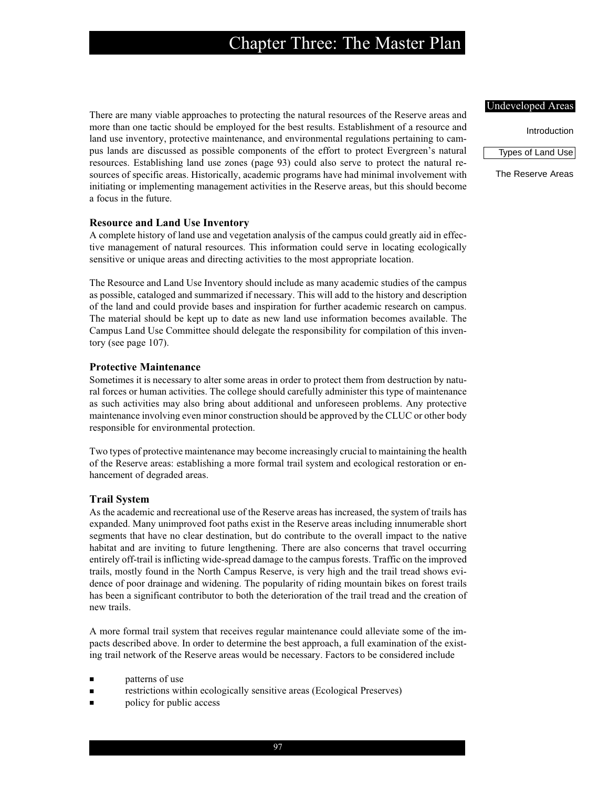There are many viable approaches to protecting the natural resources of the Reserve areas and more than one tactic should be employed for the best results. Establishment of a resource and land use inventory, protective maintenance, and environmental regulations pertaining to campus lands are discussed as possible components of the effort to protect Evergreen's natural resources. Establishing land use zones (page 93) could also serve to protect the natural resources of specific areas. Historically, academic programs have had minimal involvement with initiating or implementing management activities in the Reserve areas, but this should become a focus in the future.

### **Resource and Land Use Inventory**

A complete history of land use and vegetation analysis of the campus could greatly aid in effective management of natural resources. This information could serve in locating ecologically sensitive or unique areas and directing activities to the most appropriate location.

The Resource and Land Use Inventory should include as many academic studies of the campus as possible, cataloged and summarized if necessary. This will add to the history and description of the land and could provide bases and inspiration for further academic research on campus. The material should be kept up to date as new land use information becomes available. The Campus Land Use Committee should delegate the responsibility for compilation of this inventory (see page 107).

### **Protective Maintenance**

Sometimes it is necessary to alter some areas in order to protect them from destruction by natural forces or human activities. The college should carefully administer this type of maintenance as such activities may also bring about additional and unforeseen problems. Any protective maintenance involving even minor construction should be approved by the CLUC or other body responsible for environmental protection.

Two types of protective maintenance may become increasingly crucial to maintaining the health of the Reserve areas: establishing a more formal trail system and ecological restoration or enhancement of degraded areas.

## **Trail System**

As the academic and recreational use of the Reserve areas has increased, the system of trails has expanded. Many unimproved foot paths exist in the Reserve areas including innumerable short segments that have no clear destination, but do contribute to the overall impact to the native habitat and are inviting to future lengthening. There are also concerns that travel occurring entirely off-trail is inflicting wide-spread damage to the campus forests. Traffic on the improved trails, mostly found in the North Campus Reserve, is very high and the trail tread shows evidence of poor drainage and widening. The popularity of riding mountain bikes on forest trails has been a significant contributor to both the deterioration of the trail tread and the creation of new trails.

A more formal trail system that receives regular maintenance could alleviate some of the impacts described above. In order to determine the best approach, a full examination of the existing trail network of the Reserve areas would be necessary. Factors to be considered include

- patterns of use
- restrictions within ecologically sensitive areas (Ecological Preserves)
- policy for public access

#### Undeveloped Areas

Introduction

Types of Land Use

The Reserve Areas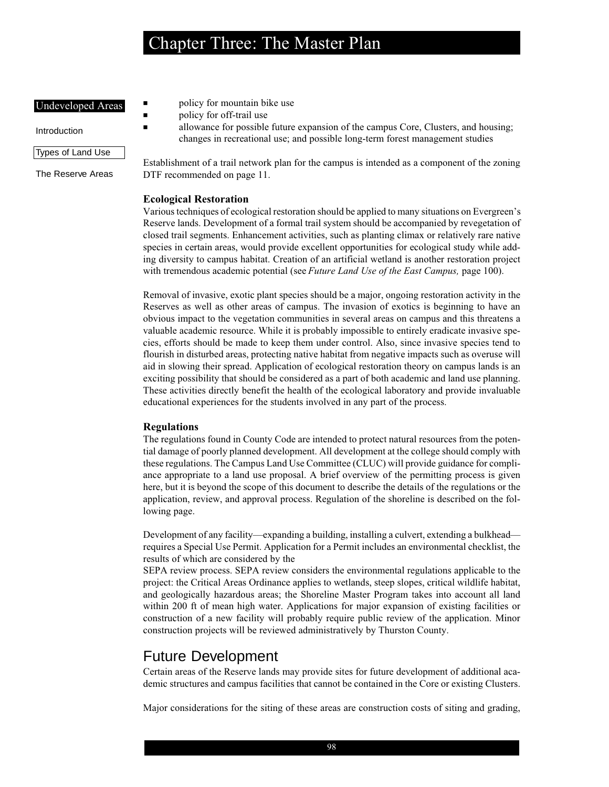### Undeveloped Areas

Introduction

### Types of Land Use

The Reserve Areas

- policy for mountain bike use
- policy for off-trail use
- allowance for possible future expansion of the campus Core, Clusters, and housing; changes in recreational use; and possible long-term forest management studies

Establishment of a trail network plan for the campus is intended as a component of the zoning DTF recommended on page 11.

### **Ecological Restoration**

Various techniques of ecological restoration should be applied to many situations on Evergreen's Reserve lands. Development of a formal trail system should be accompanied by revegetation of closed trail segments. Enhancement activities, such as planting climax or relatively rare native species in certain areas, would provide excellent opportunities for ecological study while adding diversity to campus habitat. Creation of an artificial wetland is another restoration project with tremendous academic potential (see *Future Land Use of the East Campus,* page 100).

Removal of invasive, exotic plant species should be a major, ongoing restoration activity in the Reserves as well as other areas of campus. The invasion of exotics is beginning to have an obvious impact to the vegetation communities in several areas on campus and this threatens a valuable academic resource. While it is probably impossible to entirely eradicate invasive species, efforts should be made to keep them under control. Also, since invasive species tend to flourish in disturbed areas, protecting native habitat from negative impacts such as overuse will aid in slowing their spread. Application of ecological restoration theory on campus lands is an exciting possibility that should be considered as a part of both academic and land use planning. These activities directly benefit the health of the ecological laboratory and provide invaluable educational experiences for the students involved in any part of the process.

### **Regulations**

The regulations found in County Code are intended to protect natural resources from the potential damage of poorly planned development. All development at the college should comply with these regulations. The Campus Land Use Committee (CLUC) will provide guidance for compliance appropriate to a land use proposal. A brief overview of the permitting process is given here, but it is beyond the scope of this document to describe the details of the regulations or the application, review, and approval process. Regulation of the shoreline is described on the following page.

Development of any facility—expanding a building, installing a culvert, extending a bulkhead requires a Special Use Permit. Application for a Permit includes an environmental checklist, the results of which are considered by the

SEPA review process. SEPA review considers the environmental regulations applicable to the project: the Critical Areas Ordinance applies to wetlands, steep slopes, critical wildlife habitat, and geologically hazardous areas; the Shoreline Master Program takes into account all land within 200 ft of mean high water. Applications for major expansion of existing facilities or construction of a new facility will probably require public review of the application. Minor construction projects will be reviewed administratively by Thurston County.

## Future Development

Certain areas of the Reserve lands may provide sites for future development of additional academic structures and campus facilities that cannot be contained in the Core or existing Clusters.

Major considerations for the siting of these areas are construction costs of siting and grading,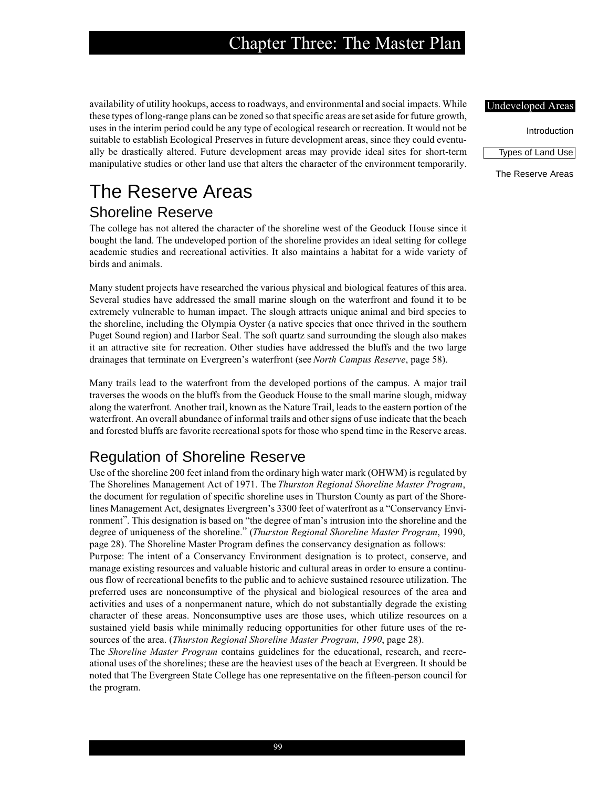availability of utility hookups, access to roadways, and environmental and social impacts. While these types of long-range plans can be zoned so that specific areas are set aside for future growth, uses in the interim period could be any type of ecological research or recreation. It would not be suitable to establish Ecological Preserves in future development areas, since they could eventually be drastically altered. Future development areas may provide ideal sites for short-term manipulative studies or other land use that alters the character of the environment temporarily.

# The Reserve Areas Shoreline Reserve

The college has not altered the character of the shoreline west of the Geoduck House since it bought the land. The undeveloped portion of the shoreline provides an ideal setting for college academic studies and recreational activities. It also maintains a habitat for a wide variety of birds and animals.

Many student projects have researched the various physical and biological features of this area. Several studies have addressed the small marine slough on the waterfront and found it to be extremely vulnerable to human impact. The slough attracts unique animal and bird species to the shoreline, including the Olympia Oyster (a native species that once thrived in the southern Puget Sound region) and Harbor Seal. The soft quartz sand surrounding the slough also makes it an attractive site for recreation. Other studies have addressed the bluffs and the two large drainages that terminate on Evergreen's waterfront (see *North Campus Reserve*, page 58).

Many trails lead to the waterfront from the developed portions of the campus. A major trail traverses the woods on the bluffs from the Geoduck House to the small marine slough, midway along the waterfront. Another trail, known as the Nature Trail, leads to the eastern portion of the waterfront. An overall abundance of informal trails and other signs of use indicate that the beach and forested bluffs are favorite recreational spots for those who spend time in the Reserve areas.

## Regulation of Shoreline Reserve

Use of the shoreline 200 feet inland from the ordinary high water mark (OHWM) is regulated by The Shorelines Management Act of 1971. The *Thurston Regional Shoreline Master Program*, the document for regulation of specific shoreline uses in Thurston County as part of the Shorelines Management Act, designates Evergreen's 3300 feet of waterfront as a "Conservancy Environment". This designation is based on "the degree of man's intrusion into the shoreline and the degree of uniqueness of the shoreline." (*Thurston Regional Shoreline Master Program*, 1990, page 28). The Shoreline Master Program defines the conservancy designation as follows:

Purpose: The intent of a Conservancy Environment designation is to protect, conserve, and manage existing resources and valuable historic and cultural areas in order to ensure a continuous flow of recreational benefits to the public and to achieve sustained resource utilization. The preferred uses are nonconsumptive of the physical and biological resources of the area and activities and uses of a nonpermanent nature, which do not substantially degrade the existing character of these areas. Nonconsumptive uses are those uses, which utilize resources on a sustained yield basis while minimally reducing opportunities for other future uses of the resources of the area. (*Thurston Regional Shoreline Master Program*, *1990*, page 28).

The *Shoreline Master Program* contains guidelines for the educational, research, and recreational uses of the shorelines; these are the heaviest uses of the beach at Evergreen. It should be noted that The Evergreen State College has one representative on the fifteen-person council for the program.

### Undeveloped Areas

Introduction

Types of Land Use

The Reserve Areas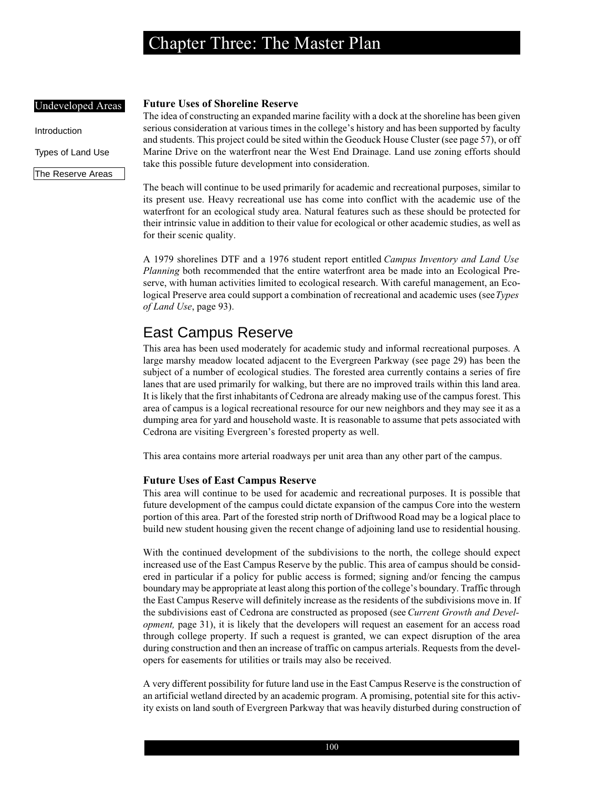#### Undeveloped Areas

Introduction

Types of Land Use

The Reserve Areas

#### **Future Uses of Shoreline Reserve**

The idea of constructing an expanded marine facility with a dock at the shoreline has been given serious consideration at various times in the college's history and has been supported by faculty and students. This project could be sited within the Geoduck House Cluster (see page 57), or off Marine Drive on the waterfront near the West End Drainage. Land use zoning efforts should take this possible future development into consideration.

The beach will continue to be used primarily for academic and recreational purposes, similar to its present use. Heavy recreational use has come into conflict with the academic use of the waterfront for an ecological study area. Natural features such as these should be protected for their intrinsic value in addition to their value for ecological or other academic studies, as well as for their scenic quality.

A 1979 shorelines DTF and a 1976 student report entitled *Campus Inventory and Land Use Planning* both recommended that the entire waterfront area be made into an Ecological Preserve, with human activities limited to ecological research. With careful management, an Ecological Preserve area could support a combination of recreational and academic uses (see *Types of Land Use*, page 93).

## East Campus Reserve

This area has been used moderately for academic study and informal recreational purposes. A large marshy meadow located adjacent to the Evergreen Parkway (see page 29) has been the subject of a number of ecological studies. The forested area currently contains a series of fire lanes that are used primarily for walking, but there are no improved trails within this land area. It is likely that the first inhabitants of Cedrona are already making use of the campus forest. This area of campus is a logical recreational resource for our new neighbors and they may see it as a dumping area for yard and household waste. It is reasonable to assume that pets associated with Cedrona are visiting Evergreen's forested property as well.

This area contains more arterial roadways per unit area than any other part of the campus.

#### **Future Uses of East Campus Reserve**

This area will continue to be used for academic and recreational purposes. It is possible that future development of the campus could dictate expansion of the campus Core into the western portion of this area. Part of the forested strip north of Driftwood Road may be a logical place to build new student housing given the recent change of adjoining land use to residential housing.

With the continued development of the subdivisions to the north, the college should expect increased use of the East Campus Reserve by the public. This area of campus should be considered in particular if a policy for public access is formed; signing and/or fencing the campus boundary may be appropriate at least along this portion of the college's boundary. Traffic through the East Campus Reserve will definitely increase as the residents of the subdivisions move in. If the subdivisions east of Cedrona are constructed as proposed (see *Current Growth and Development*, page 31), it is likely that the developers will request an easement for an access road through college property. If such a request is granted, we can expect disruption of the area during construction and then an increase of traffic on campus arterials. Requests from the developers for easements for utilities or trails may also be received.

A very different possibility for future land use in the East Campus Reserve is the construction of an artificial wetland directed by an academic program. A promising, potential site for this activity exists on land south of Evergreen Parkway that was heavily disturbed during construction of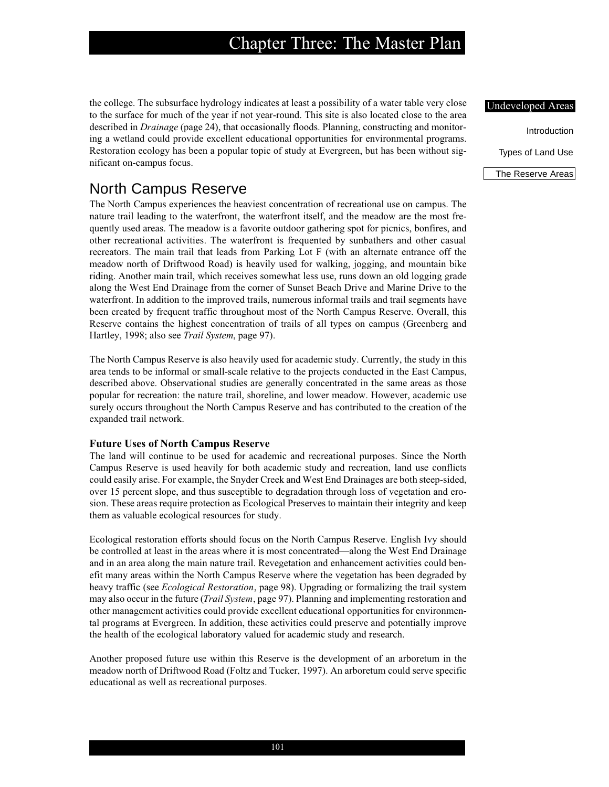the college. The subsurface hydrology indicates at least a possibility of a water table very close to the surface for much of the year if not year-round. This site is also located close to the area described in *Drainage* (page 24), that occasionally floods. Planning, constructing and monitoring a wetland could provide excellent educational opportunities for environmental programs. Restoration ecology has been a popular topic of study at Evergreen, but has been without significant on-campus focus.

## North Campus Reserve

The North Campus experiences the heaviest concentration of recreational use on campus. The nature trail leading to the waterfront, the waterfront itself, and the meadow are the most frequently used areas. The meadow is a favorite outdoor gathering spot for picnics, bonfires, and other recreational activities. The waterfront is frequented by sunbathers and other casual recreators. The main trail that leads from Parking Lot F (with an alternate entrance off the meadow north of Driftwood Road) is heavily used for walking, jogging, and mountain bike riding. Another main trail, which receives somewhat less use, runs down an old logging grade along the West End Drainage from the corner of Sunset Beach Drive and Marine Drive to the waterfront. In addition to the improved trails, numerous informal trails and trail segments have been created by frequent traffic throughout most of the North Campus Reserve. Overall, this Reserve contains the highest concentration of trails of all types on campus (Greenberg and Hartley, 1998; also see *Trail System*, page 97).

The North Campus Reserve is also heavily used for academic study. Currently, the study in this area tends to be informal or small-scale relative to the projects conducted in the East Campus, described above. Observational studies are generally concentrated in the same areas as those popular for recreation: the nature trail, shoreline, and lower meadow. However, academic use surely occurs throughout the North Campus Reserve and has contributed to the creation of the expanded trail network.

## **Future Uses of North Campus Reserve**

The land will continue to be used for academic and recreational purposes. Since the North Campus Reserve is used heavily for both academic study and recreation, land use conflicts could easily arise. For example, the Snyder Creek and West End Drainages are both steep-sided, over 15 percent slope, and thus susceptible to degradation through loss of vegetation and erosion. These areas require protection as Ecological Preserves to maintain their integrity and keep them as valuable ecological resources for study.

Ecological restoration efforts should focus on the North Campus Reserve. English Ivy should be controlled at least in the areas where it is most concentrated—along the West End Drainage and in an area along the main nature trail. Revegetation and enhancement activities could benefit many areas within the North Campus Reserve where the vegetation has been degraded by heavy traffic (see *Ecological Restoration*, page 98). Upgrading or formalizing the trail system may also occur in the future (*Trail System*, page 97). Planning and implementing restoration and other management activities could provide excellent educational opportunities for environmental programs at Evergreen. In addition, these activities could preserve and potentially improve the health of the ecological laboratory valued for academic study and research.

Another proposed future use within this Reserve is the development of an arboretum in the meadow north of Driftwood Road (Foltz and Tucker, 1997). An arboretum could serve specific educational as well as recreational purposes.

### Undeveloped Areas

Introduction Types of Land Use

The Reserve Areas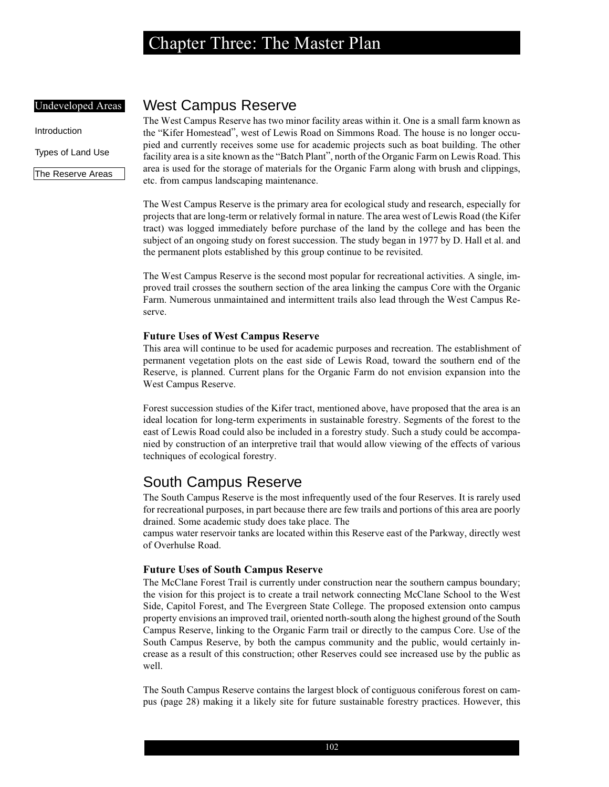### Undeveloped Areas

Introduction

Types of Land Use

The Reserve Areas

## West Campus Reserve

The West Campus Reserve has two minor facility areas within it. One is a small farm known as the "Kifer Homestead", west of Lewis Road on Simmons Road. The house is no longer occupied and currently receives some use for academic projects such as boat building. The other facility area is a site known as the "Batch Plant", north of the Organic Farm on Lewis Road. This area is used for the storage of materials for the Organic Farm along with brush and clippings, etc. from campus landscaping maintenance.

The West Campus Reserve is the primary area for ecological study and research, especially for projects that are long-term or relatively formal in nature. The area west of Lewis Road (the Kifer tract) was logged immediately before purchase of the land by the college and has been the subject of an ongoing study on forest succession. The study began in 1977 by D. Hall et al. and the permanent plots established by this group continue to be revisited.

The West Campus Reserve is the second most popular for recreational activities. A single, improved trail crosses the southern section of the area linking the campus Core with the Organic Farm. Numerous unmaintained and intermittent trails also lead through the West Campus Reserve.

### **Future Uses of West Campus Reserve**

This area will continue to be used for academic purposes and recreation. The establishment of permanent vegetation plots on the east side of Lewis Road, toward the southern end of the Reserve, is planned. Current plans for the Organic Farm do not envision expansion into the West Campus Reserve.

Forest succession studies of the Kifer tract, mentioned above, have proposed that the area is an ideal location for long-term experiments in sustainable forestry. Segments of the forest to the east of Lewis Road could also be included in a forestry study. Such a study could be accompanied by construction of an interpretive trail that would allow viewing of the effects of various techniques of ecological forestry.

## South Campus Reserve

The South Campus Reserve is the most infrequently used of the four Reserves. It is rarely used for recreational purposes, in part because there are few trails and portions of this area are poorly drained. Some academic study does take place. The

campus water reservoir tanks are located within this Reserve east of the Parkway, directly west of Overhulse Road.

#### **Future Uses of South Campus Reserve**

The McClane Forest Trail is currently under construction near the southern campus boundary; the vision for this project is to create a trail network connecting McClane School to the West Side, Capitol Forest, and The Evergreen State College. The proposed extension onto campus property envisions an improved trail, oriented north-south along the highest ground of the South Campus Reserve, linking to the Organic Farm trail or directly to the campus Core. Use of the South Campus Reserve, by both the campus community and the public, would certainly increase as a result of this construction; other Reserves could see increased use by the public as well.

The South Campus Reserve contains the largest block of contiguous coniferous forest on campus (page 28) making it a likely site for future sustainable forestry practices. However, this